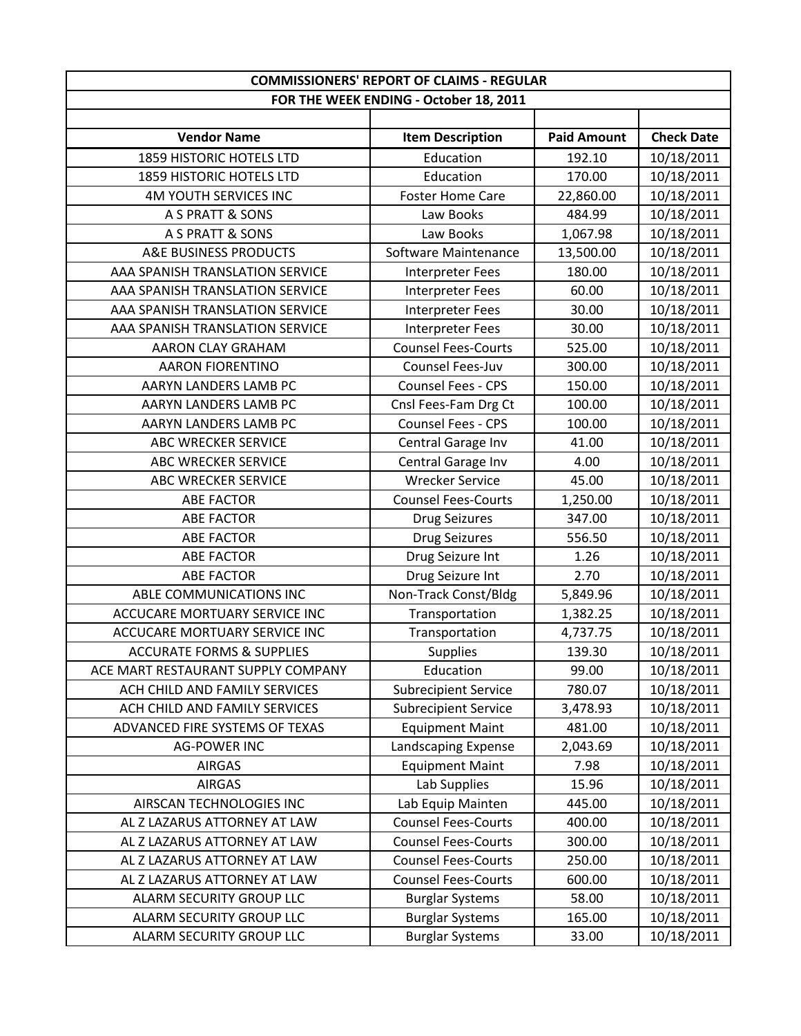| <b>COMMISSIONERS' REPORT OF CLAIMS - REGULAR</b> |                                        |                    |                   |
|--------------------------------------------------|----------------------------------------|--------------------|-------------------|
|                                                  | FOR THE WEEK ENDING - October 18, 2011 |                    |                   |
|                                                  |                                        |                    |                   |
| <b>Vendor Name</b>                               | <b>Item Description</b>                | <b>Paid Amount</b> | <b>Check Date</b> |
| 1859 HISTORIC HOTELS LTD                         | Education                              | 192.10             | 10/18/2011        |
| 1859 HISTORIC HOTELS LTD                         | Education                              | 170.00             | 10/18/2011        |
| <b>4M YOUTH SERVICES INC</b>                     | <b>Foster Home Care</b>                | 22,860.00          | 10/18/2011        |
| A S PRATT & SONS                                 | Law Books                              | 484.99             | 10/18/2011        |
| A S PRATT & SONS                                 | Law Books                              | 1,067.98           | 10/18/2011        |
| A&E BUSINESS PRODUCTS                            | Software Maintenance                   | 13,500.00          | 10/18/2011        |
| AAA SPANISH TRANSLATION SERVICE                  | <b>Interpreter Fees</b>                | 180.00             | 10/18/2011        |
| AAA SPANISH TRANSLATION SERVICE                  | <b>Interpreter Fees</b>                | 60.00              | 10/18/2011        |
| AAA SPANISH TRANSLATION SERVICE                  | <b>Interpreter Fees</b>                | 30.00              | 10/18/2011        |
| AAA SPANISH TRANSLATION SERVICE                  | <b>Interpreter Fees</b>                | 30.00              | 10/18/2011        |
| AARON CLAY GRAHAM                                | <b>Counsel Fees-Courts</b>             | 525.00             | 10/18/2011        |
| <b>AARON FIORENTINO</b>                          | Counsel Fees-Juv                       | 300.00             | 10/18/2011        |
| AARYN LANDERS LAMB PC                            | Counsel Fees - CPS                     | 150.00             | 10/18/2011        |
| AARYN LANDERS LAMB PC                            | Cnsl Fees-Fam Drg Ct                   | 100.00             | 10/18/2011        |
| AARYN LANDERS LAMB PC                            | Counsel Fees - CPS                     | 100.00             | 10/18/2011        |
| ABC WRECKER SERVICE                              | Central Garage Inv                     | 41.00              | 10/18/2011        |
| <b>ABC WRECKER SERVICE</b>                       | Central Garage Inv                     | 4.00               | 10/18/2011        |
| <b>ABC WRECKER SERVICE</b>                       | <b>Wrecker Service</b>                 | 45.00              | 10/18/2011        |
| <b>ABE FACTOR</b>                                | <b>Counsel Fees-Courts</b>             | 1,250.00           | 10/18/2011        |
| <b>ABE FACTOR</b>                                | <b>Drug Seizures</b>                   | 347.00             | 10/18/2011        |
| <b>ABE FACTOR</b>                                | <b>Drug Seizures</b>                   | 556.50             | 10/18/2011        |
| <b>ABE FACTOR</b>                                | Drug Seizure Int                       | 1.26               | 10/18/2011        |
| <b>ABE FACTOR</b>                                | Drug Seizure Int                       | 2.70               | 10/18/2011        |
| ABLE COMMUNICATIONS INC                          | Non-Track Const/Bldg                   | 5,849.96           | 10/18/2011        |
| ACCUCARE MORTUARY SERVICE INC                    | Transportation                         | 1,382.25           | 10/18/2011        |
| ACCUCARE MORTUARY SERVICE INC                    | Transportation                         | 4,737.75           | 10/18/2011        |
| <b>ACCURATE FORMS &amp; SUPPLIES</b>             | Supplies                               | 139.30             | 10/18/2011        |
| ACE MART RESTAURANT SUPPLY COMPANY               | Education                              | 99.00              | 10/18/2011        |
| ACH CHILD AND FAMILY SERVICES                    | <b>Subrecipient Service</b>            | 780.07             | 10/18/2011        |
| ACH CHILD AND FAMILY SERVICES                    | <b>Subrecipient Service</b>            | 3,478.93           | 10/18/2011        |
| ADVANCED FIRE SYSTEMS OF TEXAS                   | <b>Equipment Maint</b>                 | 481.00             | 10/18/2011        |
| <b>AG-POWER INC</b>                              | Landscaping Expense                    | 2,043.69           | 10/18/2011        |
| <b>AIRGAS</b>                                    | <b>Equipment Maint</b>                 | 7.98               | 10/18/2011        |
| <b>AIRGAS</b>                                    | Lab Supplies                           | 15.96              | 10/18/2011        |
| AIRSCAN TECHNOLOGIES INC                         | Lab Equip Mainten                      | 445.00             | 10/18/2011        |
| AL Z LAZARUS ATTORNEY AT LAW                     | <b>Counsel Fees-Courts</b>             | 400.00             | 10/18/2011        |
| AL Z LAZARUS ATTORNEY AT LAW                     | <b>Counsel Fees-Courts</b>             | 300.00             | 10/18/2011        |
| AL Z LAZARUS ATTORNEY AT LAW                     | <b>Counsel Fees-Courts</b>             | 250.00             | 10/18/2011        |
| AL Z LAZARUS ATTORNEY AT LAW                     | <b>Counsel Fees-Courts</b>             | 600.00             | 10/18/2011        |
| ALARM SECURITY GROUP LLC                         | <b>Burglar Systems</b>                 | 58.00              | 10/18/2011        |
| ALARM SECURITY GROUP LLC                         | <b>Burglar Systems</b>                 | 165.00             | 10/18/2011        |
| ALARM SECURITY GROUP LLC                         | <b>Burglar Systems</b>                 | 33.00              | 10/18/2011        |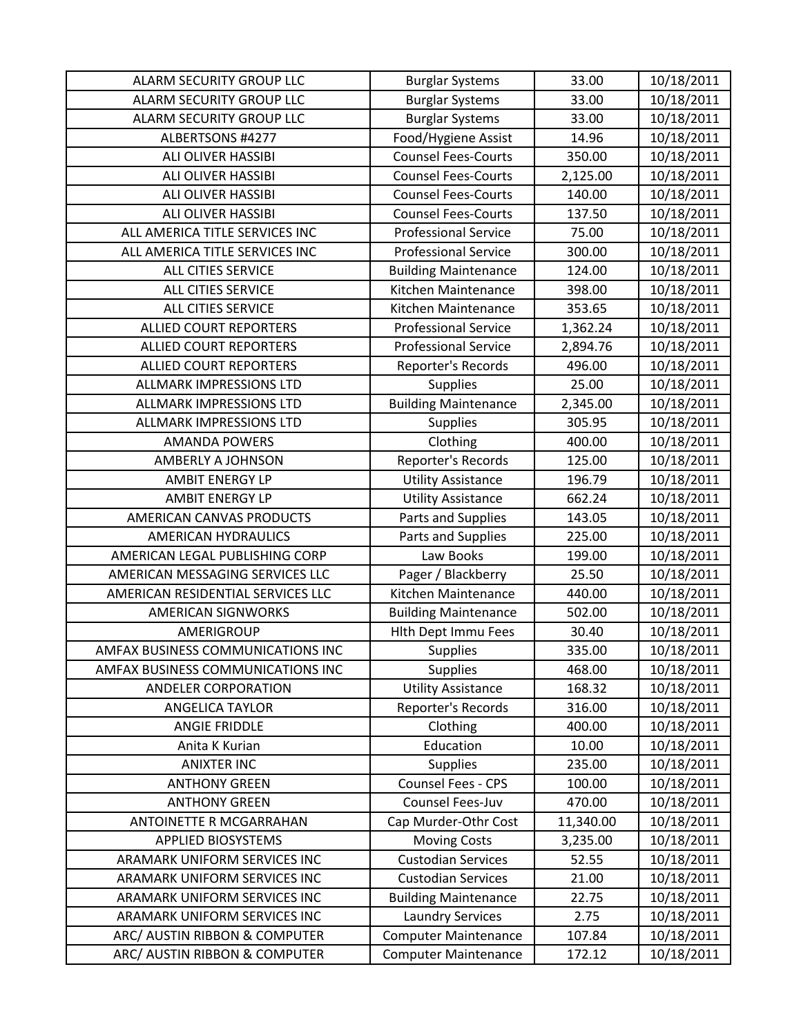| ALARM SECURITY GROUP LLC          | <b>Burglar Systems</b>      | 33.00     | 10/18/2011 |
|-----------------------------------|-----------------------------|-----------|------------|
| ALARM SECURITY GROUP LLC          | <b>Burglar Systems</b>      | 33.00     | 10/18/2011 |
| ALARM SECURITY GROUP LLC          | <b>Burglar Systems</b>      | 33.00     | 10/18/2011 |
| ALBERTSONS #4277                  | Food/Hygiene Assist         | 14.96     | 10/18/2011 |
| ALI OLIVER HASSIBI                | <b>Counsel Fees-Courts</b>  | 350.00    | 10/18/2011 |
| ALI OLIVER HASSIBI                | <b>Counsel Fees-Courts</b>  | 2,125.00  | 10/18/2011 |
| ALI OLIVER HASSIBI                | <b>Counsel Fees-Courts</b>  | 140.00    | 10/18/2011 |
| ALI OLIVER HASSIBI                | <b>Counsel Fees-Courts</b>  | 137.50    | 10/18/2011 |
| ALL AMERICA TITLE SERVICES INC    | <b>Professional Service</b> | 75.00     | 10/18/2011 |
| ALL AMERICA TITLE SERVICES INC    | <b>Professional Service</b> | 300.00    | 10/18/2011 |
| ALL CITIES SERVICE                | <b>Building Maintenance</b> | 124.00    | 10/18/2011 |
| <b>ALL CITIES SERVICE</b>         | Kitchen Maintenance         | 398.00    | 10/18/2011 |
| ALL CITIES SERVICE                | Kitchen Maintenance         | 353.65    | 10/18/2011 |
| <b>ALLIED COURT REPORTERS</b>     | <b>Professional Service</b> | 1,362.24  | 10/18/2011 |
| <b>ALLIED COURT REPORTERS</b>     | <b>Professional Service</b> | 2,894.76  | 10/18/2011 |
| <b>ALLIED COURT REPORTERS</b>     | Reporter's Records          | 496.00    | 10/18/2011 |
| ALLMARK IMPRESSIONS LTD           | <b>Supplies</b>             | 25.00     | 10/18/2011 |
| <b>ALLMARK IMPRESSIONS LTD</b>    | <b>Building Maintenance</b> | 2,345.00  | 10/18/2011 |
| <b>ALLMARK IMPRESSIONS LTD</b>    | <b>Supplies</b>             | 305.95    | 10/18/2011 |
| <b>AMANDA POWERS</b>              | Clothing                    | 400.00    | 10/18/2011 |
| AMBERLY A JOHNSON                 | Reporter's Records          | 125.00    | 10/18/2011 |
| <b>AMBIT ENERGY LP</b>            | <b>Utility Assistance</b>   | 196.79    | 10/18/2011 |
| <b>AMBIT ENERGY LP</b>            | <b>Utility Assistance</b>   | 662.24    | 10/18/2011 |
| AMERICAN CANVAS PRODUCTS          | Parts and Supplies          | 143.05    | 10/18/2011 |
| <b>AMERICAN HYDRAULICS</b>        | Parts and Supplies          | 225.00    | 10/18/2011 |
| AMERICAN LEGAL PUBLISHING CORP    | Law Books                   | 199.00    | 10/18/2011 |
| AMERICAN MESSAGING SERVICES LLC   | Pager / Blackberry          | 25.50     | 10/18/2011 |
| AMERICAN RESIDENTIAL SERVICES LLC | Kitchen Maintenance         | 440.00    | 10/18/2011 |
| <b>AMERICAN SIGNWORKS</b>         | <b>Building Maintenance</b> | 502.00    | 10/18/2011 |
| AMERIGROUP                        | Hlth Dept Immu Fees         | 30.40     | 10/18/2011 |
| AMFAX BUSINESS COMMUNICATIONS INC | <b>Supplies</b>             | 335.00    | 10/18/2011 |
| AMFAX BUSINESS COMMUNICATIONS INC | <b>Supplies</b>             | 468.00    | 10/18/2011 |
| ANDELER CORPORATION               | <b>Utility Assistance</b>   | 168.32    | 10/18/2011 |
| ANGELICA TAYLOR                   | Reporter's Records          | 316.00    | 10/18/2011 |
| <b>ANGIE FRIDDLE</b>              | Clothing                    | 400.00    | 10/18/2011 |
| Anita K Kurian                    | Education                   | 10.00     | 10/18/2011 |
| <b>ANIXTER INC</b>                | <b>Supplies</b>             | 235.00    | 10/18/2011 |
| <b>ANTHONY GREEN</b>              | Counsel Fees - CPS          | 100.00    | 10/18/2011 |
| <b>ANTHONY GREEN</b>              | Counsel Fees-Juv            | 470.00    | 10/18/2011 |
| ANTOINETTE R MCGARRAHAN           | Cap Murder-Othr Cost        | 11,340.00 | 10/18/2011 |
| <b>APPLIED BIOSYSTEMS</b>         | <b>Moving Costs</b>         | 3,235.00  | 10/18/2011 |
| ARAMARK UNIFORM SERVICES INC      | <b>Custodian Services</b>   | 52.55     | 10/18/2011 |
| ARAMARK UNIFORM SERVICES INC      | <b>Custodian Services</b>   | 21.00     | 10/18/2011 |
| ARAMARK UNIFORM SERVICES INC      | <b>Building Maintenance</b> | 22.75     | 10/18/2011 |
| ARAMARK UNIFORM SERVICES INC      | <b>Laundry Services</b>     | 2.75      | 10/18/2011 |
| ARC/ AUSTIN RIBBON & COMPUTER     | <b>Computer Maintenance</b> | 107.84    | 10/18/2011 |
| ARC/ AUSTIN RIBBON & COMPUTER     | <b>Computer Maintenance</b> | 172.12    | 10/18/2011 |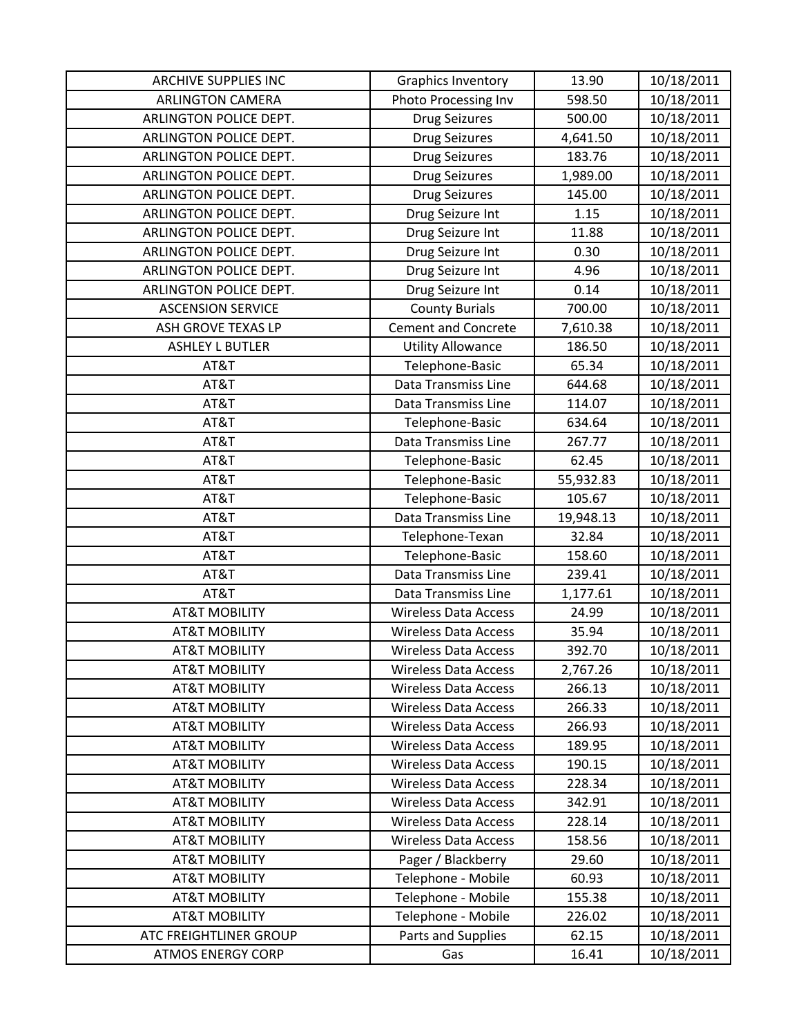| <b>ARCHIVE SUPPLIES INC</b>   | Graphics Inventory          | 13.90     | 10/18/2011 |
|-------------------------------|-----------------------------|-----------|------------|
| <b>ARLINGTON CAMERA</b>       | Photo Processing Inv        | 598.50    | 10/18/2011 |
| ARLINGTON POLICE DEPT.        | <b>Drug Seizures</b>        | 500.00    | 10/18/2011 |
| ARLINGTON POLICE DEPT.        | <b>Drug Seizures</b>        | 4,641.50  | 10/18/2011 |
| ARLINGTON POLICE DEPT.        | <b>Drug Seizures</b>        | 183.76    | 10/18/2011 |
| ARLINGTON POLICE DEPT.        | <b>Drug Seizures</b>        | 1,989.00  | 10/18/2011 |
| ARLINGTON POLICE DEPT.        | <b>Drug Seizures</b>        | 145.00    | 10/18/2011 |
| ARLINGTON POLICE DEPT.        | Drug Seizure Int            | 1.15      | 10/18/2011 |
| ARLINGTON POLICE DEPT.        | Drug Seizure Int            | 11.88     | 10/18/2011 |
| ARLINGTON POLICE DEPT.        | Drug Seizure Int            | 0.30      | 10/18/2011 |
| ARLINGTON POLICE DEPT.        | Drug Seizure Int            | 4.96      | 10/18/2011 |
| ARLINGTON POLICE DEPT.        | Drug Seizure Int            | 0.14      | 10/18/2011 |
| <b>ASCENSION SERVICE</b>      | <b>County Burials</b>       | 700.00    | 10/18/2011 |
| ASH GROVE TEXAS LP            | <b>Cement and Concrete</b>  | 7,610.38  | 10/18/2011 |
| <b>ASHLEY L BUTLER</b>        | <b>Utility Allowance</b>    | 186.50    | 10/18/2011 |
| AT&T                          | Telephone-Basic             | 65.34     | 10/18/2011 |
| AT&T                          | <b>Data Transmiss Line</b>  | 644.68    | 10/18/2011 |
| AT&T                          | Data Transmiss Line         | 114.07    | 10/18/2011 |
| AT&T                          | Telephone-Basic             | 634.64    | 10/18/2011 |
| AT&T                          | Data Transmiss Line         | 267.77    | 10/18/2011 |
| AT&T                          | Telephone-Basic             | 62.45     | 10/18/2011 |
| AT&T                          | Telephone-Basic             | 55,932.83 | 10/18/2011 |
| AT&T                          | Telephone-Basic             | 105.67    | 10/18/2011 |
| AT&T                          | Data Transmiss Line         | 19,948.13 | 10/18/2011 |
| AT&T                          | Telephone-Texan             | 32.84     | 10/18/2011 |
| AT&T                          | Telephone-Basic             | 158.60    | 10/18/2011 |
| AT&T                          | Data Transmiss Line         | 239.41    | 10/18/2011 |
| AT&T                          | Data Transmiss Line         | 1,177.61  | 10/18/2011 |
| <b>AT&amp;T MOBILITY</b>      | <b>Wireless Data Access</b> | 24.99     | 10/18/2011 |
| <b>AT&amp;T MOBILITY</b>      | <b>Wireless Data Access</b> | 35.94     | 10/18/2011 |
| <b>AT&amp;T MOBILITY</b>      | <b>Wireless Data Access</b> | 392.70    | 10/18/2011 |
| <b>AT&amp;T MOBILITY</b>      | <b>Wireless Data Access</b> | 2,767.26  | 10/18/2011 |
| <b>AT&amp;T MOBILITY</b>      | <b>Wireless Data Access</b> | 266.13    | 10/18/2011 |
| <b>AT&amp;T MOBILITY</b>      | <b>Wireless Data Access</b> | 266.33    | 10/18/2011 |
| <b>AT&amp;T MOBILITY</b>      | <b>Wireless Data Access</b> | 266.93    | 10/18/2011 |
| <b>AT&amp;T MOBILITY</b>      | <b>Wireless Data Access</b> | 189.95    | 10/18/2011 |
| <b>AT&amp;T MOBILITY</b>      | <b>Wireless Data Access</b> | 190.15    | 10/18/2011 |
| <b>AT&amp;T MOBILITY</b>      | <b>Wireless Data Access</b> | 228.34    | 10/18/2011 |
| <b>AT&amp;T MOBILITY</b>      | <b>Wireless Data Access</b> | 342.91    | 10/18/2011 |
| <b>AT&amp;T MOBILITY</b>      | <b>Wireless Data Access</b> | 228.14    | 10/18/2011 |
| <b>AT&amp;T MOBILITY</b>      | <b>Wireless Data Access</b> | 158.56    | 10/18/2011 |
| <b>AT&amp;T MOBILITY</b>      | Pager / Blackberry          | 29.60     | 10/18/2011 |
| <b>AT&amp;T MOBILITY</b>      | Telephone - Mobile          | 60.93     | 10/18/2011 |
| <b>AT&amp;T MOBILITY</b>      | Telephone - Mobile          | 155.38    | 10/18/2011 |
| <b>AT&amp;T MOBILITY</b>      | Telephone - Mobile          | 226.02    | 10/18/2011 |
| <b>ATC FREIGHTLINER GROUP</b> | Parts and Supplies          | 62.15     | 10/18/2011 |
| <b>ATMOS ENERGY CORP</b>      | Gas                         | 16.41     | 10/18/2011 |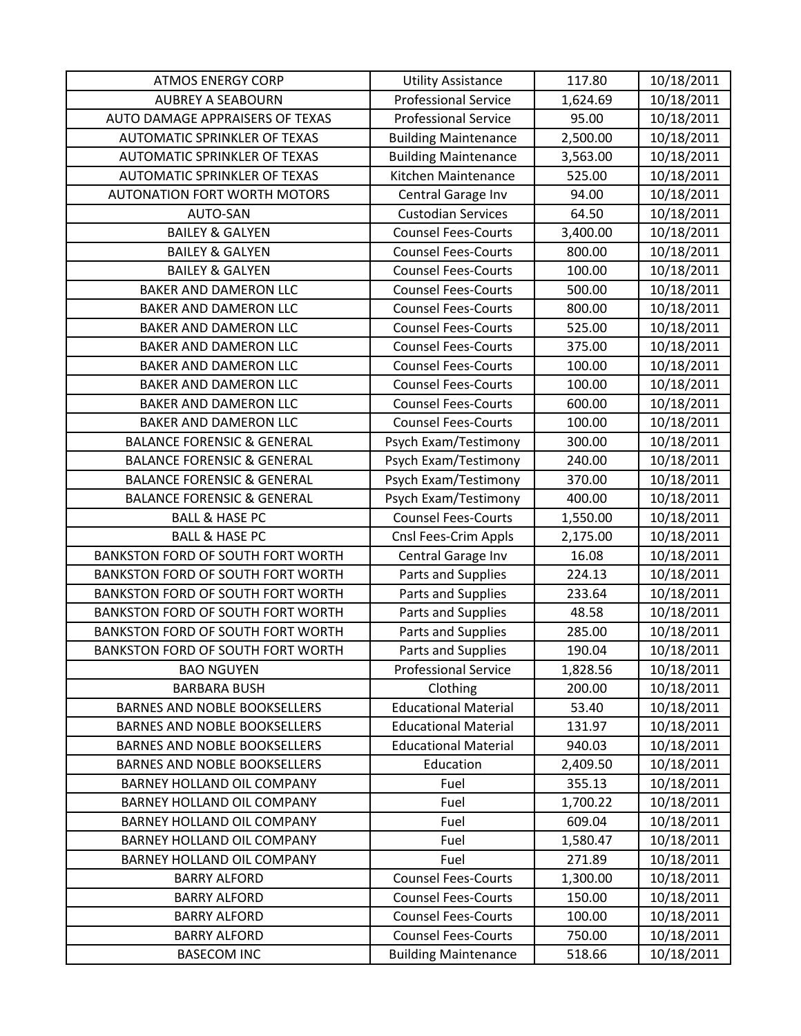| <b>ATMOS ENERGY CORP</b>                                                   | <b>Utility Assistance</b>                                  | 117.80           | 10/18/2011               |
|----------------------------------------------------------------------------|------------------------------------------------------------|------------------|--------------------------|
| <b>AUBREY A SEABOURN</b>                                                   | <b>Professional Service</b>                                | 1,624.69         | 10/18/2011               |
| AUTO DAMAGE APPRAISERS OF TEXAS                                            | <b>Professional Service</b>                                | 95.00            | 10/18/2011               |
| AUTOMATIC SPRINKLER OF TEXAS                                               | <b>Building Maintenance</b>                                | 2,500.00         | 10/18/2011               |
| <b>AUTOMATIC SPRINKLER OF TEXAS</b>                                        | <b>Building Maintenance</b>                                | 3,563.00         | 10/18/2011               |
| <b>AUTOMATIC SPRINKLER OF TEXAS</b>                                        | Kitchen Maintenance                                        | 525.00           | 10/18/2011               |
| <b>AUTONATION FORT WORTH MOTORS</b>                                        | Central Garage Inv                                         | 94.00            | 10/18/2011               |
| AUTO-SAN                                                                   | <b>Custodian Services</b>                                  | 64.50            | 10/18/2011               |
| <b>BAILEY &amp; GALYEN</b>                                                 | <b>Counsel Fees-Courts</b>                                 | 3,400.00         | 10/18/2011               |
| <b>BAILEY &amp; GALYEN</b>                                                 | <b>Counsel Fees-Courts</b>                                 | 800.00           | 10/18/2011               |
| <b>BAILEY &amp; GALYEN</b>                                                 | <b>Counsel Fees-Courts</b>                                 | 100.00           | 10/18/2011               |
| <b>BAKER AND DAMERON LLC</b>                                               | <b>Counsel Fees-Courts</b>                                 | 500.00           | 10/18/2011               |
| BAKER AND DAMERON LLC                                                      | <b>Counsel Fees-Courts</b>                                 | 800.00           | 10/18/2011               |
| <b>BAKER AND DAMERON LLC</b>                                               | <b>Counsel Fees-Courts</b>                                 | 525.00           | 10/18/2011               |
| <b>BAKER AND DAMERON LLC</b>                                               | <b>Counsel Fees-Courts</b>                                 | 375.00           | 10/18/2011               |
| BAKER AND DAMERON LLC                                                      | <b>Counsel Fees-Courts</b>                                 | 100.00           | 10/18/2011               |
| BAKER AND DAMERON LLC                                                      | <b>Counsel Fees-Courts</b>                                 | 100.00           | 10/18/2011               |
| BAKER AND DAMERON LLC                                                      | <b>Counsel Fees-Courts</b>                                 | 600.00           | 10/18/2011               |
| <b>BAKER AND DAMERON LLC</b>                                               | <b>Counsel Fees-Courts</b>                                 | 100.00           | 10/18/2011               |
| <b>BALANCE FORENSIC &amp; GENERAL</b>                                      | Psych Exam/Testimony                                       | 300.00           | 10/18/2011               |
| <b>BALANCE FORENSIC &amp; GENERAL</b>                                      | Psych Exam/Testimony                                       | 240.00           | 10/18/2011               |
| <b>BALANCE FORENSIC &amp; GENERAL</b>                                      | Psych Exam/Testimony                                       | 370.00           | 10/18/2011               |
| <b>BALANCE FORENSIC &amp; GENERAL</b>                                      | Psych Exam/Testimony                                       | 400.00           | 10/18/2011               |
| <b>BALL &amp; HASE PC</b>                                                  | <b>Counsel Fees-Courts</b>                                 | 1,550.00         | 10/18/2011               |
| <b>BALL &amp; HASE PC</b>                                                  | Cnsl Fees-Crim Appls                                       | 2,175.00         | 10/18/2011               |
| <b>BANKSTON FORD OF SOUTH FORT WORTH</b>                                   | Central Garage Inv                                         | 16.08            | 10/18/2011               |
| <b>BANKSTON FORD OF SOUTH FORT WORTH</b>                                   | Parts and Supplies                                         | 224.13           | 10/18/2011               |
| BANKSTON FORD OF SOUTH FORT WORTH                                          | Parts and Supplies                                         | 233.64           | 10/18/2011               |
| BANKSTON FORD OF SOUTH FORT WORTH                                          | Parts and Supplies                                         | 48.58            | 10/18/2011               |
| <b>BANKSTON FORD OF SOUTH FORT WORTH</b>                                   | Parts and Supplies                                         | 285.00           | 10/18/2011               |
| BANKSTON FORD OF SOUTH FORT WORTH                                          | Parts and Supplies                                         | 190.04           | 10/18/2011               |
| <b>BAO NGUYEN</b>                                                          | <b>Professional Service</b>                                | 1,828.56         | 10/18/2011               |
| <b>BARBARA BUSH</b>                                                        | Clothing                                                   | 200.00           | 10/18/2011               |
| <b>BARNES AND NOBLE BOOKSELLERS</b><br><b>BARNES AND NOBLE BOOKSELLERS</b> | <b>Educational Material</b><br><b>Educational Material</b> | 53.40            | 10/18/2011               |
| <b>BARNES AND NOBLE BOOKSELLERS</b>                                        | <b>Educational Material</b>                                | 131.97<br>940.03 | 10/18/2011<br>10/18/2011 |
| <b>BARNES AND NOBLE BOOKSELLERS</b>                                        | Education                                                  | 2,409.50         | 10/18/2011               |
| BARNEY HOLLAND OIL COMPANY                                                 | Fuel                                                       | 355.13           | 10/18/2011               |
| BARNEY HOLLAND OIL COMPANY                                                 | Fuel                                                       | 1,700.22         | 10/18/2011               |
| <b>BARNEY HOLLAND OIL COMPANY</b>                                          | Fuel                                                       | 609.04           | 10/18/2011               |
| <b>BARNEY HOLLAND OIL COMPANY</b>                                          | Fuel                                                       | 1,580.47         | 10/18/2011               |
| BARNEY HOLLAND OIL COMPANY                                                 | Fuel                                                       | 271.89           | 10/18/2011               |
| <b>BARRY ALFORD</b>                                                        | <b>Counsel Fees-Courts</b>                                 | 1,300.00         | 10/18/2011               |
| <b>BARRY ALFORD</b>                                                        | <b>Counsel Fees-Courts</b>                                 | 150.00           | 10/18/2011               |
| <b>BARRY ALFORD</b>                                                        | <b>Counsel Fees-Courts</b>                                 | 100.00           | 10/18/2011               |
| <b>BARRY ALFORD</b>                                                        | <b>Counsel Fees-Courts</b>                                 | 750.00           | 10/18/2011               |
| <b>BASECOM INC</b>                                                         | <b>Building Maintenance</b>                                | 518.66           | 10/18/2011               |
|                                                                            |                                                            |                  |                          |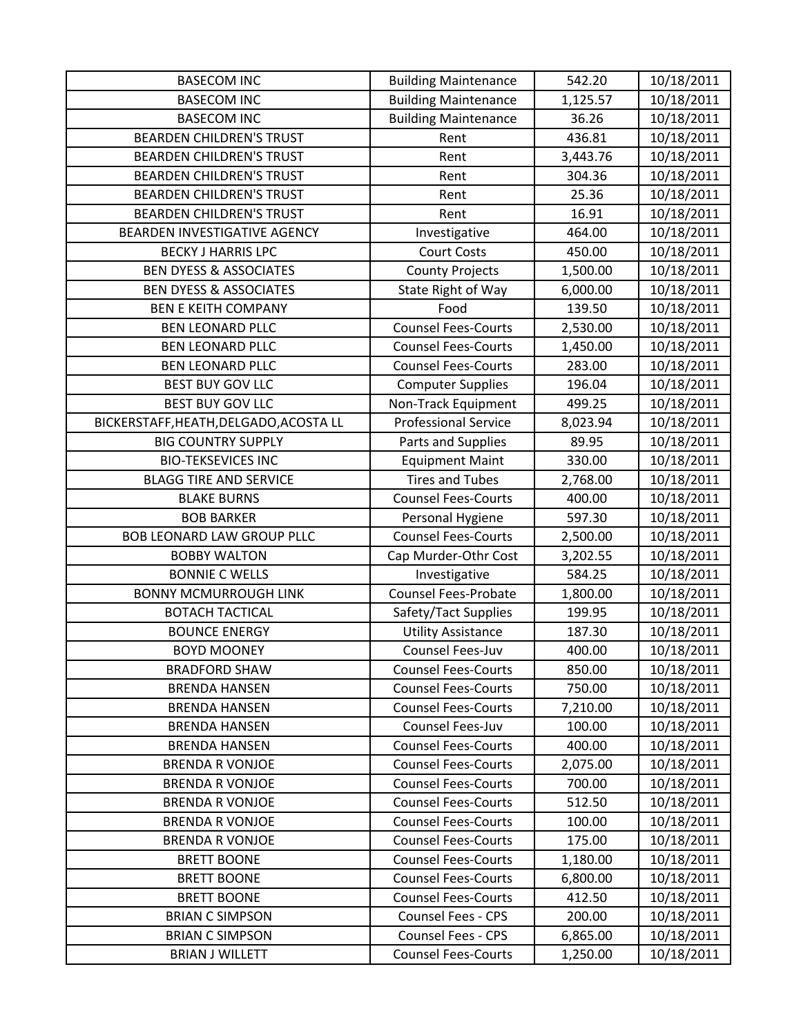| <b>BASECOM INC</b>                     | <b>Building Maintenance</b> | 542.20   | 10/18/2011 |
|----------------------------------------|-----------------------------|----------|------------|
| <b>BASECOM INC</b>                     | <b>Building Maintenance</b> | 1,125.57 | 10/18/2011 |
| <b>BASECOM INC</b>                     | <b>Building Maintenance</b> | 36.26    | 10/18/2011 |
| <b>BEARDEN CHILDREN'S TRUST</b>        | Rent                        | 436.81   | 10/18/2011 |
| <b>BEARDEN CHILDREN'S TRUST</b>        | Rent                        | 3,443.76 | 10/18/2011 |
| <b>BEARDEN CHILDREN'S TRUST</b>        | Rent                        | 304.36   | 10/18/2011 |
| <b>BEARDEN CHILDREN'S TRUST</b>        | Rent                        | 25.36    | 10/18/2011 |
| <b>BEARDEN CHILDREN'S TRUST</b>        | Rent                        | 16.91    | 10/18/2011 |
| BEARDEN INVESTIGATIVE AGENCY           | Investigative               | 464.00   | 10/18/2011 |
| <b>BECKY J HARRIS LPC</b>              | <b>Court Costs</b>          | 450.00   | 10/18/2011 |
| <b>BEN DYESS &amp; ASSOCIATES</b>      | <b>County Projects</b>      | 1,500.00 | 10/18/2011 |
| <b>BEN DYESS &amp; ASSOCIATES</b>      | State Right of Way          | 6,000.00 | 10/18/2011 |
| <b>BEN E KEITH COMPANY</b>             | Food                        | 139.50   | 10/18/2011 |
| <b>BEN LEONARD PLLC</b>                | <b>Counsel Fees-Courts</b>  | 2,530.00 | 10/18/2011 |
| <b>BEN LEONARD PLLC</b>                | <b>Counsel Fees-Courts</b>  | 1,450.00 | 10/18/2011 |
| <b>BEN LEONARD PLLC</b>                | <b>Counsel Fees-Courts</b>  | 283.00   | 10/18/2011 |
| <b>BEST BUY GOV LLC</b>                | <b>Computer Supplies</b>    | 196.04   | 10/18/2011 |
| <b>BEST BUY GOV LLC</b>                | Non-Track Equipment         | 499.25   | 10/18/2011 |
| BICKERSTAFF, HEATH, DELGADO, ACOSTA LL | <b>Professional Service</b> | 8,023.94 | 10/18/2011 |
| <b>BIG COUNTRY SUPPLY</b>              | Parts and Supplies          | 89.95    | 10/18/2011 |
| <b>BIO-TEKSEVICES INC</b>              | <b>Equipment Maint</b>      | 330.00   | 10/18/2011 |
| <b>BLAGG TIRE AND SERVICE</b>          | <b>Tires and Tubes</b>      | 2,768.00 | 10/18/2011 |
| <b>BLAKE BURNS</b>                     | <b>Counsel Fees-Courts</b>  | 400.00   | 10/18/2011 |
| <b>BOB BARKER</b>                      | Personal Hygiene            | 597.30   | 10/18/2011 |
| <b>BOB LEONARD LAW GROUP PLLC</b>      | <b>Counsel Fees-Courts</b>  | 2,500.00 | 10/18/2011 |
| <b>BOBBY WALTON</b>                    | Cap Murder-Othr Cost        | 3,202.55 | 10/18/2011 |
| <b>BONNIE C WELLS</b>                  | Investigative               | 584.25   | 10/18/2011 |
| <b>BONNY MCMURROUGH LINK</b>           | <b>Counsel Fees-Probate</b> | 1,800.00 | 10/18/2011 |
| <b>BOTACH TACTICAL</b>                 | Safety/Tact Supplies        | 199.95   | 10/18/2011 |
| <b>BOUNCE ENERGY</b>                   | <b>Utility Assistance</b>   | 187.30   | 10/18/2011 |
| <b>BOYD MOONEY</b>                     | Counsel Fees-Juv            | 400.00   | 10/18/2011 |
| <b>BRADFORD SHAW</b>                   | <b>Counsel Fees-Courts</b>  | 850.00   | 10/18/2011 |
| <b>BRENDA HANSEN</b>                   | <b>Counsel Fees-Courts</b>  | 750.00   | 10/18/2011 |
| <b>BRENDA HANSEN</b>                   | <b>Counsel Fees-Courts</b>  | 7,210.00 | 10/18/2011 |
| <b>BRENDA HANSEN</b>                   | Counsel Fees-Juv            | 100.00   | 10/18/2011 |
| <b>BRENDA HANSEN</b>                   | <b>Counsel Fees-Courts</b>  | 400.00   | 10/18/2011 |
| <b>BRENDA R VONJOE</b>                 | <b>Counsel Fees-Courts</b>  | 2,075.00 | 10/18/2011 |
| <b>BRENDA R VONJOE</b>                 | <b>Counsel Fees-Courts</b>  | 700.00   | 10/18/2011 |
| <b>BRENDA R VONJOE</b>                 | <b>Counsel Fees-Courts</b>  | 512.50   | 10/18/2011 |
| <b>BRENDA R VONJOE</b>                 | <b>Counsel Fees-Courts</b>  | 100.00   | 10/18/2011 |
| <b>BRENDA R VONJOE</b>                 | <b>Counsel Fees-Courts</b>  | 175.00   | 10/18/2011 |
| <b>BRETT BOONE</b>                     | <b>Counsel Fees-Courts</b>  | 1,180.00 | 10/18/2011 |
| <b>BRETT BOONE</b>                     | <b>Counsel Fees-Courts</b>  | 6,800.00 | 10/18/2011 |
| <b>BRETT BOONE</b>                     | <b>Counsel Fees-Courts</b>  | 412.50   | 10/18/2011 |
| <b>BRIAN C SIMPSON</b>                 | <b>Counsel Fees - CPS</b>   | 200.00   | 10/18/2011 |
| <b>BRIAN C SIMPSON</b>                 | <b>Counsel Fees - CPS</b>   | 6,865.00 | 10/18/2011 |
| <b>BRIAN J WILLETT</b>                 | <b>Counsel Fees-Courts</b>  | 1,250.00 | 10/18/2011 |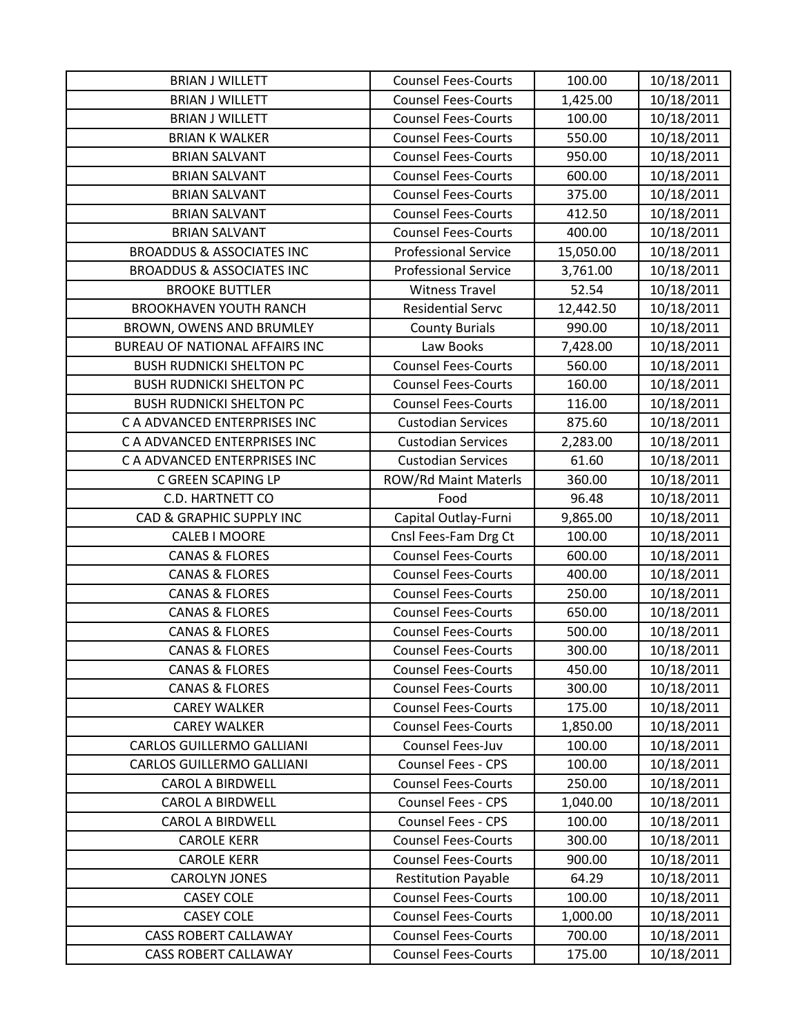| <b>BRIAN J WILLETT</b>               | <b>Counsel Fees-Courts</b>  | 100.00    | 10/18/2011 |
|--------------------------------------|-----------------------------|-----------|------------|
| <b>BRIAN J WILLETT</b>               | <b>Counsel Fees-Courts</b>  | 1,425.00  | 10/18/2011 |
| <b>BRIAN J WILLETT</b>               | <b>Counsel Fees-Courts</b>  | 100.00    | 10/18/2011 |
| <b>BRIAN K WALKER</b>                | <b>Counsel Fees-Courts</b>  | 550.00    | 10/18/2011 |
| <b>BRIAN SALVANT</b>                 | <b>Counsel Fees-Courts</b>  | 950.00    | 10/18/2011 |
| <b>BRIAN SALVANT</b>                 | <b>Counsel Fees-Courts</b>  | 600.00    | 10/18/2011 |
| <b>BRIAN SALVANT</b>                 | <b>Counsel Fees-Courts</b>  | 375.00    | 10/18/2011 |
| <b>BRIAN SALVANT</b>                 | <b>Counsel Fees-Courts</b>  | 412.50    | 10/18/2011 |
| <b>BRIAN SALVANT</b>                 | <b>Counsel Fees-Courts</b>  | 400.00    | 10/18/2011 |
| <b>BROADDUS &amp; ASSOCIATES INC</b> | <b>Professional Service</b> | 15,050.00 | 10/18/2011 |
| <b>BROADDUS &amp; ASSOCIATES INC</b> | <b>Professional Service</b> | 3,761.00  | 10/18/2011 |
| <b>BROOKE BUTTLER</b>                | <b>Witness Travel</b>       | 52.54     | 10/18/2011 |
| <b>BROOKHAVEN YOUTH RANCH</b>        | <b>Residential Servc</b>    | 12,442.50 | 10/18/2011 |
| BROWN, OWENS AND BRUMLEY             | <b>County Burials</b>       | 990.00    | 10/18/2011 |
| BUREAU OF NATIONAL AFFAIRS INC       | Law Books                   | 7,428.00  | 10/18/2011 |
| <b>BUSH RUDNICKI SHELTON PC</b>      | <b>Counsel Fees-Courts</b>  | 560.00    | 10/18/2011 |
| <b>BUSH RUDNICKI SHELTON PC</b>      | <b>Counsel Fees-Courts</b>  | 160.00    | 10/18/2011 |
| <b>BUSH RUDNICKI SHELTON PC</b>      | <b>Counsel Fees-Courts</b>  | 116.00    | 10/18/2011 |
| C A ADVANCED ENTERPRISES INC         | <b>Custodian Services</b>   | 875.60    | 10/18/2011 |
| C A ADVANCED ENTERPRISES INC         | <b>Custodian Services</b>   | 2,283.00  | 10/18/2011 |
| C A ADVANCED ENTERPRISES INC         | <b>Custodian Services</b>   | 61.60     | 10/18/2011 |
| C GREEN SCAPING LP                   | ROW/Rd Maint Materls        | 360.00    | 10/18/2011 |
| C.D. HARTNETT CO                     | Food                        | 96.48     | 10/18/2011 |
| <b>CAD &amp; GRAPHIC SUPPLY INC</b>  | Capital Outlay-Furni        | 9,865.00  | 10/18/2011 |
| CALEB I MOORE                        | Cnsl Fees-Fam Drg Ct        | 100.00    | 10/18/2011 |
| <b>CANAS &amp; FLORES</b>            | <b>Counsel Fees-Courts</b>  | 600.00    | 10/18/2011 |
| <b>CANAS &amp; FLORES</b>            | <b>Counsel Fees-Courts</b>  | 400.00    | 10/18/2011 |
| <b>CANAS &amp; FLORES</b>            | <b>Counsel Fees-Courts</b>  | 250.00    | 10/18/2011 |
| <b>CANAS &amp; FLORES</b>            | <b>Counsel Fees-Courts</b>  | 650.00    | 10/18/2011 |
| <b>CANAS &amp; FLORES</b>            | <b>Counsel Fees-Courts</b>  | 500.00    | 10/18/2011 |
| <b>CANAS &amp; FLORES</b>            | <b>Counsel Fees-Courts</b>  | 300.00    | 10/18/2011 |
| <b>CANAS &amp; FLORES</b>            | <b>Counsel Fees-Courts</b>  | 450.00    | 10/18/2011 |
| <b>CANAS &amp; FLORES</b>            | <b>Counsel Fees-Courts</b>  | 300.00    | 10/18/2011 |
| <b>CAREY WALKER</b>                  | <b>Counsel Fees-Courts</b>  | 175.00    | 10/18/2011 |
| <b>CAREY WALKER</b>                  | <b>Counsel Fees-Courts</b>  | 1,850.00  | 10/18/2011 |
| <b>CARLOS GUILLERMO GALLIANI</b>     | Counsel Fees-Juv            | 100.00    | 10/18/2011 |
| <b>CARLOS GUILLERMO GALLIANI</b>     | <b>Counsel Fees - CPS</b>   | 100.00    | 10/18/2011 |
| <b>CAROL A BIRDWELL</b>              | <b>Counsel Fees-Courts</b>  | 250.00    | 10/18/2011 |
| <b>CAROL A BIRDWELL</b>              | <b>Counsel Fees - CPS</b>   | 1,040.00  | 10/18/2011 |
| <b>CAROL A BIRDWELL</b>              | Counsel Fees - CPS          | 100.00    | 10/18/2011 |
| <b>CAROLE KERR</b>                   | <b>Counsel Fees-Courts</b>  | 300.00    | 10/18/2011 |
| <b>CAROLE KERR</b>                   | <b>Counsel Fees-Courts</b>  | 900.00    | 10/18/2011 |
| <b>CAROLYN JONES</b>                 | <b>Restitution Payable</b>  | 64.29     | 10/18/2011 |
| <b>CASEY COLE</b>                    | <b>Counsel Fees-Courts</b>  | 100.00    | 10/18/2011 |
| <b>CASEY COLE</b>                    | <b>Counsel Fees-Courts</b>  | 1,000.00  | 10/18/2011 |
| <b>CASS ROBERT CALLAWAY</b>          | <b>Counsel Fees-Courts</b>  | 700.00    | 10/18/2011 |
| <b>CASS ROBERT CALLAWAY</b>          | <b>Counsel Fees-Courts</b>  | 175.00    | 10/18/2011 |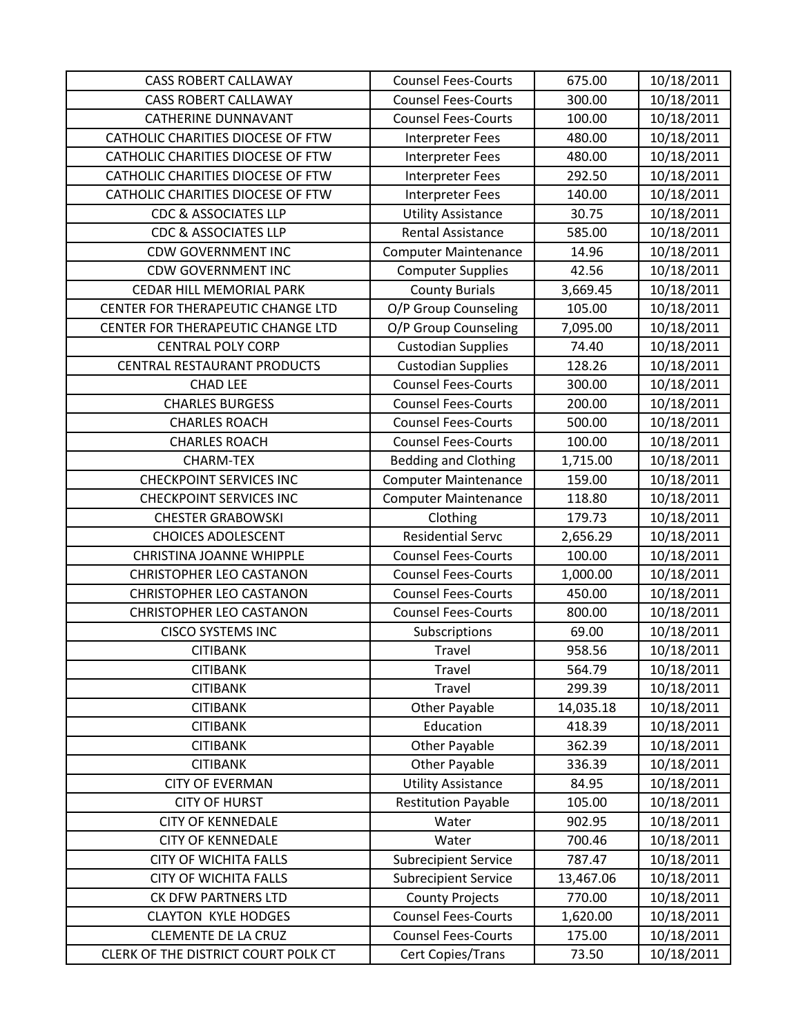| <b>CASS ROBERT CALLAWAY</b>         | <b>Counsel Fees-Courts</b>  | 675.00    | 10/18/2011 |
|-------------------------------------|-----------------------------|-----------|------------|
| <b>CASS ROBERT CALLAWAY</b>         | <b>Counsel Fees-Courts</b>  | 300.00    | 10/18/2011 |
| <b>CATHERINE DUNNAVANT</b>          | <b>Counsel Fees-Courts</b>  | 100.00    | 10/18/2011 |
| CATHOLIC CHARITIES DIOCESE OF FTW   | Interpreter Fees            | 480.00    | 10/18/2011 |
| CATHOLIC CHARITIES DIOCESE OF FTW   | Interpreter Fees            | 480.00    | 10/18/2011 |
| CATHOLIC CHARITIES DIOCESE OF FTW   | Interpreter Fees            | 292.50    | 10/18/2011 |
| CATHOLIC CHARITIES DIOCESE OF FTW   | <b>Interpreter Fees</b>     | 140.00    | 10/18/2011 |
| <b>CDC &amp; ASSOCIATES LLP</b>     | <b>Utility Assistance</b>   | 30.75     | 10/18/2011 |
| <b>CDC &amp; ASSOCIATES LLP</b>     | <b>Rental Assistance</b>    | 585.00    | 10/18/2011 |
| <b>CDW GOVERNMENT INC</b>           | <b>Computer Maintenance</b> | 14.96     | 10/18/2011 |
| <b>CDW GOVERNMENT INC</b>           | <b>Computer Supplies</b>    | 42.56     | 10/18/2011 |
| CEDAR HILL MEMORIAL PARK            | <b>County Burials</b>       | 3,669.45  | 10/18/2011 |
| CENTER FOR THERAPEUTIC CHANGE LTD   | O/P Group Counseling        | 105.00    | 10/18/2011 |
| CENTER FOR THERAPEUTIC CHANGE LTD   | O/P Group Counseling        | 7,095.00  | 10/18/2011 |
| <b>CENTRAL POLY CORP</b>            | <b>Custodian Supplies</b>   | 74.40     | 10/18/2011 |
| CENTRAL RESTAURANT PRODUCTS         | <b>Custodian Supplies</b>   | 128.26    | 10/18/2011 |
| <b>CHAD LEE</b>                     | <b>Counsel Fees-Courts</b>  | 300.00    | 10/18/2011 |
| <b>CHARLES BURGESS</b>              | <b>Counsel Fees-Courts</b>  | 200.00    | 10/18/2011 |
| <b>CHARLES ROACH</b>                | <b>Counsel Fees-Courts</b>  | 500.00    | 10/18/2011 |
| <b>CHARLES ROACH</b>                | <b>Counsel Fees-Courts</b>  | 100.00    | 10/18/2011 |
| <b>CHARM-TEX</b>                    | <b>Bedding and Clothing</b> | 1,715.00  | 10/18/2011 |
| <b>CHECKPOINT SERVICES INC</b>      | <b>Computer Maintenance</b> | 159.00    | 10/18/2011 |
| <b>CHECKPOINT SERVICES INC</b>      | <b>Computer Maintenance</b> | 118.80    | 10/18/2011 |
| <b>CHESTER GRABOWSKI</b>            | Clothing                    | 179.73    | 10/18/2011 |
| <b>CHOICES ADOLESCENT</b>           | <b>Residential Servc</b>    | 2,656.29  | 10/18/2011 |
| <b>CHRISTINA JOANNE WHIPPLE</b>     | <b>Counsel Fees-Courts</b>  | 100.00    | 10/18/2011 |
| <b>CHRISTOPHER LEO CASTANON</b>     | <b>Counsel Fees-Courts</b>  | 1,000.00  | 10/18/2011 |
| <b>CHRISTOPHER LEO CASTANON</b>     | <b>Counsel Fees-Courts</b>  | 450.00    | 10/18/2011 |
| <b>CHRISTOPHER LEO CASTANON</b>     | <b>Counsel Fees-Courts</b>  | 800.00    | 10/18/2011 |
| <b>CISCO SYSTEMS INC</b>            | Subscriptions               | 69.00     | 10/18/2011 |
| <b>CITIBANK</b>                     | Travel                      | 958.56    | 10/18/2011 |
| <b>CITIBANK</b>                     | Travel                      | 564.79    | 10/18/2011 |
| <b>CITIBANK</b>                     | Travel                      | 299.39    | 10/18/2011 |
| <b>CITIBANK</b>                     | <b>Other Payable</b>        | 14,035.18 | 10/18/2011 |
| <b>CITIBANK</b>                     | Education                   | 418.39    | 10/18/2011 |
| <b>CITIBANK</b>                     | <b>Other Payable</b>        | 362.39    | 10/18/2011 |
| <b>CITIBANK</b>                     | Other Payable               | 336.39    | 10/18/2011 |
| <b>CITY OF EVERMAN</b>              | <b>Utility Assistance</b>   | 84.95     | 10/18/2011 |
| <b>CITY OF HURST</b>                | <b>Restitution Payable</b>  | 105.00    | 10/18/2011 |
| <b>CITY OF KENNEDALE</b>            | Water                       | 902.95    | 10/18/2011 |
| <b>CITY OF KENNEDALE</b>            | Water                       | 700.46    | 10/18/2011 |
| <b>CITY OF WICHITA FALLS</b>        | <b>Subrecipient Service</b> | 787.47    | 10/18/2011 |
| <b>CITY OF WICHITA FALLS</b>        | <b>Subrecipient Service</b> | 13,467.06 | 10/18/2011 |
| CK DFW PARTNERS LTD                 | <b>County Projects</b>      | 770.00    | 10/18/2011 |
| <b>CLAYTON KYLE HODGES</b>          | <b>Counsel Fees-Courts</b>  | 1,620.00  | 10/18/2011 |
| <b>CLEMENTE DE LA CRUZ</b>          | <b>Counsel Fees-Courts</b>  | 175.00    | 10/18/2011 |
| CLERK OF THE DISTRICT COURT POLK CT | Cert Copies/Trans           | 73.50     | 10/18/2011 |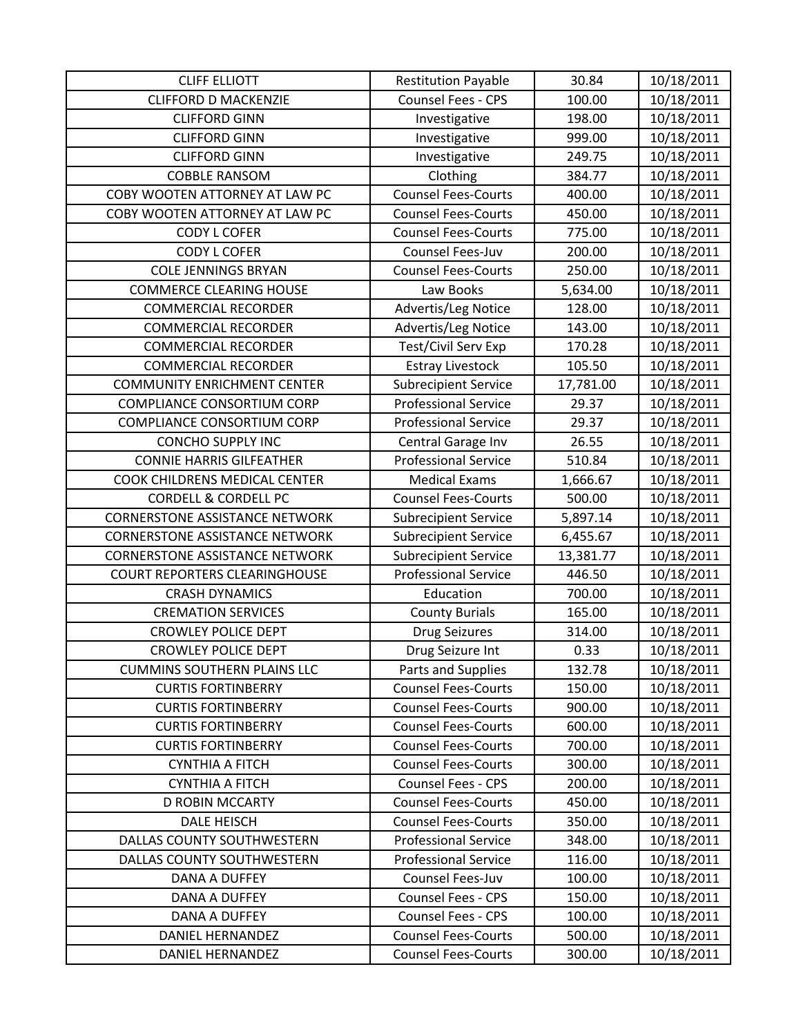| <b>CLIFF ELLIOTT</b>                  | <b>Restitution Payable</b>  | 30.84     | 10/18/2011 |
|---------------------------------------|-----------------------------|-----------|------------|
| <b>CLIFFORD D MACKENZIE</b>           | Counsel Fees - CPS          | 100.00    | 10/18/2011 |
| <b>CLIFFORD GINN</b>                  | Investigative               | 198.00    | 10/18/2011 |
| <b>CLIFFORD GINN</b>                  | Investigative               | 999.00    | 10/18/2011 |
| <b>CLIFFORD GINN</b>                  | Investigative               | 249.75    | 10/18/2011 |
| <b>COBBLE RANSOM</b>                  | Clothing                    | 384.77    | 10/18/2011 |
| COBY WOOTEN ATTORNEY AT LAW PC        | <b>Counsel Fees-Courts</b>  | 400.00    | 10/18/2011 |
| COBY WOOTEN ATTORNEY AT LAW PC        | <b>Counsel Fees-Courts</b>  | 450.00    | 10/18/2011 |
| <b>CODY L COFER</b>                   | <b>Counsel Fees-Courts</b>  | 775.00    | 10/18/2011 |
| <b>CODY L COFER</b>                   | Counsel Fees-Juv            | 200.00    | 10/18/2011 |
| <b>COLE JENNINGS BRYAN</b>            | <b>Counsel Fees-Courts</b>  | 250.00    | 10/18/2011 |
| <b>COMMERCE CLEARING HOUSE</b>        | Law Books                   | 5,634.00  | 10/18/2011 |
| <b>COMMERCIAL RECORDER</b>            | Advertis/Leg Notice         | 128.00    | 10/18/2011 |
| <b>COMMERCIAL RECORDER</b>            | Advertis/Leg Notice         | 143.00    | 10/18/2011 |
| <b>COMMERCIAL RECORDER</b>            | Test/Civil Serv Exp         | 170.28    | 10/18/2011 |
| <b>COMMERCIAL RECORDER</b>            | <b>Estray Livestock</b>     | 105.50    | 10/18/2011 |
| <b>COMMUNITY ENRICHMENT CENTER</b>    | <b>Subrecipient Service</b> | 17,781.00 | 10/18/2011 |
| <b>COMPLIANCE CONSORTIUM CORP</b>     | <b>Professional Service</b> | 29.37     | 10/18/2011 |
| <b>COMPLIANCE CONSORTIUM CORP</b>     | <b>Professional Service</b> | 29.37     | 10/18/2011 |
| <b>CONCHO SUPPLY INC</b>              | Central Garage Inv          | 26.55     | 10/18/2011 |
| <b>CONNIE HARRIS GILFEATHER</b>       | <b>Professional Service</b> | 510.84    | 10/18/2011 |
| COOK CHILDRENS MEDICAL CENTER         | <b>Medical Exams</b>        | 1,666.67  | 10/18/2011 |
| <b>CORDELL &amp; CORDELL PC</b>       | <b>Counsel Fees-Courts</b>  | 500.00    | 10/18/2011 |
| <b>CORNERSTONE ASSISTANCE NETWORK</b> | <b>Subrecipient Service</b> | 5,897.14  | 10/18/2011 |
| <b>CORNERSTONE ASSISTANCE NETWORK</b> | <b>Subrecipient Service</b> | 6,455.67  | 10/18/2011 |
| <b>CORNERSTONE ASSISTANCE NETWORK</b> | <b>Subrecipient Service</b> | 13,381.77 | 10/18/2011 |
| COURT REPORTERS CLEARINGHOUSE         | <b>Professional Service</b> | 446.50    | 10/18/2011 |
| <b>CRASH DYNAMICS</b>                 | Education                   | 700.00    | 10/18/2011 |
| <b>CREMATION SERVICES</b>             | <b>County Burials</b>       | 165.00    | 10/18/2011 |
| <b>CROWLEY POLICE DEPT</b>            | <b>Drug Seizures</b>        | 314.00    | 10/18/2011 |
| <b>CROWLEY POLICE DEPT</b>            | Drug Seizure Int            | 0.33      | 10/18/2011 |
| <b>CUMMINS SOUTHERN PLAINS LLC</b>    | Parts and Supplies          | 132.78    | 10/18/2011 |
| <b>CURTIS FORTINBERRY</b>             | <b>Counsel Fees-Courts</b>  | 150.00    | 10/18/2011 |
| <b>CURTIS FORTINBERRY</b>             | <b>Counsel Fees-Courts</b>  | 900.00    | 10/18/2011 |
| <b>CURTIS FORTINBERRY</b>             | <b>Counsel Fees-Courts</b>  | 600.00    | 10/18/2011 |
| <b>CURTIS FORTINBERRY</b>             | <b>Counsel Fees-Courts</b>  | 700.00    | 10/18/2011 |
| <b>CYNTHIA A FITCH</b>                | <b>Counsel Fees-Courts</b>  | 300.00    | 10/18/2011 |
| <b>CYNTHIA A FITCH</b>                | <b>Counsel Fees - CPS</b>   | 200.00    | 10/18/2011 |
| <b>D ROBIN MCCARTY</b>                | <b>Counsel Fees-Courts</b>  | 450.00    | 10/18/2011 |
| <b>DALE HEISCH</b>                    | <b>Counsel Fees-Courts</b>  | 350.00    | 10/18/2011 |
| DALLAS COUNTY SOUTHWESTERN            | <b>Professional Service</b> | 348.00    | 10/18/2011 |
| DALLAS COUNTY SOUTHWESTERN            | <b>Professional Service</b> | 116.00    | 10/18/2011 |
| DANA A DUFFEY                         | Counsel Fees-Juv            | 100.00    | 10/18/2011 |
| DANA A DUFFEY                         | Counsel Fees - CPS          | 150.00    | 10/18/2011 |
| DANA A DUFFEY                         | <b>Counsel Fees - CPS</b>   | 100.00    | 10/18/2011 |
| DANIEL HERNANDEZ                      | <b>Counsel Fees-Courts</b>  | 500.00    | 10/18/2011 |
| DANIEL HERNANDEZ                      | <b>Counsel Fees-Courts</b>  | 300.00    | 10/18/2011 |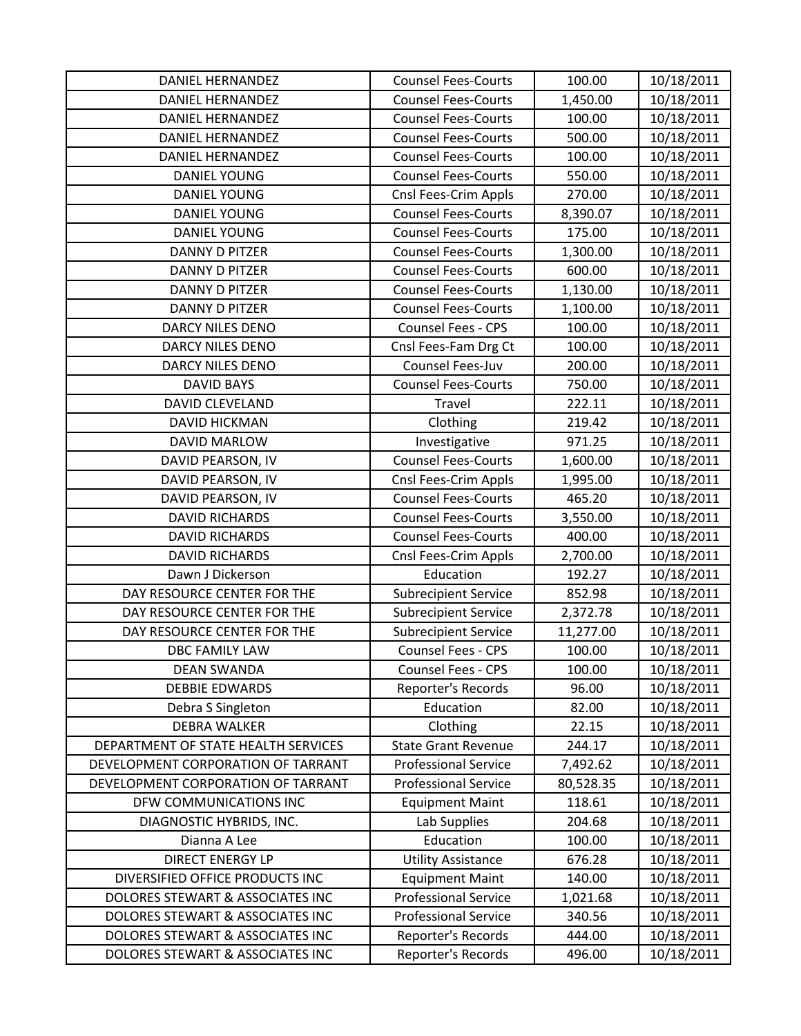| DANIEL HERNANDEZ                    | <b>Counsel Fees-Courts</b>  | 100.00    | 10/18/2011 |
|-------------------------------------|-----------------------------|-----------|------------|
| <b>DANIEL HERNANDEZ</b>             | <b>Counsel Fees-Courts</b>  | 1,450.00  | 10/18/2011 |
| DANIEL HERNANDEZ                    | <b>Counsel Fees-Courts</b>  | 100.00    | 10/18/2011 |
| DANIEL HERNANDEZ                    | <b>Counsel Fees-Courts</b>  | 500.00    | 10/18/2011 |
| <b>DANIEL HERNANDEZ</b>             | <b>Counsel Fees-Courts</b>  | 100.00    | 10/18/2011 |
| <b>DANIEL YOUNG</b>                 | <b>Counsel Fees-Courts</b>  | 550.00    | 10/18/2011 |
| <b>DANIEL YOUNG</b>                 | Cnsl Fees-Crim Appls        | 270.00    | 10/18/2011 |
| <b>DANIEL YOUNG</b>                 | <b>Counsel Fees-Courts</b>  | 8,390.07  | 10/18/2011 |
| <b>DANIEL YOUNG</b>                 | <b>Counsel Fees-Courts</b>  | 175.00    | 10/18/2011 |
| <b>DANNY D PITZER</b>               | <b>Counsel Fees-Courts</b>  | 1,300.00  | 10/18/2011 |
| <b>DANNY D PITZER</b>               | <b>Counsel Fees-Courts</b>  | 600.00    | 10/18/2011 |
| DANNY D PITZER                      | <b>Counsel Fees-Courts</b>  | 1,130.00  | 10/18/2011 |
| <b>DANNY D PITZER</b>               | <b>Counsel Fees-Courts</b>  | 1,100.00  | 10/18/2011 |
| <b>DARCY NILES DENO</b>             | Counsel Fees - CPS          | 100.00    | 10/18/2011 |
| DARCY NILES DENO                    | Cnsl Fees-Fam Drg Ct        | 100.00    | 10/18/2011 |
| DARCY NILES DENO                    | Counsel Fees-Juv            | 200.00    | 10/18/2011 |
| <b>DAVID BAYS</b>                   | <b>Counsel Fees-Courts</b>  | 750.00    | 10/18/2011 |
| <b>DAVID CLEVELAND</b>              | Travel                      | 222.11    | 10/18/2011 |
| <b>DAVID HICKMAN</b>                | Clothing                    | 219.42    | 10/18/2011 |
| <b>DAVID MARLOW</b>                 | Investigative               | 971.25    | 10/18/2011 |
| DAVID PEARSON, IV                   | <b>Counsel Fees-Courts</b>  | 1,600.00  | 10/18/2011 |
| DAVID PEARSON, IV                   | Cnsl Fees-Crim Appls        | 1,995.00  | 10/18/2011 |
| DAVID PEARSON, IV                   | <b>Counsel Fees-Courts</b>  | 465.20    | 10/18/2011 |
| <b>DAVID RICHARDS</b>               | <b>Counsel Fees-Courts</b>  | 3,550.00  | 10/18/2011 |
| <b>DAVID RICHARDS</b>               | <b>Counsel Fees-Courts</b>  | 400.00    | 10/18/2011 |
| <b>DAVID RICHARDS</b>               | Cnsl Fees-Crim Appls        | 2,700.00  | 10/18/2011 |
| Dawn J Dickerson                    | Education                   | 192.27    | 10/18/2011 |
| DAY RESOURCE CENTER FOR THE         | <b>Subrecipient Service</b> | 852.98    | 10/18/2011 |
| DAY RESOURCE CENTER FOR THE         | <b>Subrecipient Service</b> | 2,372.78  | 10/18/2011 |
| DAY RESOURCE CENTER FOR THE         | <b>Subrecipient Service</b> | 11,277.00 | 10/18/2011 |
| <b>DBC FAMILY LAW</b>               | <b>Counsel Fees - CPS</b>   | 100.00    | 10/18/2011 |
| <b>DEAN SWANDA</b>                  | Counsel Fees - CPS          | 100.00    | 10/18/2011 |
| <b>DEBBIE EDWARDS</b>               | Reporter's Records          | 96.00     | 10/18/2011 |
| Debra S Singleton                   | Education                   | 82.00     | 10/18/2011 |
| <b>DEBRA WALKER</b>                 | Clothing                    | 22.15     | 10/18/2011 |
| DEPARTMENT OF STATE HEALTH SERVICES | <b>State Grant Revenue</b>  | 244.17    | 10/18/2011 |
| DEVELOPMENT CORPORATION OF TARRANT  | <b>Professional Service</b> | 7,492.62  | 10/18/2011 |
| DEVELOPMENT CORPORATION OF TARRANT  | <b>Professional Service</b> | 80,528.35 | 10/18/2011 |
| DFW COMMUNICATIONS INC              | <b>Equipment Maint</b>      | 118.61    | 10/18/2011 |
| DIAGNOSTIC HYBRIDS, INC.            | Lab Supplies                | 204.68    | 10/18/2011 |
| Dianna A Lee                        | Education                   | 100.00    | 10/18/2011 |
| <b>DIRECT ENERGY LP</b>             | <b>Utility Assistance</b>   | 676.28    | 10/18/2011 |
| DIVERSIFIED OFFICE PRODUCTS INC     | <b>Equipment Maint</b>      | 140.00    | 10/18/2011 |
| DOLORES STEWART & ASSOCIATES INC    | <b>Professional Service</b> | 1,021.68  | 10/18/2011 |
| DOLORES STEWART & ASSOCIATES INC    | <b>Professional Service</b> | 340.56    | 10/18/2011 |
| DOLORES STEWART & ASSOCIATES INC    | Reporter's Records          | 444.00    | 10/18/2011 |
| DOLORES STEWART & ASSOCIATES INC    | Reporter's Records          | 496.00    | 10/18/2011 |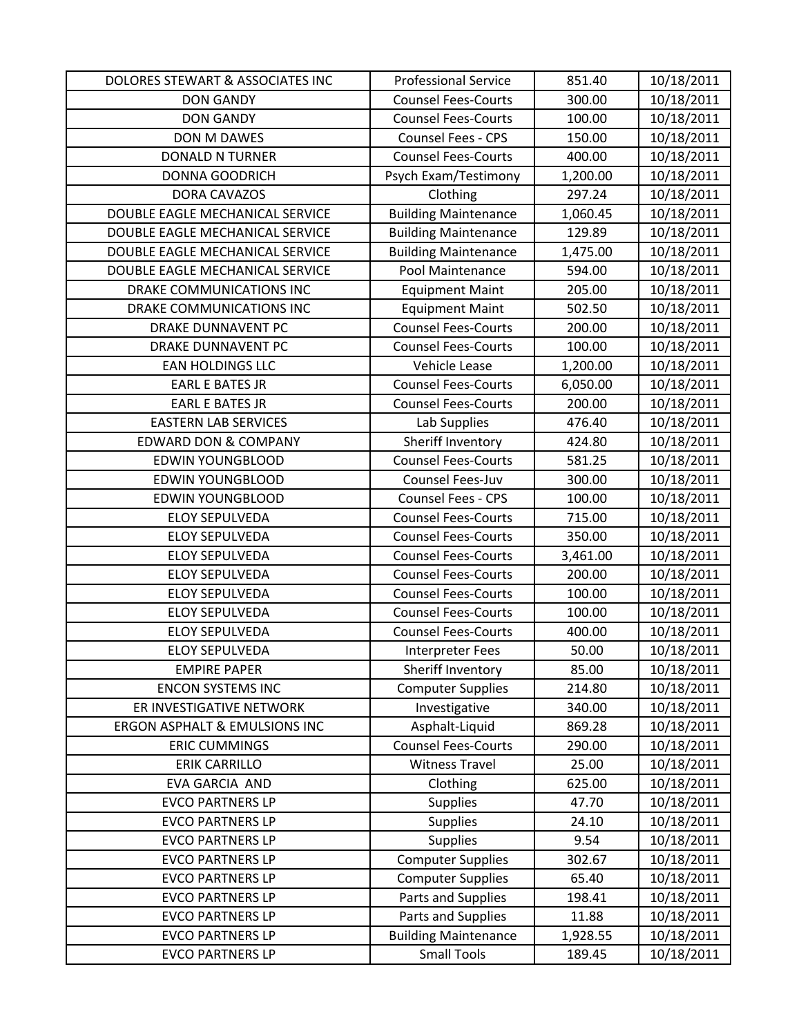| DOLORES STEWART & ASSOCIATES INC | <b>Professional Service</b> | 851.40   | 10/18/2011 |
|----------------------------------|-----------------------------|----------|------------|
| <b>DON GANDY</b>                 | <b>Counsel Fees-Courts</b>  | 300.00   | 10/18/2011 |
| <b>DON GANDY</b>                 | <b>Counsel Fees-Courts</b>  | 100.00   | 10/18/2011 |
| DON M DAWES                      | Counsel Fees - CPS          | 150.00   | 10/18/2011 |
| <b>DONALD N TURNER</b>           | <b>Counsel Fees-Courts</b>  | 400.00   | 10/18/2011 |
| <b>DONNA GOODRICH</b>            | Psych Exam/Testimony        | 1,200.00 | 10/18/2011 |
| DORA CAVAZOS                     | Clothing                    | 297.24   | 10/18/2011 |
| DOUBLE EAGLE MECHANICAL SERVICE  | <b>Building Maintenance</b> | 1,060.45 | 10/18/2011 |
| DOUBLE EAGLE MECHANICAL SERVICE  | <b>Building Maintenance</b> | 129.89   | 10/18/2011 |
| DOUBLE EAGLE MECHANICAL SERVICE  | <b>Building Maintenance</b> | 1,475.00 | 10/18/2011 |
| DOUBLE EAGLE MECHANICAL SERVICE  | Pool Maintenance            | 594.00   | 10/18/2011 |
| DRAKE COMMUNICATIONS INC         | <b>Equipment Maint</b>      | 205.00   | 10/18/2011 |
| DRAKE COMMUNICATIONS INC         | <b>Equipment Maint</b>      | 502.50   | 10/18/2011 |
| <b>DRAKE DUNNAVENT PC</b>        | <b>Counsel Fees-Courts</b>  | 200.00   | 10/18/2011 |
| <b>DRAKE DUNNAVENT PC</b>        | <b>Counsel Fees-Courts</b>  | 100.00   | 10/18/2011 |
| <b>EAN HOLDINGS LLC</b>          | Vehicle Lease               | 1,200.00 | 10/18/2011 |
| <b>EARL E BATES JR</b>           | <b>Counsel Fees-Courts</b>  | 6,050.00 | 10/18/2011 |
| <b>EARL E BATES JR</b>           | <b>Counsel Fees-Courts</b>  | 200.00   | 10/18/2011 |
| <b>EASTERN LAB SERVICES</b>      | Lab Supplies                | 476.40   | 10/18/2011 |
| <b>EDWARD DON &amp; COMPANY</b>  | Sheriff Inventory           | 424.80   | 10/18/2011 |
| <b>EDWIN YOUNGBLOOD</b>          | <b>Counsel Fees-Courts</b>  | 581.25   | 10/18/2011 |
| <b>EDWIN YOUNGBLOOD</b>          | Counsel Fees-Juv            | 300.00   | 10/18/2011 |
| <b>EDWIN YOUNGBLOOD</b>          | Counsel Fees - CPS          | 100.00   | 10/18/2011 |
| <b>ELOY SEPULVEDA</b>            | <b>Counsel Fees-Courts</b>  | 715.00   | 10/18/2011 |
| <b>ELOY SEPULVEDA</b>            | <b>Counsel Fees-Courts</b>  | 350.00   | 10/18/2011 |
| <b>ELOY SEPULVEDA</b>            | <b>Counsel Fees-Courts</b>  | 3,461.00 | 10/18/2011 |
| <b>ELOY SEPULVEDA</b>            | <b>Counsel Fees-Courts</b>  | 200.00   | 10/18/2011 |
| <b>ELOY SEPULVEDA</b>            | <b>Counsel Fees-Courts</b>  | 100.00   | 10/18/2011 |
| <b>ELOY SEPULVEDA</b>            | <b>Counsel Fees-Courts</b>  | 100.00   | 10/18/2011 |
| <b>ELOY SEPULVEDA</b>            | <b>Counsel Fees-Courts</b>  | 400.00   | 10/18/2011 |
| <b>ELOY SEPULVEDA</b>            | <b>Interpreter Fees</b>     | 50.00    | 10/18/2011 |
| <b>EMPIRE PAPER</b>              | Sheriff Inventory           | 85.00    | 10/18/2011 |
| <b>ENCON SYSTEMS INC</b>         | <b>Computer Supplies</b>    | 214.80   | 10/18/2011 |
| ER INVESTIGATIVE NETWORK         | Investigative               | 340.00   | 10/18/2011 |
| ERGON ASPHALT & EMULSIONS INC    | Asphalt-Liquid              | 869.28   | 10/18/2011 |
| <b>ERIC CUMMINGS</b>             | <b>Counsel Fees-Courts</b>  | 290.00   | 10/18/2011 |
| <b>ERIK CARRILLO</b>             | <b>Witness Travel</b>       | 25.00    | 10/18/2011 |
| EVA GARCIA AND                   | Clothing                    | 625.00   | 10/18/2011 |
| <b>EVCO PARTNERS LP</b>          | <b>Supplies</b>             | 47.70    | 10/18/2011 |
| <b>EVCO PARTNERS LP</b>          | Supplies                    | 24.10    | 10/18/2011 |
| <b>EVCO PARTNERS LP</b>          | <b>Supplies</b>             | 9.54     | 10/18/2011 |
| <b>EVCO PARTNERS LP</b>          | <b>Computer Supplies</b>    | 302.67   | 10/18/2011 |
| <b>EVCO PARTNERS LP</b>          | <b>Computer Supplies</b>    | 65.40    | 10/18/2011 |
| <b>EVCO PARTNERS LP</b>          | Parts and Supplies          | 198.41   | 10/18/2011 |
| <b>EVCO PARTNERS LP</b>          | Parts and Supplies          | 11.88    | 10/18/2011 |
| <b>EVCO PARTNERS LP</b>          | <b>Building Maintenance</b> | 1,928.55 | 10/18/2011 |
| <b>EVCO PARTNERS LP</b>          | <b>Small Tools</b>          | 189.45   | 10/18/2011 |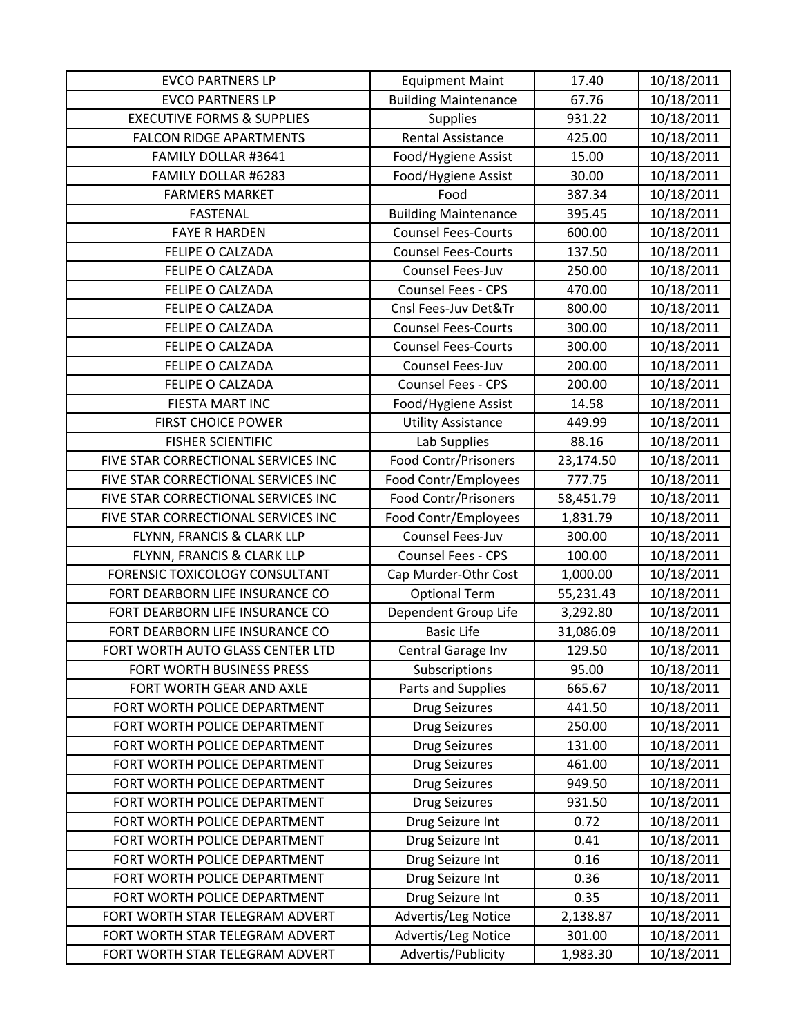| <b>EVCO PARTNERS LP</b>               | <b>Equipment Maint</b>      | 17.40     | 10/18/2011 |
|---------------------------------------|-----------------------------|-----------|------------|
| <b>EVCO PARTNERS LP</b>               | <b>Building Maintenance</b> | 67.76     | 10/18/2011 |
| <b>EXECUTIVE FORMS &amp; SUPPLIES</b> | <b>Supplies</b>             | 931.22    | 10/18/2011 |
| <b>FALCON RIDGE APARTMENTS</b>        | <b>Rental Assistance</b>    | 425.00    | 10/18/2011 |
| FAMILY DOLLAR #3641                   | Food/Hygiene Assist         | 15.00     | 10/18/2011 |
| FAMILY DOLLAR #6283                   | Food/Hygiene Assist         | 30.00     | 10/18/2011 |
| <b>FARMERS MARKET</b>                 | Food                        | 387.34    | 10/18/2011 |
| <b>FASTENAL</b>                       | <b>Building Maintenance</b> | 395.45    | 10/18/2011 |
| <b>FAYE R HARDEN</b>                  | <b>Counsel Fees-Courts</b>  | 600.00    | 10/18/2011 |
| <b>FELIPE O CALZADA</b>               | <b>Counsel Fees-Courts</b>  | 137.50    | 10/18/2011 |
| <b>FELIPE O CALZADA</b>               | Counsel Fees-Juv            | 250.00    | 10/18/2011 |
| FELIPE O CALZADA                      | Counsel Fees - CPS          | 470.00    | 10/18/2011 |
| FELIPE O CALZADA                      | Cnsl Fees-Juv Det&Tr        | 800.00    | 10/18/2011 |
| FELIPE O CALZADA                      | <b>Counsel Fees-Courts</b>  | 300.00    | 10/18/2011 |
| FELIPE O CALZADA                      | <b>Counsel Fees-Courts</b>  | 300.00    | 10/18/2011 |
| FELIPE O CALZADA                      | Counsel Fees-Juv            | 200.00    | 10/18/2011 |
| FELIPE O CALZADA                      | <b>Counsel Fees - CPS</b>   | 200.00    | 10/18/2011 |
| FIESTA MART INC                       | Food/Hygiene Assist         | 14.58     | 10/18/2011 |
| <b>FIRST CHOICE POWER</b>             | <b>Utility Assistance</b>   | 449.99    | 10/18/2011 |
| <b>FISHER SCIENTIFIC</b>              | Lab Supplies                | 88.16     | 10/18/2011 |
| FIVE STAR CORRECTIONAL SERVICES INC   | <b>Food Contr/Prisoners</b> | 23,174.50 | 10/18/2011 |
| FIVE STAR CORRECTIONAL SERVICES INC   | Food Contr/Employees        | 777.75    | 10/18/2011 |
| FIVE STAR CORRECTIONAL SERVICES INC   | Food Contr/Prisoners        | 58,451.79 | 10/18/2011 |
| FIVE STAR CORRECTIONAL SERVICES INC   | Food Contr/Employees        | 1,831.79  | 10/18/2011 |
| FLYNN, FRANCIS & CLARK LLP            | Counsel Fees-Juv            | 300.00    | 10/18/2011 |
| FLYNN, FRANCIS & CLARK LLP            | Counsel Fees - CPS          | 100.00    | 10/18/2011 |
| FORENSIC TOXICOLOGY CONSULTANT        | Cap Murder-Othr Cost        | 1,000.00  | 10/18/2011 |
| FORT DEARBORN LIFE INSURANCE CO       | <b>Optional Term</b>        | 55,231.43 | 10/18/2011 |
| FORT DEARBORN LIFE INSURANCE CO       | Dependent Group Life        | 3,292.80  | 10/18/2011 |
| FORT DEARBORN LIFE INSURANCE CO       | <b>Basic Life</b>           | 31,086.09 | 10/18/2011 |
| FORT WORTH AUTO GLASS CENTER LTD      | Central Garage Inv          | 129.50    | 10/18/2011 |
| FORT WORTH BUSINESS PRESS             | Subscriptions               | 95.00     | 10/18/2011 |
| FORT WORTH GEAR AND AXLE              | Parts and Supplies          | 665.67    | 10/18/2011 |
| FORT WORTH POLICE DEPARTMENT          | <b>Drug Seizures</b>        | 441.50    | 10/18/2011 |
| FORT WORTH POLICE DEPARTMENT          | <b>Drug Seizures</b>        | 250.00    | 10/18/2011 |
| FORT WORTH POLICE DEPARTMENT          | <b>Drug Seizures</b>        | 131.00    | 10/18/2011 |
| FORT WORTH POLICE DEPARTMENT          | <b>Drug Seizures</b>        | 461.00    | 10/18/2011 |
| FORT WORTH POLICE DEPARTMENT          | <b>Drug Seizures</b>        | 949.50    | 10/18/2011 |
| FORT WORTH POLICE DEPARTMENT          | <b>Drug Seizures</b>        | 931.50    | 10/18/2011 |
| FORT WORTH POLICE DEPARTMENT          | Drug Seizure Int            | 0.72      | 10/18/2011 |
| FORT WORTH POLICE DEPARTMENT          | Drug Seizure Int            | 0.41      | 10/18/2011 |
| FORT WORTH POLICE DEPARTMENT          | Drug Seizure Int            | 0.16      | 10/18/2011 |
| FORT WORTH POLICE DEPARTMENT          | Drug Seizure Int            | 0.36      | 10/18/2011 |
| FORT WORTH POLICE DEPARTMENT          | Drug Seizure Int            | 0.35      | 10/18/2011 |
| FORT WORTH STAR TELEGRAM ADVERT       | Advertis/Leg Notice         | 2,138.87  | 10/18/2011 |
| FORT WORTH STAR TELEGRAM ADVERT       | Advertis/Leg Notice         | 301.00    | 10/18/2011 |
| FORT WORTH STAR TELEGRAM ADVERT       | Advertis/Publicity          | 1,983.30  | 10/18/2011 |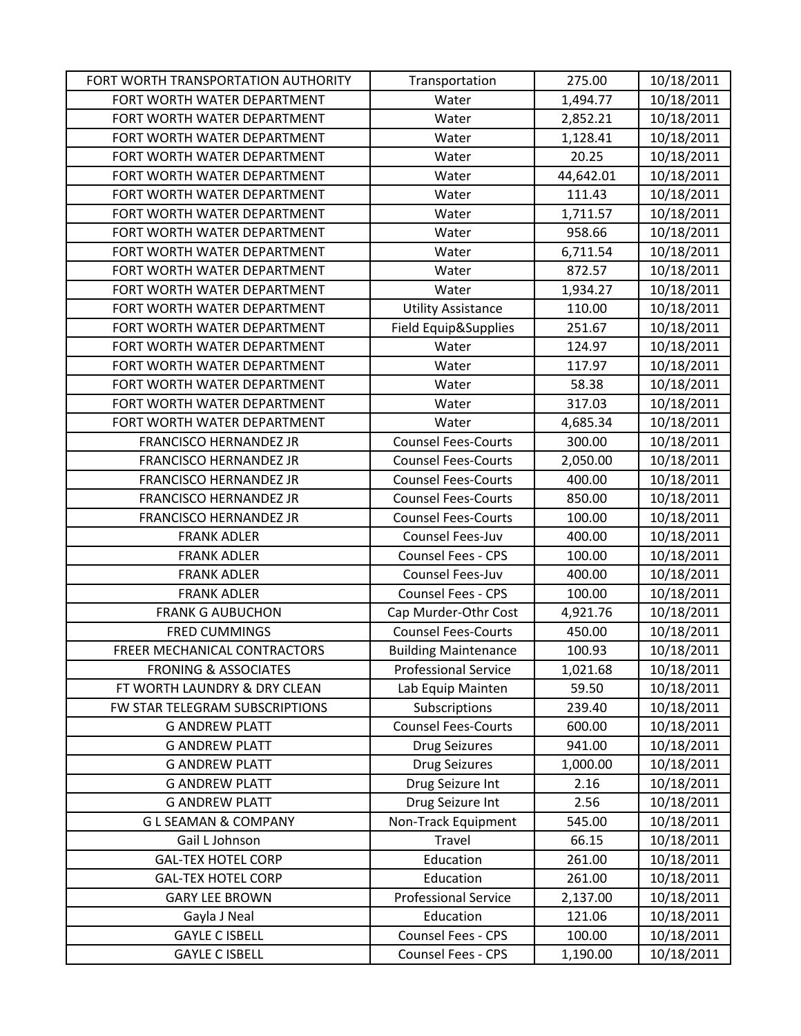| FORT WORTH TRANSPORTATION AUTHORITY | Transportation              | 275.00    | 10/18/2011 |
|-------------------------------------|-----------------------------|-----------|------------|
| FORT WORTH WATER DEPARTMENT         | Water                       | 1,494.77  | 10/18/2011 |
| FORT WORTH WATER DEPARTMENT         | Water                       | 2,852.21  | 10/18/2011 |
| FORT WORTH WATER DEPARTMENT         | Water                       | 1,128.41  | 10/18/2011 |
| FORT WORTH WATER DEPARTMENT         | Water                       | 20.25     | 10/18/2011 |
| FORT WORTH WATER DEPARTMENT         | Water                       | 44,642.01 | 10/18/2011 |
| FORT WORTH WATER DEPARTMENT         | Water                       | 111.43    | 10/18/2011 |
| FORT WORTH WATER DEPARTMENT         | Water                       | 1,711.57  | 10/18/2011 |
| FORT WORTH WATER DEPARTMENT         | Water                       | 958.66    | 10/18/2011 |
| FORT WORTH WATER DEPARTMENT         | Water                       | 6,711.54  | 10/18/2011 |
| FORT WORTH WATER DEPARTMENT         | Water                       | 872.57    | 10/18/2011 |
| FORT WORTH WATER DEPARTMENT         | Water                       | 1,934.27  | 10/18/2011 |
| FORT WORTH WATER DEPARTMENT         | <b>Utility Assistance</b>   | 110.00    | 10/18/2011 |
| FORT WORTH WATER DEPARTMENT         | Field Equip&Supplies        | 251.67    | 10/18/2011 |
| FORT WORTH WATER DEPARTMENT         | Water                       | 124.97    | 10/18/2011 |
| FORT WORTH WATER DEPARTMENT         | Water                       | 117.97    | 10/18/2011 |
| FORT WORTH WATER DEPARTMENT         | Water                       | 58.38     | 10/18/2011 |
| FORT WORTH WATER DEPARTMENT         | Water                       | 317.03    | 10/18/2011 |
| FORT WORTH WATER DEPARTMENT         | Water                       | 4,685.34  | 10/18/2011 |
| <b>FRANCISCO HERNANDEZ JR</b>       | <b>Counsel Fees-Courts</b>  | 300.00    | 10/18/2011 |
| <b>FRANCISCO HERNANDEZ JR</b>       | <b>Counsel Fees-Courts</b>  | 2,050.00  | 10/18/2011 |
| <b>FRANCISCO HERNANDEZ JR</b>       | <b>Counsel Fees-Courts</b>  | 400.00    | 10/18/2011 |
| <b>FRANCISCO HERNANDEZ JR</b>       | <b>Counsel Fees-Courts</b>  | 850.00    | 10/18/2011 |
| <b>FRANCISCO HERNANDEZ JR</b>       | <b>Counsel Fees-Courts</b>  | 100.00    | 10/18/2011 |
| <b>FRANK ADLER</b>                  | Counsel Fees-Juv            | 400.00    | 10/18/2011 |
| <b>FRANK ADLER</b>                  | Counsel Fees - CPS          | 100.00    | 10/18/2011 |
| <b>FRANK ADLER</b>                  | Counsel Fees-Juv            | 400.00    | 10/18/2011 |
| <b>FRANK ADLER</b>                  | <b>Counsel Fees - CPS</b>   | 100.00    | 10/18/2011 |
| <b>FRANK G AUBUCHON</b>             | Cap Murder-Othr Cost        | 4,921.76  | 10/18/2011 |
| <b>FRED CUMMINGS</b>                | <b>Counsel Fees-Courts</b>  | 450.00    | 10/18/2011 |
| FREER MECHANICAL CONTRACTORS        | <b>Building Maintenance</b> | 100.93    | 10/18/2011 |
| <b>FRONING &amp; ASSOCIATES</b>     | <b>Professional Service</b> | 1,021.68  | 10/18/2011 |
| FT WORTH LAUNDRY & DRY CLEAN        | Lab Equip Mainten           | 59.50     | 10/18/2011 |
| FW STAR TELEGRAM SUBSCRIPTIONS      | Subscriptions               | 239.40    | 10/18/2011 |
| <b>G ANDREW PLATT</b>               | <b>Counsel Fees-Courts</b>  | 600.00    | 10/18/2011 |
| <b>G ANDREW PLATT</b>               | <b>Drug Seizures</b>        | 941.00    | 10/18/2011 |
| <b>G ANDREW PLATT</b>               | <b>Drug Seizures</b>        | 1,000.00  | 10/18/2011 |
| <b>G ANDREW PLATT</b>               | Drug Seizure Int            | 2.16      | 10/18/2011 |
| <b>G ANDREW PLATT</b>               | Drug Seizure Int            | 2.56      | 10/18/2011 |
| <b>GLSEAMAN &amp; COMPANY</b>       | Non-Track Equipment         | 545.00    | 10/18/2011 |
| Gail L Johnson                      | Travel                      | 66.15     | 10/18/2011 |
| <b>GAL-TEX HOTEL CORP</b>           | Education                   | 261.00    | 10/18/2011 |
| <b>GAL-TEX HOTEL CORP</b>           | Education                   | 261.00    | 10/18/2011 |
| <b>GARY LEE BROWN</b>               | <b>Professional Service</b> | 2,137.00  | 10/18/2011 |
| Gayla J Neal                        | Education                   | 121.06    | 10/18/2011 |
| <b>GAYLE C ISBELL</b>               | Counsel Fees - CPS          | 100.00    | 10/18/2011 |
| <b>GAYLE C ISBELL</b>               | Counsel Fees - CPS          | 1,190.00  | 10/18/2011 |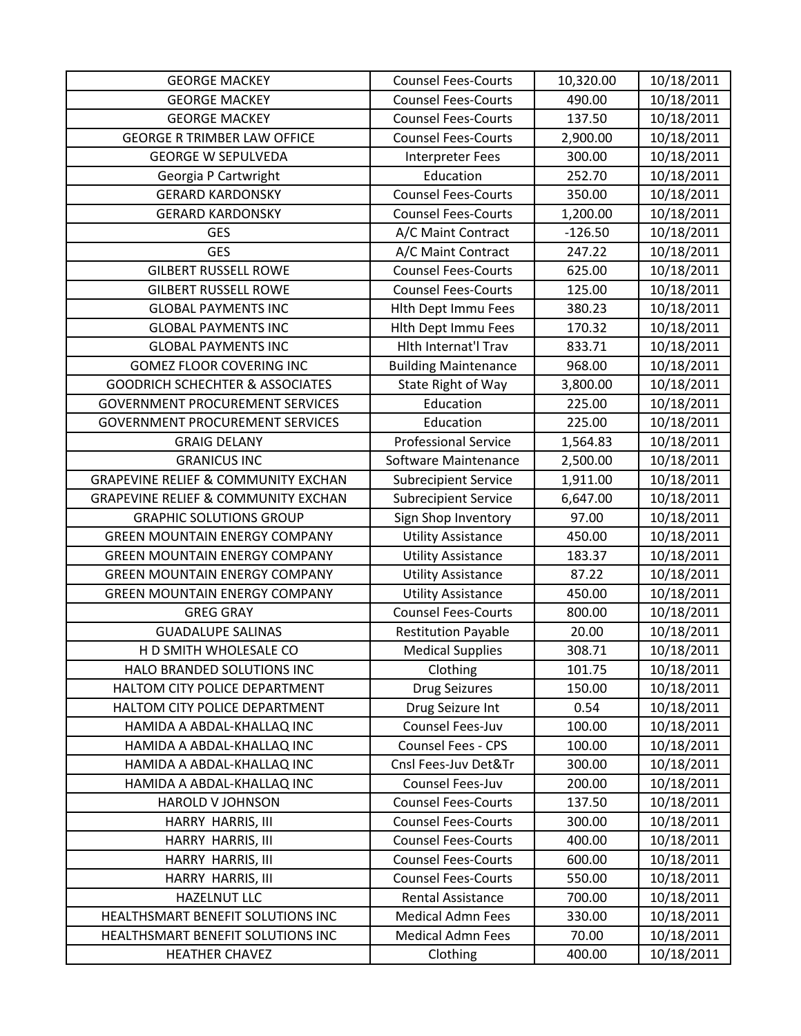| <b>GEORGE MACKEY</b>                           | <b>Counsel Fees-Courts</b>  | 10,320.00 | 10/18/2011 |
|------------------------------------------------|-----------------------------|-----------|------------|
| <b>GEORGE MACKEY</b>                           | <b>Counsel Fees-Courts</b>  | 490.00    | 10/18/2011 |
| <b>GEORGE MACKEY</b>                           | <b>Counsel Fees-Courts</b>  | 137.50    | 10/18/2011 |
| <b>GEORGE R TRIMBER LAW OFFICE</b>             | <b>Counsel Fees-Courts</b>  | 2,900.00  | 10/18/2011 |
| <b>GEORGE W SEPULVEDA</b>                      | <b>Interpreter Fees</b>     | 300.00    | 10/18/2011 |
| Georgia P Cartwright                           | Education                   | 252.70    | 10/18/2011 |
| <b>GERARD KARDONSKY</b>                        | <b>Counsel Fees-Courts</b>  | 350.00    | 10/18/2011 |
| <b>GERARD KARDONSKY</b>                        | <b>Counsel Fees-Courts</b>  | 1,200.00  | 10/18/2011 |
| <b>GES</b>                                     | A/C Maint Contract          | $-126.50$ | 10/18/2011 |
| <b>GES</b>                                     | A/C Maint Contract          | 247.22    | 10/18/2011 |
| <b>GILBERT RUSSELL ROWE</b>                    | <b>Counsel Fees-Courts</b>  | 625.00    | 10/18/2011 |
| <b>GILBERT RUSSELL ROWE</b>                    | <b>Counsel Fees-Courts</b>  | 125.00    | 10/18/2011 |
| <b>GLOBAL PAYMENTS INC</b>                     | <b>Hith Dept Immu Fees</b>  | 380.23    | 10/18/2011 |
| <b>GLOBAL PAYMENTS INC</b>                     | <b>Hith Dept Immu Fees</b>  | 170.32    | 10/18/2011 |
| <b>GLOBAL PAYMENTS INC</b>                     | Hith Internat'l Trav        | 833.71    | 10/18/2011 |
| <b>GOMEZ FLOOR COVERING INC</b>                | <b>Building Maintenance</b> | 968.00    | 10/18/2011 |
| <b>GOODRICH SCHECHTER &amp; ASSOCIATES</b>     | State Right of Way          | 3,800.00  | 10/18/2011 |
| <b>GOVERNMENT PROCUREMENT SERVICES</b>         | Education                   | 225.00    | 10/18/2011 |
| <b>GOVERNMENT PROCUREMENT SERVICES</b>         | Education                   | 225.00    | 10/18/2011 |
| <b>GRAIG DELANY</b>                            | <b>Professional Service</b> | 1,564.83  | 10/18/2011 |
| <b>GRANICUS INC</b>                            | Software Maintenance        | 2,500.00  | 10/18/2011 |
| <b>GRAPEVINE RELIEF &amp; COMMUNITY EXCHAN</b> | <b>Subrecipient Service</b> | 1,911.00  | 10/18/2011 |
| <b>GRAPEVINE RELIEF &amp; COMMUNITY EXCHAN</b> | <b>Subrecipient Service</b> | 6,647.00  | 10/18/2011 |
| <b>GRAPHIC SOLUTIONS GROUP</b>                 | Sign Shop Inventory         | 97.00     | 10/18/2011 |
| <b>GREEN MOUNTAIN ENERGY COMPANY</b>           | <b>Utility Assistance</b>   | 450.00    | 10/18/2011 |
| <b>GREEN MOUNTAIN ENERGY COMPANY</b>           | <b>Utility Assistance</b>   | 183.37    | 10/18/2011 |
| <b>GREEN MOUNTAIN ENERGY COMPANY</b>           | <b>Utility Assistance</b>   | 87.22     | 10/18/2011 |
| <b>GREEN MOUNTAIN ENERGY COMPANY</b>           | <b>Utility Assistance</b>   | 450.00    | 10/18/2011 |
| <b>GREG GRAY</b>                               | <b>Counsel Fees-Courts</b>  | 800.00    | 10/18/2011 |
| <b>GUADALUPE SALINAS</b>                       | <b>Restitution Payable</b>  | 20.00     | 10/18/2011 |
| H D SMITH WHOLESALE CO                         | <b>Medical Supplies</b>     | 308.71    | 10/18/2011 |
| HALO BRANDED SOLUTIONS INC                     | Clothing                    | 101.75    | 10/18/2011 |
| HALTOM CITY POLICE DEPARTMENT                  | <b>Drug Seizures</b>        | 150.00    | 10/18/2011 |
| HALTOM CITY POLICE DEPARTMENT                  | Drug Seizure Int            | 0.54      | 10/18/2011 |
| HAMIDA A ABDAL-KHALLAQ INC                     | Counsel Fees-Juv            | 100.00    | 10/18/2011 |
| HAMIDA A ABDAL-KHALLAQ INC                     | <b>Counsel Fees - CPS</b>   | 100.00    | 10/18/2011 |
| HAMIDA A ABDAL-KHALLAQ INC                     | Cnsl Fees-Juv Det&Tr        | 300.00    | 10/18/2011 |
| HAMIDA A ABDAL-KHALLAQ INC                     | Counsel Fees-Juv            | 200.00    | 10/18/2011 |
| <b>HAROLD V JOHNSON</b>                        | <b>Counsel Fees-Courts</b>  | 137.50    | 10/18/2011 |
| HARRY HARRIS, III                              | <b>Counsel Fees-Courts</b>  | 300.00    | 10/18/2011 |
| HARRY HARRIS, III                              | <b>Counsel Fees-Courts</b>  | 400.00    | 10/18/2011 |
| HARRY HARRIS, III                              | <b>Counsel Fees-Courts</b>  | 600.00    | 10/18/2011 |
| HARRY HARRIS, III                              | <b>Counsel Fees-Courts</b>  | 550.00    | 10/18/2011 |
| <b>HAZELNUT LLC</b>                            | Rental Assistance           | 700.00    | 10/18/2011 |
| HEALTHSMART BENEFIT SOLUTIONS INC              | <b>Medical Admn Fees</b>    | 330.00    | 10/18/2011 |
| HEALTHSMART BENEFIT SOLUTIONS INC              | <b>Medical Admn Fees</b>    | 70.00     | 10/18/2011 |
| <b>HEATHER CHAVEZ</b>                          | Clothing                    | 400.00    | 10/18/2011 |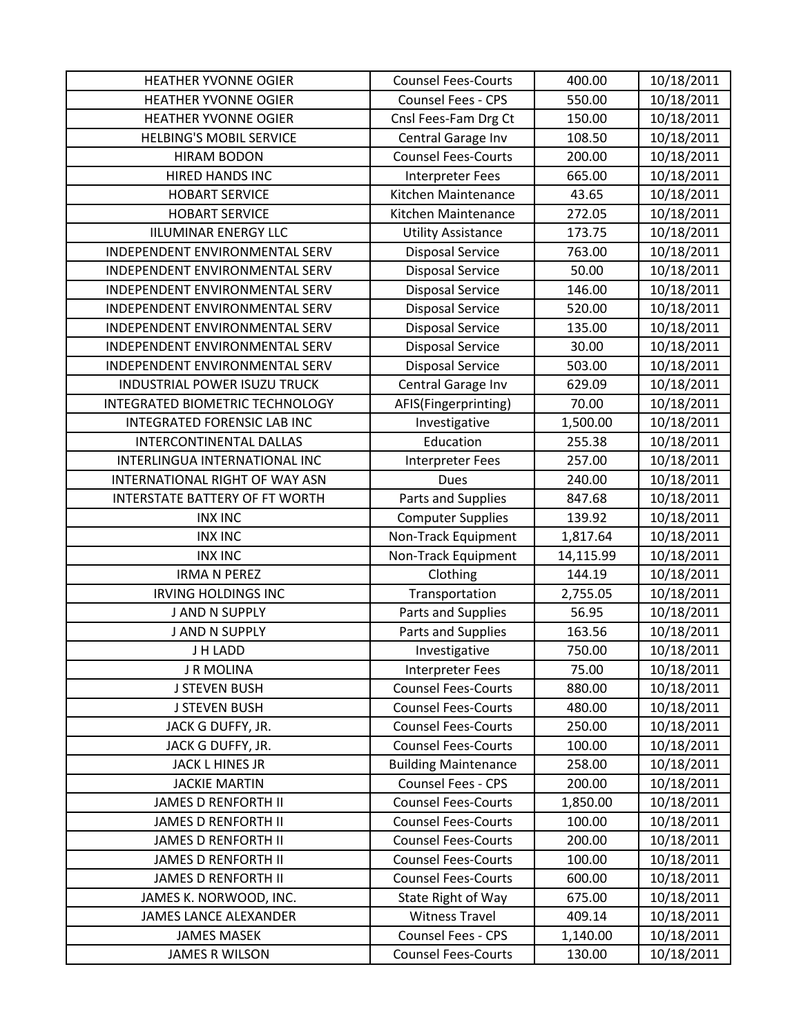| <b>HEATHER YVONNE OGIER</b>         | <b>Counsel Fees-Courts</b>  | 400.00    | 10/18/2011 |
|-------------------------------------|-----------------------------|-----------|------------|
| <b>HEATHER YVONNE OGIER</b>         | <b>Counsel Fees - CPS</b>   | 550.00    | 10/18/2011 |
| <b>HEATHER YVONNE OGIER</b>         | Cnsl Fees-Fam Drg Ct        | 150.00    | 10/18/2011 |
| <b>HELBING'S MOBIL SERVICE</b>      | Central Garage Inv          | 108.50    | 10/18/2011 |
| <b>HIRAM BODON</b>                  | <b>Counsel Fees-Courts</b>  | 200.00    | 10/18/2011 |
| <b>HIRED HANDS INC</b>              | <b>Interpreter Fees</b>     | 665.00    | 10/18/2011 |
| <b>HOBART SERVICE</b>               | Kitchen Maintenance         | 43.65     | 10/18/2011 |
| <b>HOBART SERVICE</b>               | Kitchen Maintenance         | 272.05    | 10/18/2011 |
| <b>IILUMINAR ENERGY LLC</b>         | <b>Utility Assistance</b>   | 173.75    | 10/18/2011 |
| INDEPENDENT ENVIRONMENTAL SERV      | <b>Disposal Service</b>     | 763.00    | 10/18/2011 |
| INDEPENDENT ENVIRONMENTAL SERV      | <b>Disposal Service</b>     | 50.00     | 10/18/2011 |
| INDEPENDENT ENVIRONMENTAL SERV      | <b>Disposal Service</b>     | 146.00    | 10/18/2011 |
| INDEPENDENT ENVIRONMENTAL SERV      | <b>Disposal Service</b>     | 520.00    | 10/18/2011 |
| INDEPENDENT ENVIRONMENTAL SERV      | <b>Disposal Service</b>     | 135.00    | 10/18/2011 |
| INDEPENDENT ENVIRONMENTAL SERV      | <b>Disposal Service</b>     | 30.00     | 10/18/2011 |
| INDEPENDENT ENVIRONMENTAL SERV      | <b>Disposal Service</b>     | 503.00    | 10/18/2011 |
| <b>INDUSTRIAL POWER ISUZU TRUCK</b> | Central Garage Inv          | 629.09    | 10/18/2011 |
| INTEGRATED BIOMETRIC TECHNOLOGY     | AFIS(Fingerprinting)        | 70.00     | 10/18/2011 |
| INTEGRATED FORENSIC LAB INC         | Investigative               | 1,500.00  | 10/18/2011 |
| <b>INTERCONTINENTAL DALLAS</b>      | Education                   | 255.38    | 10/18/2011 |
| INTERLINGUA INTERNATIONAL INC       | <b>Interpreter Fees</b>     | 257.00    | 10/18/2011 |
| INTERNATIONAL RIGHT OF WAY ASN      | <b>Dues</b>                 | 240.00    | 10/18/2011 |
| INTERSTATE BATTERY OF FT WORTH      | Parts and Supplies          | 847.68    | 10/18/2011 |
| <b>INX INC</b>                      | <b>Computer Supplies</b>    | 139.92    | 10/18/2011 |
| <b>INX INC</b>                      | Non-Track Equipment         | 1,817.64  | 10/18/2011 |
| <b>INX INC</b>                      | Non-Track Equipment         | 14,115.99 | 10/18/2011 |
| <b>IRMA N PEREZ</b>                 | Clothing                    | 144.19    | 10/18/2011 |
| <b>IRVING HOLDINGS INC</b>          | Transportation              | 2,755.05  | 10/18/2011 |
| J AND N SUPPLY                      | Parts and Supplies          | 56.95     | 10/18/2011 |
| J AND N SUPPLY                      | Parts and Supplies          | 163.56    | 10/18/2011 |
| J H LADD                            | Investigative               | 750.00    | 10/18/2011 |
| J R MOLINA                          | <b>Interpreter Fees</b>     | 75.00     | 10/18/2011 |
| <b>J STEVEN BUSH</b>                | <b>Counsel Fees-Courts</b>  | 880.00    | 10/18/2011 |
| <b>J STEVEN BUSH</b>                | <b>Counsel Fees-Courts</b>  | 480.00    | 10/18/2011 |
| JACK G DUFFY, JR.                   | <b>Counsel Fees-Courts</b>  | 250.00    | 10/18/2011 |
| JACK G DUFFY, JR.                   | <b>Counsel Fees-Courts</b>  | 100.00    | 10/18/2011 |
| JACK L HINES JR                     | <b>Building Maintenance</b> | 258.00    | 10/18/2011 |
| <b>JACKIE MARTIN</b>                | Counsel Fees - CPS          | 200.00    | 10/18/2011 |
| <b>JAMES D RENFORTH II</b>          | <b>Counsel Fees-Courts</b>  | 1,850.00  | 10/18/2011 |
| <b>JAMES D RENFORTH II</b>          | <b>Counsel Fees-Courts</b>  | 100.00    | 10/18/2011 |
| <b>JAMES D RENFORTH II</b>          | <b>Counsel Fees-Courts</b>  | 200.00    | 10/18/2011 |
| <b>JAMES D RENFORTH II</b>          | <b>Counsel Fees-Courts</b>  | 100.00    | 10/18/2011 |
| <b>JAMES D RENFORTH II</b>          | <b>Counsel Fees-Courts</b>  | 600.00    | 10/18/2011 |
| JAMES K. NORWOOD, INC.              | State Right of Way          | 675.00    | 10/18/2011 |
| <b>JAMES LANCE ALEXANDER</b>        | <b>Witness Travel</b>       | 409.14    | 10/18/2011 |
| <b>JAMES MASEK</b>                  | Counsel Fees - CPS          | 1,140.00  | 10/18/2011 |
| <b>JAMES R WILSON</b>               | <b>Counsel Fees-Courts</b>  | 130.00    | 10/18/2011 |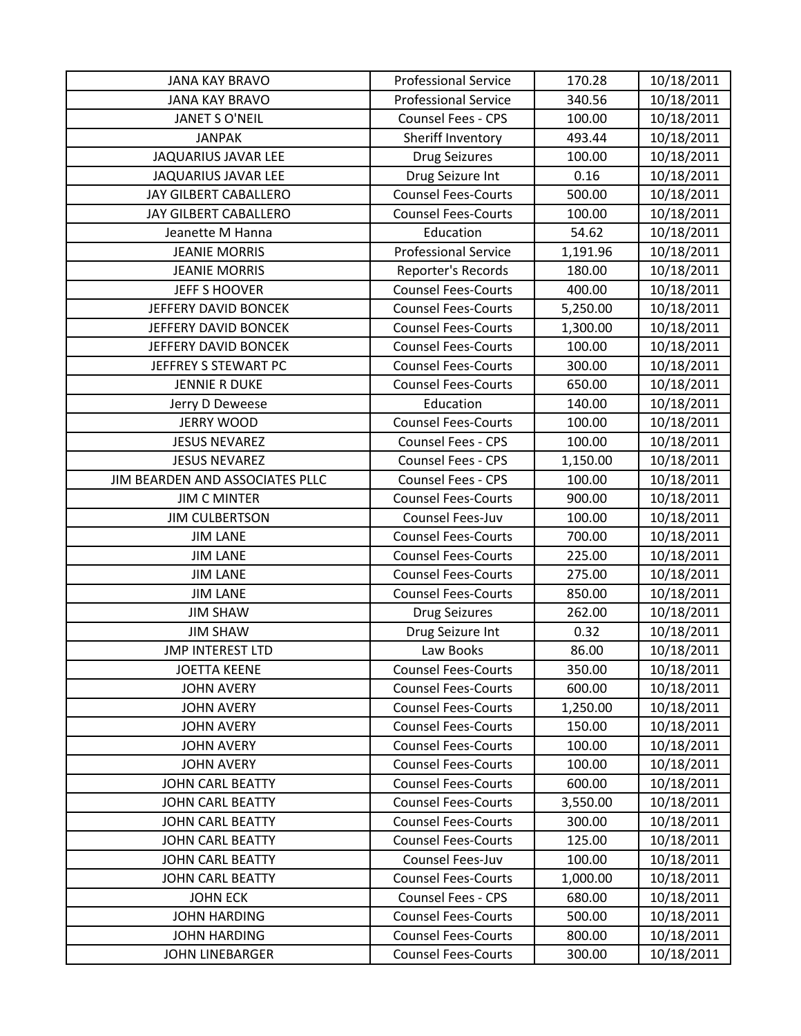| <b>JANA KAY BRAVO</b>           | <b>Professional Service</b> | 170.28   | 10/18/2011 |
|---------------------------------|-----------------------------|----------|------------|
| <b>JANA KAY BRAVO</b>           | <b>Professional Service</b> | 340.56   | 10/18/2011 |
| <b>JANET S O'NEIL</b>           | Counsel Fees - CPS          | 100.00   | 10/18/2011 |
| <b>JANPAK</b>                   | Sheriff Inventory           | 493.44   | 10/18/2011 |
| JAQUARIUS JAVAR LEE             | <b>Drug Seizures</b>        | 100.00   | 10/18/2011 |
| JAQUARIUS JAVAR LEE             | Drug Seizure Int            | 0.16     | 10/18/2011 |
| JAY GILBERT CABALLERO           | <b>Counsel Fees-Courts</b>  | 500.00   | 10/18/2011 |
| JAY GILBERT CABALLERO           | <b>Counsel Fees-Courts</b>  | 100.00   | 10/18/2011 |
| Jeanette M Hanna                | Education                   | 54.62    | 10/18/2011 |
| <b>JEANIE MORRIS</b>            | <b>Professional Service</b> | 1,191.96 | 10/18/2011 |
| <b>JEANIE MORRIS</b>            | Reporter's Records          | 180.00   | 10/18/2011 |
| JEFF S HOOVER                   | <b>Counsel Fees-Courts</b>  | 400.00   | 10/18/2011 |
| JEFFERY DAVID BONCEK            | <b>Counsel Fees-Courts</b>  | 5,250.00 | 10/18/2011 |
| JEFFERY DAVID BONCEK            | <b>Counsel Fees-Courts</b>  | 1,300.00 | 10/18/2011 |
| JEFFERY DAVID BONCEK            | <b>Counsel Fees-Courts</b>  | 100.00   | 10/18/2011 |
| JEFFREY S STEWART PC            | <b>Counsel Fees-Courts</b>  | 300.00   | 10/18/2011 |
| <b>JENNIE R DUKE</b>            | <b>Counsel Fees-Courts</b>  | 650.00   | 10/18/2011 |
| Jerry D Deweese                 | Education                   | 140.00   | 10/18/2011 |
| <b>JERRY WOOD</b>               | <b>Counsel Fees-Courts</b>  | 100.00   | 10/18/2011 |
| <b>JESUS NEVAREZ</b>            | Counsel Fees - CPS          | 100.00   | 10/18/2011 |
| <b>JESUS NEVAREZ</b>            | Counsel Fees - CPS          | 1,150.00 | 10/18/2011 |
| JIM BEARDEN AND ASSOCIATES PLLC | Counsel Fees - CPS          | 100.00   | 10/18/2011 |
| <b>JIM C MINTER</b>             | <b>Counsel Fees-Courts</b>  | 900.00   | 10/18/2011 |
| <b>JIM CULBERTSON</b>           | Counsel Fees-Juv            | 100.00   | 10/18/2011 |
| <b>JIM LANE</b>                 | <b>Counsel Fees-Courts</b>  | 700.00   | 10/18/2011 |
| <b>JIM LANE</b>                 | <b>Counsel Fees-Courts</b>  | 225.00   | 10/18/2011 |
| <b>JIM LANE</b>                 | <b>Counsel Fees-Courts</b>  | 275.00   | 10/18/2011 |
| <b>JIM LANE</b>                 | <b>Counsel Fees-Courts</b>  | 850.00   | 10/18/2011 |
| <b>JIM SHAW</b>                 | <b>Drug Seizures</b>        | 262.00   | 10/18/2011 |
| <b>JIM SHAW</b>                 | Drug Seizure Int            | 0.32     | 10/18/2011 |
| <b>JMP INTEREST LTD</b>         | Law Books                   | 86.00    | 10/18/2011 |
| <b>JOETTA KEENE</b>             | <b>Counsel Fees-Courts</b>  | 350.00   | 10/18/2011 |
| <b>JOHN AVERY</b>               | <b>Counsel Fees-Courts</b>  | 600.00   | 10/18/2011 |
| <b>JOHN AVERY</b>               | <b>Counsel Fees-Courts</b>  | 1,250.00 | 10/18/2011 |
| <b>JOHN AVERY</b>               | <b>Counsel Fees-Courts</b>  | 150.00   | 10/18/2011 |
| <b>JOHN AVERY</b>               | <b>Counsel Fees-Courts</b>  | 100.00   | 10/18/2011 |
| <b>JOHN AVERY</b>               | <b>Counsel Fees-Courts</b>  | 100.00   | 10/18/2011 |
| <b>JOHN CARL BEATTY</b>         | <b>Counsel Fees-Courts</b>  | 600.00   | 10/18/2011 |
| JOHN CARL BEATTY                | <b>Counsel Fees-Courts</b>  | 3,550.00 | 10/18/2011 |
| <b>JOHN CARL BEATTY</b>         | <b>Counsel Fees-Courts</b>  | 300.00   | 10/18/2011 |
| JOHN CARL BEATTY                | <b>Counsel Fees-Courts</b>  | 125.00   | 10/18/2011 |
| <b>JOHN CARL BEATTY</b>         | Counsel Fees-Juv            | 100.00   | 10/18/2011 |
| JOHN CARL BEATTY                | <b>Counsel Fees-Courts</b>  | 1,000.00 | 10/18/2011 |
| <b>JOHN ECK</b>                 | Counsel Fees - CPS          | 680.00   | 10/18/2011 |
| <b>JOHN HARDING</b>             | <b>Counsel Fees-Courts</b>  | 500.00   | 10/18/2011 |
| <b>JOHN HARDING</b>             | <b>Counsel Fees-Courts</b>  | 800.00   | 10/18/2011 |
| JOHN LINEBARGER                 | <b>Counsel Fees-Courts</b>  | 300.00   | 10/18/2011 |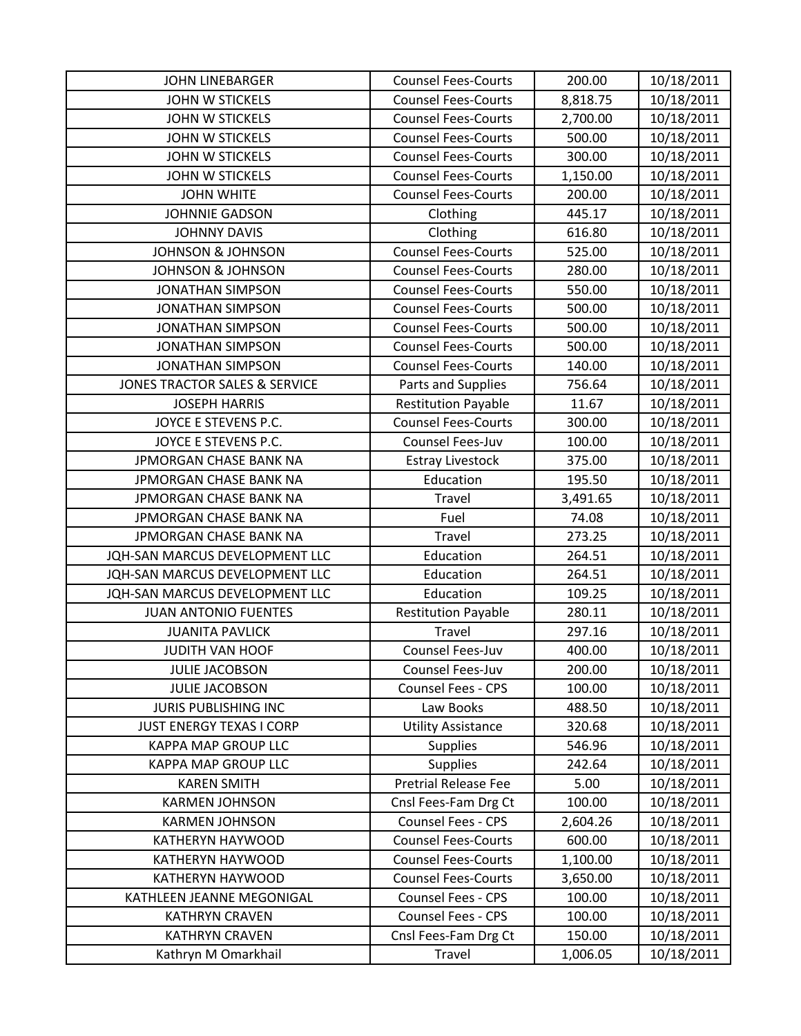| <b>JOHN LINEBARGER</b>                   | <b>Counsel Fees-Courts</b>  | 200.00   | 10/18/2011 |
|------------------------------------------|-----------------------------|----------|------------|
| <b>JOHN W STICKELS</b>                   | <b>Counsel Fees-Courts</b>  | 8,818.75 | 10/18/2011 |
| JOHN W STICKELS                          | <b>Counsel Fees-Courts</b>  | 2,700.00 | 10/18/2011 |
| <b>JOHN W STICKELS</b>                   | <b>Counsel Fees-Courts</b>  | 500.00   | 10/18/2011 |
| <b>JOHN W STICKELS</b>                   | <b>Counsel Fees-Courts</b>  | 300.00   | 10/18/2011 |
| <b>JOHN W STICKELS</b>                   | <b>Counsel Fees-Courts</b>  | 1,150.00 | 10/18/2011 |
| <b>JOHN WHITE</b>                        | <b>Counsel Fees-Courts</b>  | 200.00   | 10/18/2011 |
| <b>JOHNNIE GADSON</b>                    | Clothing                    | 445.17   | 10/18/2011 |
| <b>JOHNNY DAVIS</b>                      | Clothing                    | 616.80   | 10/18/2011 |
| <b>JOHNSON &amp; JOHNSON</b>             | <b>Counsel Fees-Courts</b>  | 525.00   | 10/18/2011 |
| <b>JOHNSON &amp; JOHNSON</b>             | <b>Counsel Fees-Courts</b>  | 280.00   | 10/18/2011 |
| <b>JONATHAN SIMPSON</b>                  | <b>Counsel Fees-Courts</b>  | 550.00   | 10/18/2011 |
| <b>JONATHAN SIMPSON</b>                  | <b>Counsel Fees-Courts</b>  | 500.00   | 10/18/2011 |
| <b>JONATHAN SIMPSON</b>                  | <b>Counsel Fees-Courts</b>  | 500.00   | 10/18/2011 |
| <b>JONATHAN SIMPSON</b>                  | <b>Counsel Fees-Courts</b>  | 500.00   | 10/18/2011 |
| <b>JONATHAN SIMPSON</b>                  | <b>Counsel Fees-Courts</b>  | 140.00   | 10/18/2011 |
| <b>JONES TRACTOR SALES &amp; SERVICE</b> | Parts and Supplies          | 756.64   | 10/18/2011 |
| <b>JOSEPH HARRIS</b>                     | <b>Restitution Payable</b>  | 11.67    | 10/18/2011 |
| JOYCE E STEVENS P.C.                     | <b>Counsel Fees-Courts</b>  | 300.00   | 10/18/2011 |
| JOYCE E STEVENS P.C.                     | Counsel Fees-Juv            | 100.00   | 10/18/2011 |
| JPMORGAN CHASE BANK NA                   | <b>Estray Livestock</b>     | 375.00   | 10/18/2011 |
| JPMORGAN CHASE BANK NA                   | Education                   | 195.50   | 10/18/2011 |
| JPMORGAN CHASE BANK NA                   | Travel                      | 3,491.65 | 10/18/2011 |
| JPMORGAN CHASE BANK NA                   | Fuel                        | 74.08    | 10/18/2011 |
| JPMORGAN CHASE BANK NA                   | Travel                      | 273.25   | 10/18/2011 |
| JQH-SAN MARCUS DEVELOPMENT LLC           | Education                   | 264.51   | 10/18/2011 |
| JQH-SAN MARCUS DEVELOPMENT LLC           | Education                   | 264.51   | 10/18/2011 |
| JQH-SAN MARCUS DEVELOPMENT LLC           | Education                   | 109.25   | 10/18/2011 |
| <b>JUAN ANTONIO FUENTES</b>              | <b>Restitution Payable</b>  | 280.11   | 10/18/2011 |
| <b>JUANITA PAVLICK</b>                   | <b>Travel</b>               | 297.16   | 10/18/2011 |
| <b>JUDITH VAN HOOF</b>                   | Counsel Fees-Juv            | 400.00   | 10/18/2011 |
| <b>JULIE JACOBSON</b>                    | Counsel Fees-Juv            | 200.00   | 10/18/2011 |
| <b>JULIE JACOBSON</b>                    | <b>Counsel Fees - CPS</b>   | 100.00   | 10/18/2011 |
| JURIS PUBLISHING INC                     | Law Books                   | 488.50   | 10/18/2011 |
| <b>JUST ENERGY TEXAS I CORP</b>          | <b>Utility Assistance</b>   | 320.68   | 10/18/2011 |
| <b>KAPPA MAP GROUP LLC</b>               | <b>Supplies</b>             | 546.96   | 10/18/2011 |
| KAPPA MAP GROUP LLC                      | <b>Supplies</b>             | 242.64   | 10/18/2011 |
| <b>KAREN SMITH</b>                       | <b>Pretrial Release Fee</b> | 5.00     | 10/18/2011 |
| <b>KARMEN JOHNSON</b>                    | Cnsl Fees-Fam Drg Ct        | 100.00   | 10/18/2011 |
| <b>KARMEN JOHNSON</b>                    | Counsel Fees - CPS          | 2,604.26 | 10/18/2011 |
| <b>KATHERYN HAYWOOD</b>                  | <b>Counsel Fees-Courts</b>  | 600.00   | 10/18/2011 |
| KATHERYN HAYWOOD                         | <b>Counsel Fees-Courts</b>  | 1,100.00 | 10/18/2011 |
| KATHERYN HAYWOOD                         | <b>Counsel Fees-Courts</b>  | 3,650.00 | 10/18/2011 |
| KATHLEEN JEANNE MEGONIGAL                | Counsel Fees - CPS          | 100.00   | 10/18/2011 |
| <b>KATHRYN CRAVEN</b>                    | Counsel Fees - CPS          | 100.00   | 10/18/2011 |
| <b>KATHRYN CRAVEN</b>                    | Cnsl Fees-Fam Drg Ct        | 150.00   | 10/18/2011 |
| Kathryn M Omarkhail                      | Travel                      | 1,006.05 | 10/18/2011 |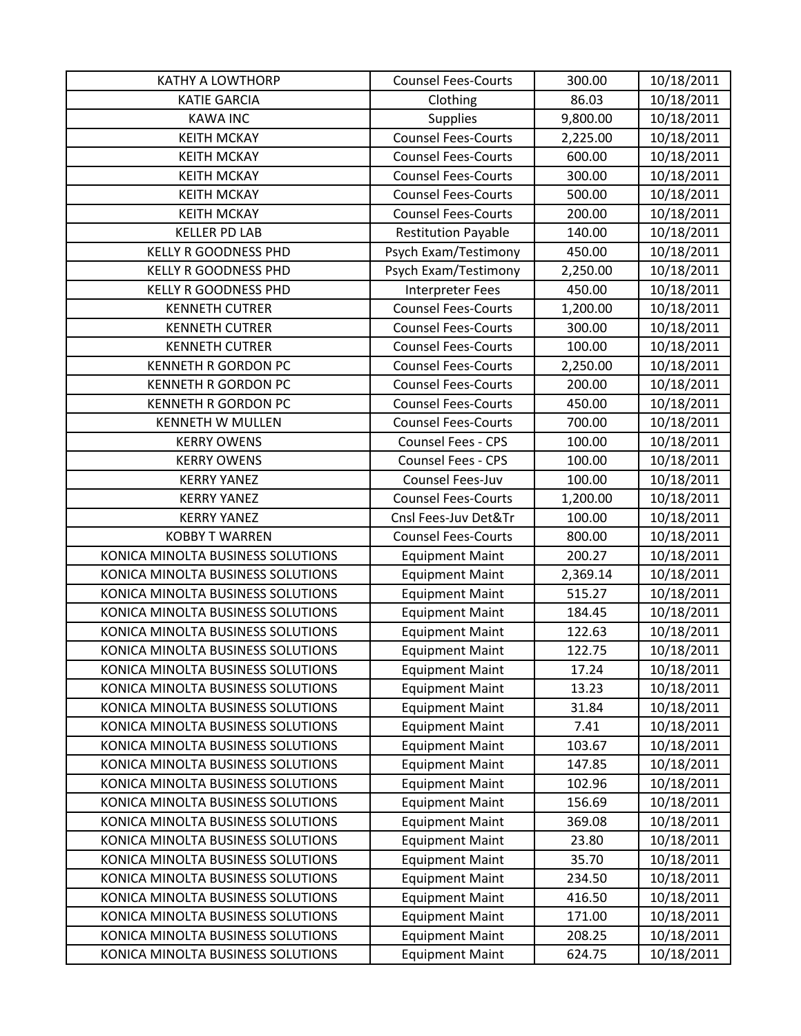| <b>KATHY A LOWTHORP</b>           | <b>Counsel Fees-Courts</b> | 300.00   | 10/18/2011 |
|-----------------------------------|----------------------------|----------|------------|
| <b>KATIE GARCIA</b>               | Clothing                   | 86.03    | 10/18/2011 |
| <b>KAWA INC</b>                   | <b>Supplies</b>            | 9,800.00 | 10/18/2011 |
| <b>KEITH MCKAY</b>                | <b>Counsel Fees-Courts</b> | 2,225.00 | 10/18/2011 |
| <b>KEITH MCKAY</b>                | <b>Counsel Fees-Courts</b> | 600.00   | 10/18/2011 |
| <b>KEITH MCKAY</b>                | <b>Counsel Fees-Courts</b> | 300.00   | 10/18/2011 |
| <b>KEITH MCKAY</b>                | <b>Counsel Fees-Courts</b> | 500.00   | 10/18/2011 |
| <b>KEITH MCKAY</b>                | <b>Counsel Fees-Courts</b> | 200.00   | 10/18/2011 |
| <b>KELLER PD LAB</b>              | <b>Restitution Payable</b> | 140.00   | 10/18/2011 |
| <b>KELLY R GOODNESS PHD</b>       | Psych Exam/Testimony       | 450.00   | 10/18/2011 |
| <b>KELLY R GOODNESS PHD</b>       | Psych Exam/Testimony       | 2,250.00 | 10/18/2011 |
| <b>KELLY R GOODNESS PHD</b>       | <b>Interpreter Fees</b>    | 450.00   | 10/18/2011 |
| <b>KENNETH CUTRER</b>             | <b>Counsel Fees-Courts</b> | 1,200.00 | 10/18/2011 |
| <b>KENNETH CUTRER</b>             | <b>Counsel Fees-Courts</b> | 300.00   | 10/18/2011 |
| <b>KENNETH CUTRER</b>             | <b>Counsel Fees-Courts</b> | 100.00   | 10/18/2011 |
| KENNETH R GORDON PC               | <b>Counsel Fees-Courts</b> | 2,250.00 | 10/18/2011 |
| <b>KENNETH R GORDON PC</b>        | <b>Counsel Fees-Courts</b> | 200.00   | 10/18/2011 |
| KENNETH R GORDON PC               | <b>Counsel Fees-Courts</b> | 450.00   | 10/18/2011 |
| <b>KENNETH W MULLEN</b>           | <b>Counsel Fees-Courts</b> | 700.00   | 10/18/2011 |
| <b>KERRY OWENS</b>                | <b>Counsel Fees - CPS</b>  | 100.00   | 10/18/2011 |
| <b>KERRY OWENS</b>                | Counsel Fees - CPS         | 100.00   | 10/18/2011 |
| <b>KERRY YANEZ</b>                | Counsel Fees-Juv           | 100.00   | 10/18/2011 |
| <b>KERRY YANEZ</b>                | <b>Counsel Fees-Courts</b> | 1,200.00 | 10/18/2011 |
| <b>KERRY YANEZ</b>                | Cnsl Fees-Juv Det&Tr       | 100.00   | 10/18/2011 |
| <b>KOBBY T WARREN</b>             | <b>Counsel Fees-Courts</b> | 800.00   | 10/18/2011 |
| KONICA MINOLTA BUSINESS SOLUTIONS | <b>Equipment Maint</b>     | 200.27   | 10/18/2011 |
| KONICA MINOLTA BUSINESS SOLUTIONS | <b>Equipment Maint</b>     | 2,369.14 | 10/18/2011 |
| KONICA MINOLTA BUSINESS SOLUTIONS | <b>Equipment Maint</b>     | 515.27   | 10/18/2011 |
| KONICA MINOLTA BUSINESS SOLUTIONS | <b>Equipment Maint</b>     | 184.45   | 10/18/2011 |
| KONICA MINOLTA BUSINESS SOLUTIONS | <b>Equipment Maint</b>     | 122.63   | 10/18/2011 |
| KONICA MINOLTA BUSINESS SOLUTIONS | <b>Equipment Maint</b>     | 122.75   | 10/18/2011 |
| KONICA MINOLTA BUSINESS SOLUTIONS | <b>Equipment Maint</b>     | 17.24    | 10/18/2011 |
| KONICA MINOLTA BUSINESS SOLUTIONS | <b>Equipment Maint</b>     | 13.23    | 10/18/2011 |
| KONICA MINOLTA BUSINESS SOLUTIONS | <b>Equipment Maint</b>     | 31.84    | 10/18/2011 |
| KONICA MINOLTA BUSINESS SOLUTIONS | <b>Equipment Maint</b>     | 7.41     | 10/18/2011 |
| KONICA MINOLTA BUSINESS SOLUTIONS | <b>Equipment Maint</b>     | 103.67   | 10/18/2011 |
| KONICA MINOLTA BUSINESS SOLUTIONS | <b>Equipment Maint</b>     | 147.85   | 10/18/2011 |
| KONICA MINOLTA BUSINESS SOLUTIONS | <b>Equipment Maint</b>     | 102.96   | 10/18/2011 |
| KONICA MINOLTA BUSINESS SOLUTIONS | <b>Equipment Maint</b>     | 156.69   | 10/18/2011 |
| KONICA MINOLTA BUSINESS SOLUTIONS | <b>Equipment Maint</b>     | 369.08   | 10/18/2011 |
| KONICA MINOLTA BUSINESS SOLUTIONS | <b>Equipment Maint</b>     | 23.80    | 10/18/2011 |
| KONICA MINOLTA BUSINESS SOLUTIONS | <b>Equipment Maint</b>     | 35.70    | 10/18/2011 |
| KONICA MINOLTA BUSINESS SOLUTIONS | <b>Equipment Maint</b>     | 234.50   | 10/18/2011 |
| KONICA MINOLTA BUSINESS SOLUTIONS | <b>Equipment Maint</b>     | 416.50   | 10/18/2011 |
| KONICA MINOLTA BUSINESS SOLUTIONS | <b>Equipment Maint</b>     | 171.00   | 10/18/2011 |
| KONICA MINOLTA BUSINESS SOLUTIONS | <b>Equipment Maint</b>     | 208.25   | 10/18/2011 |
| KONICA MINOLTA BUSINESS SOLUTIONS | <b>Equipment Maint</b>     | 624.75   | 10/18/2011 |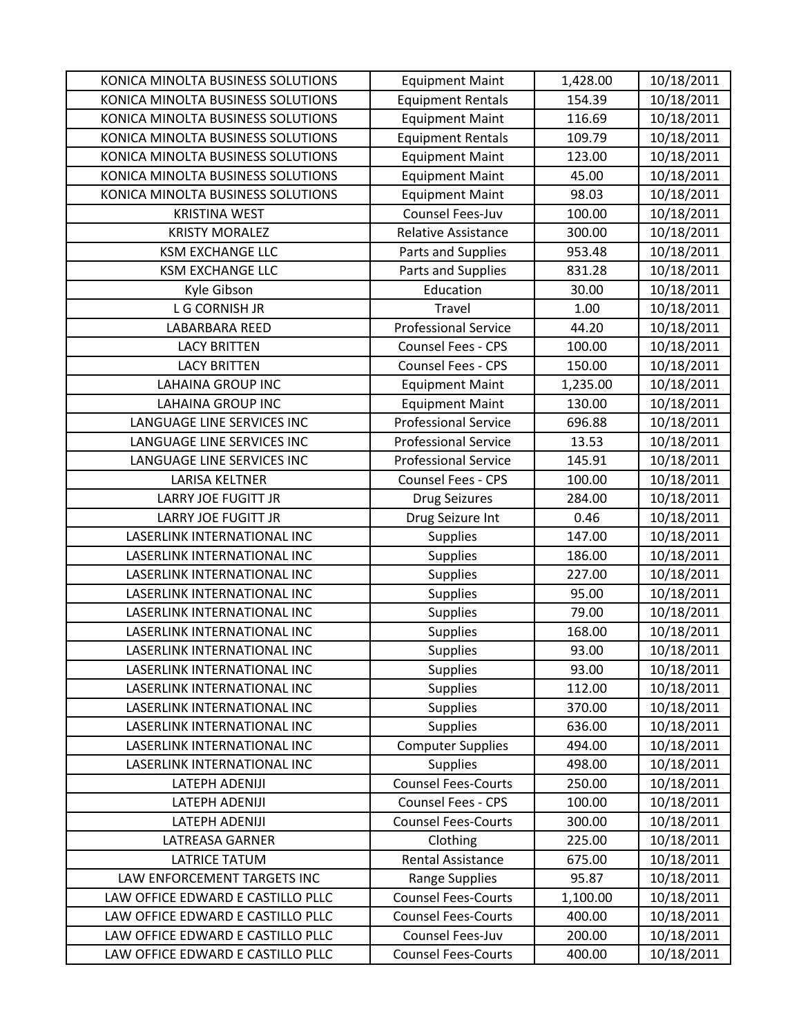| KONICA MINOLTA BUSINESS SOLUTIONS | <b>Equipment Maint</b>      | 1,428.00 | 10/18/2011 |
|-----------------------------------|-----------------------------|----------|------------|
| KONICA MINOLTA BUSINESS SOLUTIONS | <b>Equipment Rentals</b>    | 154.39   | 10/18/2011 |
| KONICA MINOLTA BUSINESS SOLUTIONS | <b>Equipment Maint</b>      | 116.69   | 10/18/2011 |
| KONICA MINOLTA BUSINESS SOLUTIONS | <b>Equipment Rentals</b>    | 109.79   | 10/18/2011 |
| KONICA MINOLTA BUSINESS SOLUTIONS | <b>Equipment Maint</b>      | 123.00   | 10/18/2011 |
| KONICA MINOLTA BUSINESS SOLUTIONS | <b>Equipment Maint</b>      | 45.00    | 10/18/2011 |
| KONICA MINOLTA BUSINESS SOLUTIONS | <b>Equipment Maint</b>      | 98.03    | 10/18/2011 |
| <b>KRISTINA WEST</b>              | Counsel Fees-Juv            | 100.00   | 10/18/2011 |
| <b>KRISTY MORALEZ</b>             | Relative Assistance         | 300.00   | 10/18/2011 |
| <b>KSM EXCHANGE LLC</b>           | Parts and Supplies          | 953.48   | 10/18/2011 |
| <b>KSM EXCHANGE LLC</b>           | Parts and Supplies          | 831.28   | 10/18/2011 |
| Kyle Gibson                       | Education                   | 30.00    | 10/18/2011 |
| L G CORNISH JR                    | Travel                      | 1.00     | 10/18/2011 |
| LABARBARA REED                    | <b>Professional Service</b> | 44.20    | 10/18/2011 |
| <b>LACY BRITTEN</b>               | <b>Counsel Fees - CPS</b>   | 100.00   | 10/18/2011 |
| <b>LACY BRITTEN</b>               | Counsel Fees - CPS          | 150.00   | 10/18/2011 |
| <b>LAHAINA GROUP INC</b>          | <b>Equipment Maint</b>      | 1,235.00 | 10/18/2011 |
| <b>LAHAINA GROUP INC</b>          | <b>Equipment Maint</b>      | 130.00   | 10/18/2011 |
| LANGUAGE LINE SERVICES INC        | <b>Professional Service</b> | 696.88   | 10/18/2011 |
| LANGUAGE LINE SERVICES INC        | <b>Professional Service</b> | 13.53    | 10/18/2011 |
| LANGUAGE LINE SERVICES INC        | <b>Professional Service</b> | 145.91   | 10/18/2011 |
| <b>LARISA KELTNER</b>             | Counsel Fees - CPS          | 100.00   | 10/18/2011 |
| <b>LARRY JOE FUGITT JR</b>        | <b>Drug Seizures</b>        | 284.00   | 10/18/2011 |
| <b>LARRY JOE FUGITT JR</b>        | Drug Seizure Int            | 0.46     | 10/18/2011 |
| LASERLINK INTERNATIONAL INC       | <b>Supplies</b>             | 147.00   | 10/18/2011 |
| LASERLINK INTERNATIONAL INC       | <b>Supplies</b>             | 186.00   | 10/18/2011 |
| LASERLINK INTERNATIONAL INC       | <b>Supplies</b>             | 227.00   | 10/18/2011 |
| LASERLINK INTERNATIONAL INC       | <b>Supplies</b>             | 95.00    | 10/18/2011 |
| LASERLINK INTERNATIONAL INC       | <b>Supplies</b>             | 79.00    | 10/18/2011 |
| LASERLINK INTERNATIONAL INC       | <b>Supplies</b>             | 168.00   | 10/18/2011 |
| LASERLINK INTERNATIONAL INC       | <b>Supplies</b>             | 93.00    | 10/18/2011 |
| LASERLINK INTERNATIONAL INC       | <b>Supplies</b>             | 93.00    | 10/18/2011 |
| LASERLINK INTERNATIONAL INC       | <b>Supplies</b>             | 112.00   | 10/18/2011 |
| LASERLINK INTERNATIONAL INC       | <b>Supplies</b>             | 370.00   | 10/18/2011 |
| LASERLINK INTERNATIONAL INC       | <b>Supplies</b>             | 636.00   | 10/18/2011 |
| LASERLINK INTERNATIONAL INC       | <b>Computer Supplies</b>    | 494.00   | 10/18/2011 |
| LASERLINK INTERNATIONAL INC       | <b>Supplies</b>             | 498.00   | 10/18/2011 |
| LATEPH ADENIJI                    | <b>Counsel Fees-Courts</b>  | 250.00   | 10/18/2011 |
| LATEPH ADENIJI                    | Counsel Fees - CPS          | 100.00   | 10/18/2011 |
| <b>LATEPH ADENIJI</b>             | <b>Counsel Fees-Courts</b>  | 300.00   | 10/18/2011 |
| LATREASA GARNER                   | Clothing                    | 225.00   | 10/18/2011 |
| <b>LATRICE TATUM</b>              | Rental Assistance           | 675.00   | 10/18/2011 |
| LAW ENFORCEMENT TARGETS INC       | <b>Range Supplies</b>       | 95.87    | 10/18/2011 |
| LAW OFFICE EDWARD E CASTILLO PLLC | <b>Counsel Fees-Courts</b>  | 1,100.00 | 10/18/2011 |
| LAW OFFICE EDWARD E CASTILLO PLLC | <b>Counsel Fees-Courts</b>  | 400.00   | 10/18/2011 |
| LAW OFFICE EDWARD E CASTILLO PLLC | Counsel Fees-Juv            | 200.00   | 10/18/2011 |
| LAW OFFICE EDWARD E CASTILLO PLLC | <b>Counsel Fees-Courts</b>  | 400.00   | 10/18/2011 |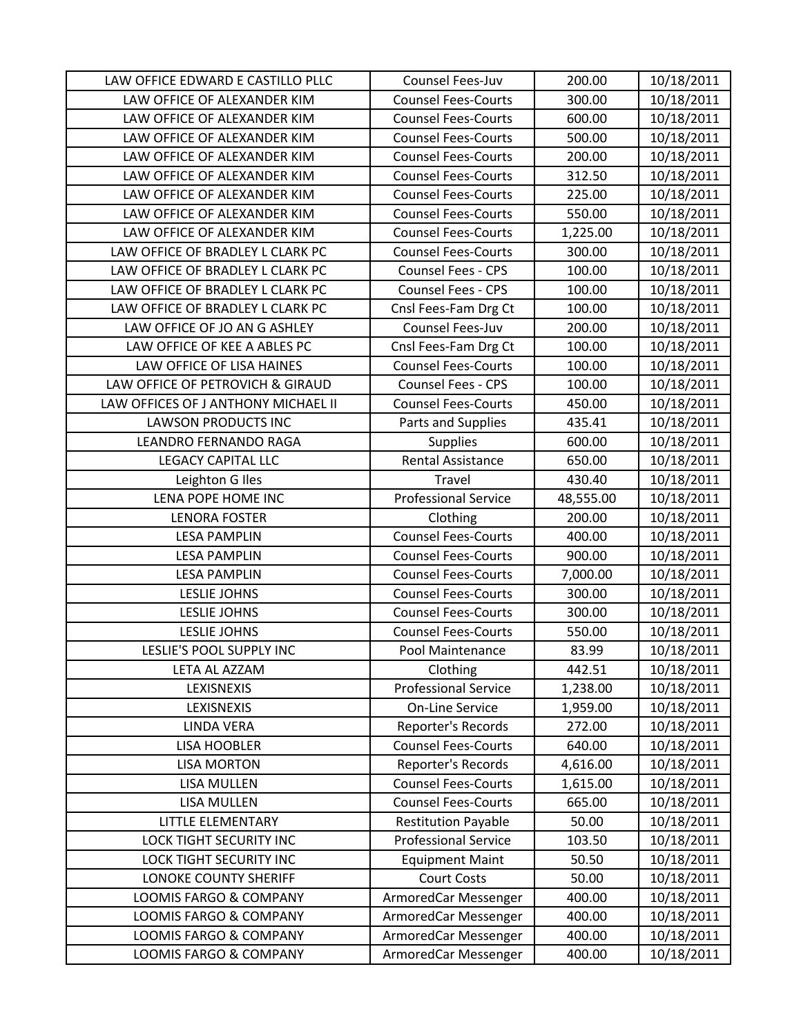| LAW OFFICE EDWARD E CASTILLO PLLC   | Counsel Fees-Juv            | 200.00    | 10/18/2011 |
|-------------------------------------|-----------------------------|-----------|------------|
| LAW OFFICE OF ALEXANDER KIM         | <b>Counsel Fees-Courts</b>  | 300.00    | 10/18/2011 |
| LAW OFFICE OF ALEXANDER KIM         | <b>Counsel Fees-Courts</b>  | 600.00    | 10/18/2011 |
| LAW OFFICE OF ALEXANDER KIM         | <b>Counsel Fees-Courts</b>  | 500.00    | 10/18/2011 |
| LAW OFFICE OF ALEXANDER KIM         | <b>Counsel Fees-Courts</b>  | 200.00    | 10/18/2011 |
| LAW OFFICE OF ALEXANDER KIM         | <b>Counsel Fees-Courts</b>  | 312.50    | 10/18/2011 |
| LAW OFFICE OF ALEXANDER KIM         | <b>Counsel Fees-Courts</b>  | 225.00    | 10/18/2011 |
| LAW OFFICE OF ALEXANDER KIM         | <b>Counsel Fees-Courts</b>  | 550.00    | 10/18/2011 |
| LAW OFFICE OF ALEXANDER KIM         | <b>Counsel Fees-Courts</b>  | 1,225.00  | 10/18/2011 |
| LAW OFFICE OF BRADLEY L CLARK PC    | <b>Counsel Fees-Courts</b>  | 300.00    | 10/18/2011 |
| LAW OFFICE OF BRADLEY L CLARK PC    | Counsel Fees - CPS          | 100.00    | 10/18/2011 |
| LAW OFFICE OF BRADLEY L CLARK PC    | <b>Counsel Fees - CPS</b>   | 100.00    | 10/18/2011 |
| LAW OFFICE OF BRADLEY L CLARK PC    | Cnsl Fees-Fam Drg Ct        | 100.00    | 10/18/2011 |
| LAW OFFICE OF JO AN G ASHLEY        | Counsel Fees-Juv            | 200.00    | 10/18/2011 |
| LAW OFFICE OF KEE A ABLES PC        | Cnsl Fees-Fam Drg Ct        | 100.00    | 10/18/2011 |
| LAW OFFICE OF LISA HAINES           | <b>Counsel Fees-Courts</b>  | 100.00    | 10/18/2011 |
| LAW OFFICE OF PETROVICH & GIRAUD    | <b>Counsel Fees - CPS</b>   | 100.00    | 10/18/2011 |
| LAW OFFICES OF J ANTHONY MICHAEL II | <b>Counsel Fees-Courts</b>  | 450.00    | 10/18/2011 |
| <b>LAWSON PRODUCTS INC</b>          | Parts and Supplies          | 435.41    | 10/18/2011 |
| LEANDRO FERNANDO RAGA               | <b>Supplies</b>             | 600.00    | 10/18/2011 |
| <b>LEGACY CAPITAL LLC</b>           | <b>Rental Assistance</b>    | 650.00    | 10/18/2011 |
| Leighton G Iles                     | Travel                      | 430.40    | 10/18/2011 |
| LENA POPE HOME INC                  | <b>Professional Service</b> | 48,555.00 | 10/18/2011 |
| <b>LENORA FOSTER</b>                | Clothing                    | 200.00    | 10/18/2011 |
| <b>LESA PAMPLIN</b>                 | <b>Counsel Fees-Courts</b>  | 400.00    | 10/18/2011 |
| <b>LESA PAMPLIN</b>                 | <b>Counsel Fees-Courts</b>  | 900.00    | 10/18/2011 |
| <b>LESA PAMPLIN</b>                 | <b>Counsel Fees-Courts</b>  | 7,000.00  | 10/18/2011 |
| <b>LESLIE JOHNS</b>                 | <b>Counsel Fees-Courts</b>  | 300.00    | 10/18/2011 |
| <b>LESLIE JOHNS</b>                 | <b>Counsel Fees-Courts</b>  | 300.00    | 10/18/2011 |
| <b>LESLIE JOHNS</b>                 | <b>Counsel Fees-Courts</b>  | 550.00    | 10/18/2011 |
| LESLIE'S POOL SUPPLY INC            | Pool Maintenance            | 83.99     | 10/18/2011 |
| LETA AL AZZAM                       | Clothing                    | 442.51    | 10/18/2011 |
| LEXISNEXIS                          | <b>Professional Service</b> | 1,238.00  | 10/18/2011 |
| LEXISNEXIS                          | <b>On-Line Service</b>      | 1,959.00  | 10/18/2011 |
| <b>LINDA VERA</b>                   | Reporter's Records          | 272.00    | 10/18/2011 |
| <b>LISA HOOBLER</b>                 | <b>Counsel Fees-Courts</b>  | 640.00    | 10/18/2011 |
| <b>LISA MORTON</b>                  | Reporter's Records          | 4,616.00  | 10/18/2011 |
| <b>LISA MULLEN</b>                  | <b>Counsel Fees-Courts</b>  | 1,615.00  | 10/18/2011 |
| <b>LISA MULLEN</b>                  | <b>Counsel Fees-Courts</b>  | 665.00    | 10/18/2011 |
| LITTLE ELEMENTARY                   | <b>Restitution Payable</b>  | 50.00     | 10/18/2011 |
| LOCK TIGHT SECURITY INC             | <b>Professional Service</b> | 103.50    | 10/18/2011 |
| <b>LOCK TIGHT SECURITY INC</b>      | <b>Equipment Maint</b>      | 50.50     | 10/18/2011 |
| LONOKE COUNTY SHERIFF               | <b>Court Costs</b>          | 50.00     | 10/18/2011 |
| LOOMIS FARGO & COMPANY              | ArmoredCar Messenger        | 400.00    | 10/18/2011 |
| <b>LOOMIS FARGO &amp; COMPANY</b>   | ArmoredCar Messenger        | 400.00    | 10/18/2011 |
| <b>LOOMIS FARGO &amp; COMPANY</b>   | ArmoredCar Messenger        | 400.00    | 10/18/2011 |
| LOOMIS FARGO & COMPANY              | ArmoredCar Messenger        | 400.00    | 10/18/2011 |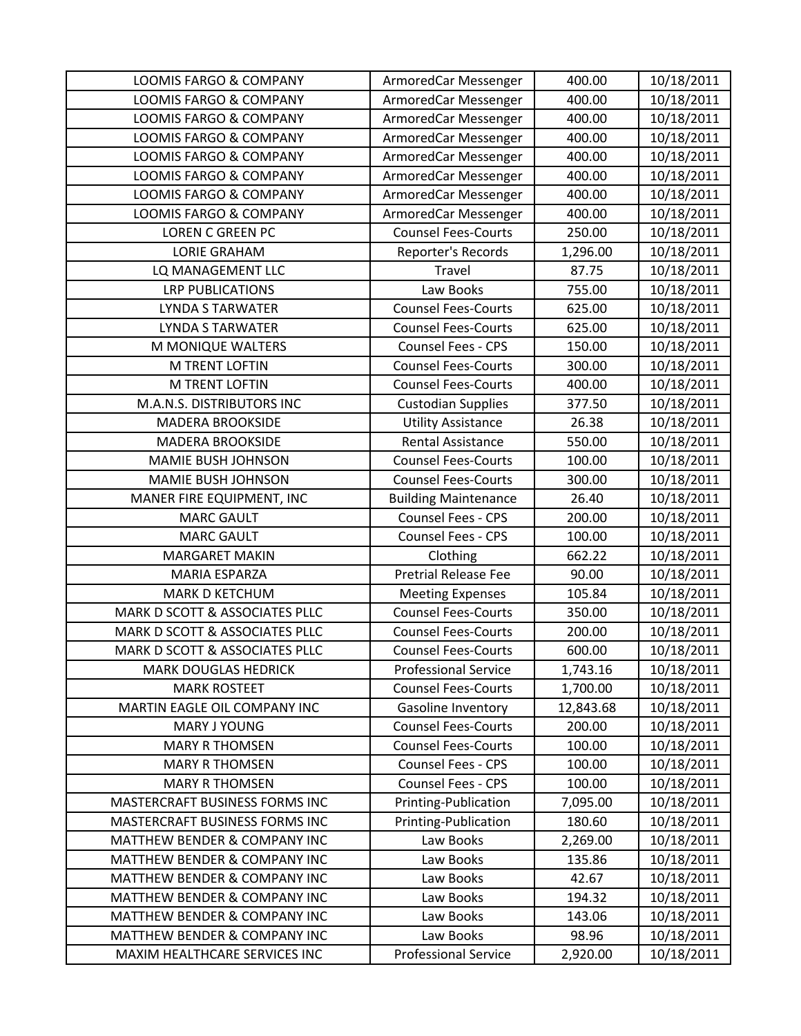| <b>LOOMIS FARGO &amp; COMPANY</b> | ArmoredCar Messenger        | 400.00    | 10/18/2011 |
|-----------------------------------|-----------------------------|-----------|------------|
| <b>LOOMIS FARGO &amp; COMPANY</b> | ArmoredCar Messenger        | 400.00    | 10/18/2011 |
| <b>LOOMIS FARGO &amp; COMPANY</b> | ArmoredCar Messenger        | 400.00    | 10/18/2011 |
| <b>LOOMIS FARGO &amp; COMPANY</b> | ArmoredCar Messenger        | 400.00    | 10/18/2011 |
| <b>LOOMIS FARGO &amp; COMPANY</b> | ArmoredCar Messenger        | 400.00    | 10/18/2011 |
| LOOMIS FARGO & COMPANY            | ArmoredCar Messenger        | 400.00    | 10/18/2011 |
| <b>LOOMIS FARGO &amp; COMPANY</b> | ArmoredCar Messenger        | 400.00    | 10/18/2011 |
| LOOMIS FARGO & COMPANY            | ArmoredCar Messenger        | 400.00    | 10/18/2011 |
| <b>LOREN C GREEN PC</b>           | <b>Counsel Fees-Courts</b>  | 250.00    | 10/18/2011 |
| <b>LORIE GRAHAM</b>               | Reporter's Records          | 1,296.00  | 10/18/2011 |
| LQ MANAGEMENT LLC                 | Travel                      | 87.75     | 10/18/2011 |
| <b>LRP PUBLICATIONS</b>           | Law Books                   | 755.00    | 10/18/2011 |
| LYNDA S TARWATER                  | <b>Counsel Fees-Courts</b>  | 625.00    | 10/18/2011 |
| <b>LYNDA S TARWATER</b>           | <b>Counsel Fees-Courts</b>  | 625.00    | 10/18/2011 |
| M MONIQUE WALTERS                 | <b>Counsel Fees - CPS</b>   | 150.00    | 10/18/2011 |
| M TRENT LOFTIN                    | <b>Counsel Fees-Courts</b>  | 300.00    | 10/18/2011 |
| M TRENT LOFTIN                    | <b>Counsel Fees-Courts</b>  | 400.00    | 10/18/2011 |
| M.A.N.S. DISTRIBUTORS INC         | <b>Custodian Supplies</b>   | 377.50    | 10/18/2011 |
| <b>MADERA BROOKSIDE</b>           | <b>Utility Assistance</b>   | 26.38     | 10/18/2011 |
| <b>MADERA BROOKSIDE</b>           | <b>Rental Assistance</b>    | 550.00    | 10/18/2011 |
| <b>MAMIE BUSH JOHNSON</b>         | <b>Counsel Fees-Courts</b>  | 100.00    | 10/18/2011 |
| <b>MAMIE BUSH JOHNSON</b>         | <b>Counsel Fees-Courts</b>  | 300.00    | 10/18/2011 |
| MANER FIRE EQUIPMENT, INC         | <b>Building Maintenance</b> | 26.40     | 10/18/2011 |
| <b>MARC GAULT</b>                 | Counsel Fees - CPS          | 200.00    | 10/18/2011 |
| <b>MARC GAULT</b>                 | Counsel Fees - CPS          | 100.00    | 10/18/2011 |
| <b>MARGARET MAKIN</b>             | Clothing                    | 662.22    | 10/18/2011 |
| MARIA ESPARZA                     | <b>Pretrial Release Fee</b> | 90.00     | 10/18/2011 |
| <b>MARK D KETCHUM</b>             | <b>Meeting Expenses</b>     | 105.84    | 10/18/2011 |
| MARK D SCOTT & ASSOCIATES PLLC    | <b>Counsel Fees-Courts</b>  | 350.00    | 10/18/2011 |
| MARK D SCOTT & ASSOCIATES PLLC    | <b>Counsel Fees-Courts</b>  | 200.00    | 10/18/2011 |
| MARK D SCOTT & ASSOCIATES PLLC    | <b>Counsel Fees-Courts</b>  | 600.00    | 10/18/2011 |
| <b>MARK DOUGLAS HEDRICK</b>       | <b>Professional Service</b> | 1,743.16  | 10/18/2011 |
| <b>MARK ROSTEET</b>               | <b>Counsel Fees-Courts</b>  | 1,700.00  | 10/18/2011 |
| MARTIN EAGLE OIL COMPANY INC      | Gasoline Inventory          | 12,843.68 | 10/18/2011 |
| MARY J YOUNG                      | <b>Counsel Fees-Courts</b>  | 200.00    | 10/18/2011 |
| <b>MARY R THOMSEN</b>             | <b>Counsel Fees-Courts</b>  | 100.00    | 10/18/2011 |
| <b>MARY R THOMSEN</b>             | <b>Counsel Fees - CPS</b>   | 100.00    | 10/18/2011 |
| <b>MARY R THOMSEN</b>             | <b>Counsel Fees - CPS</b>   | 100.00    | 10/18/2011 |
| MASTERCRAFT BUSINESS FORMS INC    | Printing-Publication        | 7,095.00  | 10/18/2011 |
| MASTERCRAFT BUSINESS FORMS INC    | Printing-Publication        | 180.60    | 10/18/2011 |
| MATTHEW BENDER & COMPANY INC      | Law Books                   | 2,269.00  | 10/18/2011 |
| MATTHEW BENDER & COMPANY INC      | Law Books                   | 135.86    | 10/18/2011 |
| MATTHEW BENDER & COMPANY INC      | Law Books                   | 42.67     | 10/18/2011 |
| MATTHEW BENDER & COMPANY INC      | Law Books                   | 194.32    | 10/18/2011 |
| MATTHEW BENDER & COMPANY INC      | Law Books                   | 143.06    | 10/18/2011 |
| MATTHEW BENDER & COMPANY INC      | Law Books                   | 98.96     | 10/18/2011 |
| MAXIM HEALTHCARE SERVICES INC     | <b>Professional Service</b> | 2,920.00  | 10/18/2011 |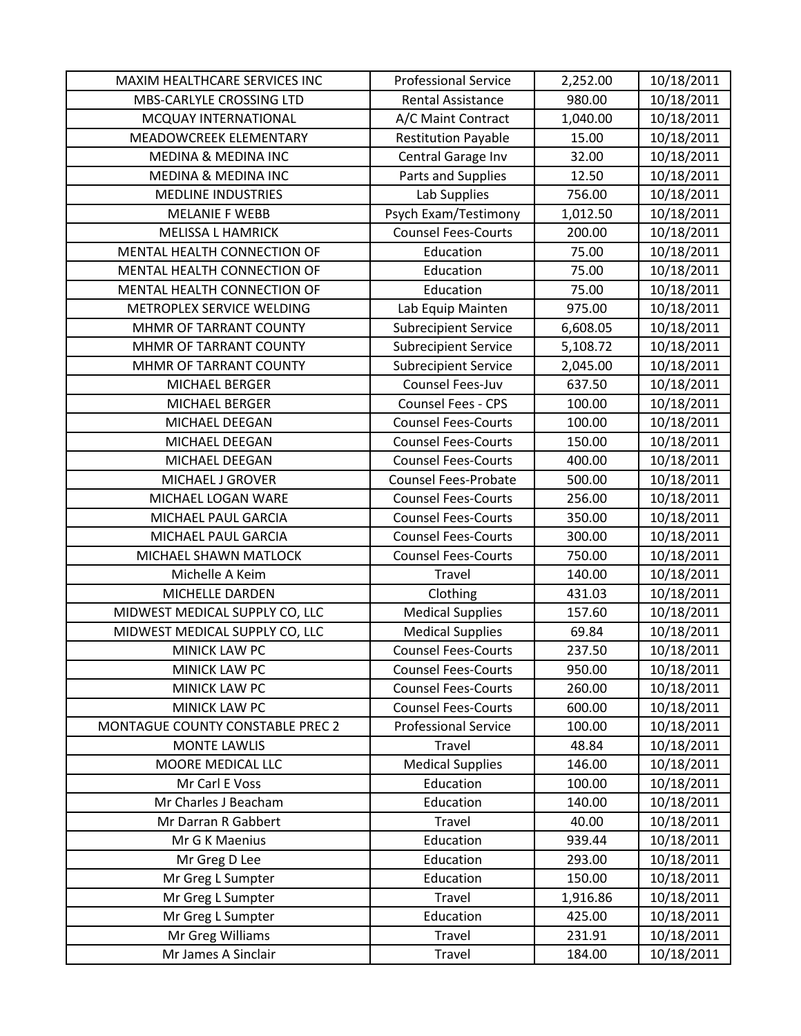| MAXIM HEALTHCARE SERVICES INC    | <b>Professional Service</b> | 2,252.00 | 10/18/2011 |
|----------------------------------|-----------------------------|----------|------------|
| MBS-CARLYLE CROSSING LTD         | <b>Rental Assistance</b>    | 980.00   | 10/18/2011 |
| MCQUAY INTERNATIONAL             | A/C Maint Contract          | 1,040.00 | 10/18/2011 |
| MEADOWCREEK ELEMENTARY           | <b>Restitution Payable</b>  | 15.00    | 10/18/2011 |
| <b>MEDINA &amp; MEDINA INC</b>   | Central Garage Inv          | 32.00    | 10/18/2011 |
| MEDINA & MEDINA INC              | Parts and Supplies          | 12.50    | 10/18/2011 |
| <b>MEDLINE INDUSTRIES</b>        | Lab Supplies                | 756.00   | 10/18/2011 |
| <b>MELANIE F WEBB</b>            | Psych Exam/Testimony        | 1,012.50 | 10/18/2011 |
| <b>MELISSA L HAMRICK</b>         | <b>Counsel Fees-Courts</b>  | 200.00   | 10/18/2011 |
| MENTAL HEALTH CONNECTION OF      | Education                   | 75.00    | 10/18/2011 |
| MENTAL HEALTH CONNECTION OF      | Education                   | 75.00    | 10/18/2011 |
| MENTAL HEALTH CONNECTION OF      | Education                   | 75.00    | 10/18/2011 |
| METROPLEX SERVICE WELDING        | Lab Equip Mainten           | 975.00   | 10/18/2011 |
| MHMR OF TARRANT COUNTY           | <b>Subrecipient Service</b> | 6,608.05 | 10/18/2011 |
| MHMR OF TARRANT COUNTY           | <b>Subrecipient Service</b> | 5,108.72 | 10/18/2011 |
| MHMR OF TARRANT COUNTY           | <b>Subrecipient Service</b> | 2,045.00 | 10/18/2011 |
| MICHAEL BERGER                   | Counsel Fees-Juv            | 637.50   | 10/18/2011 |
| MICHAEL BERGER                   | <b>Counsel Fees - CPS</b>   | 100.00   | 10/18/2011 |
| MICHAEL DEEGAN                   | <b>Counsel Fees-Courts</b>  | 100.00   | 10/18/2011 |
| MICHAEL DEEGAN                   | <b>Counsel Fees-Courts</b>  | 150.00   | 10/18/2011 |
| MICHAEL DEEGAN                   | <b>Counsel Fees-Courts</b>  | 400.00   | 10/18/2011 |
| MICHAEL J GROVER                 | <b>Counsel Fees-Probate</b> | 500.00   | 10/18/2011 |
| MICHAEL LOGAN WARE               | <b>Counsel Fees-Courts</b>  | 256.00   | 10/18/2011 |
| MICHAEL PAUL GARCIA              | <b>Counsel Fees-Courts</b>  | 350.00   | 10/18/2011 |
| MICHAEL PAUL GARCIA              | <b>Counsel Fees-Courts</b>  | 300.00   | 10/18/2011 |
| MICHAEL SHAWN MATLOCK            | <b>Counsel Fees-Courts</b>  | 750.00   | 10/18/2011 |
| Michelle A Keim                  | Travel                      | 140.00   | 10/18/2011 |
| MICHELLE DARDEN                  | Clothing                    | 431.03   | 10/18/2011 |
| MIDWEST MEDICAL SUPPLY CO, LLC   | <b>Medical Supplies</b>     | 157.60   | 10/18/2011 |
| MIDWEST MEDICAL SUPPLY CO, LLC   | <b>Medical Supplies</b>     | 69.84    | 10/18/2011 |
| MINICK LAW PC                    | <b>Counsel Fees-Courts</b>  | 237.50   | 10/18/2011 |
| MINICK LAW PC                    | <b>Counsel Fees-Courts</b>  | 950.00   | 10/18/2011 |
| MINICK LAW PC                    | <b>Counsel Fees-Courts</b>  | 260.00   | 10/18/2011 |
| MINICK LAW PC                    | <b>Counsel Fees-Courts</b>  | 600.00   | 10/18/2011 |
| MONTAGUE COUNTY CONSTABLE PREC 2 | <b>Professional Service</b> | 100.00   | 10/18/2011 |
| <b>MONTE LAWLIS</b>              | Travel                      | 48.84    | 10/18/2011 |
| MOORE MEDICAL LLC                | <b>Medical Supplies</b>     | 146.00   | 10/18/2011 |
| Mr Carl E Voss                   | Education                   | 100.00   | 10/18/2011 |
| Mr Charles J Beacham             | Education                   | 140.00   | 10/18/2011 |
| Mr Darran R Gabbert              | Travel                      | 40.00    | 10/18/2011 |
| Mr G K Maenius                   | Education                   | 939.44   | 10/18/2011 |
| Mr Greg D Lee                    | Education                   | 293.00   | 10/18/2011 |
| Mr Greg L Sumpter                | Education                   | 150.00   | 10/18/2011 |
| Mr Greg L Sumpter                | Travel                      | 1,916.86 | 10/18/2011 |
| Mr Greg L Sumpter                | Education                   | 425.00   | 10/18/2011 |
| Mr Greg Williams                 | Travel                      | 231.91   | 10/18/2011 |
| Mr James A Sinclair              | Travel                      | 184.00   | 10/18/2011 |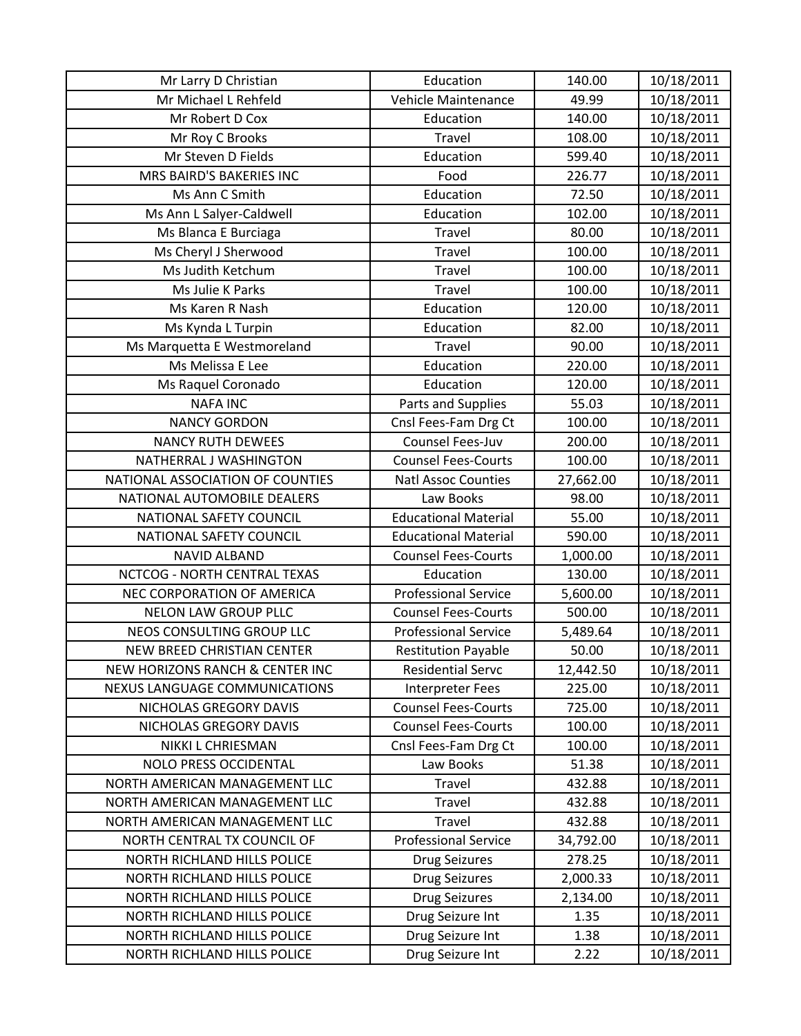| Mr Larry D Christian                       | Education                   | 140.00    | 10/18/2011 |
|--------------------------------------------|-----------------------------|-----------|------------|
| Mr Michael L Rehfeld                       | Vehicle Maintenance         | 49.99     | 10/18/2011 |
| Mr Robert D Cox                            | Education                   | 140.00    | 10/18/2011 |
| Mr Roy C Brooks                            | Travel                      | 108.00    | 10/18/2011 |
| Mr Steven D Fields                         | Education                   | 599.40    | 10/18/2011 |
| MRS BAIRD'S BAKERIES INC                   | Food                        | 226.77    | 10/18/2011 |
| Ms Ann C Smith                             | Education                   | 72.50     | 10/18/2011 |
| Ms Ann L Salyer-Caldwell                   | Education                   | 102.00    | 10/18/2011 |
| Ms Blanca E Burciaga                       | Travel                      | 80.00     | 10/18/2011 |
| Ms Cheryl J Sherwood                       | Travel                      | 100.00    | 10/18/2011 |
| Ms Judith Ketchum                          | Travel                      | 100.00    | 10/18/2011 |
| Ms Julie K Parks                           | Travel                      | 100.00    | 10/18/2011 |
| Ms Karen R Nash                            | Education                   | 120.00    | 10/18/2011 |
| Ms Kynda L Turpin                          | Education                   | 82.00     | 10/18/2011 |
| Ms Marquetta E Westmoreland                | <b>Travel</b>               | 90.00     | 10/18/2011 |
| Ms Melissa E Lee                           | Education                   | 220.00    | 10/18/2011 |
| Ms Raquel Coronado                         | Education                   | 120.00    | 10/18/2011 |
| <b>NAFA INC</b>                            | Parts and Supplies          | 55.03     | 10/18/2011 |
| <b>NANCY GORDON</b>                        | Cnsl Fees-Fam Drg Ct        | 100.00    | 10/18/2011 |
| <b>NANCY RUTH DEWEES</b>                   | <b>Counsel Fees-Juv</b>     | 200.00    | 10/18/2011 |
| NATHERRAL J WASHINGTON                     | <b>Counsel Fees-Courts</b>  | 100.00    | 10/18/2011 |
| NATIONAL ASSOCIATION OF COUNTIES           | <b>Natl Assoc Counties</b>  | 27,662.00 | 10/18/2011 |
| NATIONAL AUTOMOBILE DEALERS                | Law Books                   | 98.00     | 10/18/2011 |
| NATIONAL SAFETY COUNCIL                    | <b>Educational Material</b> | 55.00     | 10/18/2011 |
| NATIONAL SAFETY COUNCIL                    | <b>Educational Material</b> | 590.00    | 10/18/2011 |
| <b>NAVID ALBAND</b>                        | <b>Counsel Fees-Courts</b>  | 1,000.00  | 10/18/2011 |
| NCTCOG - NORTH CENTRAL TEXAS               | Education                   | 130.00    | 10/18/2011 |
| NEC CORPORATION OF AMERICA                 | <b>Professional Service</b> | 5,600.00  | 10/18/2011 |
| <b>NELON LAW GROUP PLLC</b>                | <b>Counsel Fees-Courts</b>  | 500.00    | 10/18/2011 |
| NEOS CONSULTING GROUP LLC                  | <b>Professional Service</b> | 5,489.64  | 10/18/2011 |
| <b>NEW BREED CHRISTIAN CENTER</b>          | <b>Restitution Payable</b>  | 50.00     | 10/18/2011 |
| <b>NEW HORIZONS RANCH &amp; CENTER INC</b> | <b>Residential Servc</b>    | 12,442.50 | 10/18/2011 |
| NEXUS LANGUAGE COMMUNICATIONS              | <b>Interpreter Fees</b>     | 225.00    | 10/18/2011 |
| NICHOLAS GREGORY DAVIS                     | <b>Counsel Fees-Courts</b>  | 725.00    | 10/18/2011 |
| NICHOLAS GREGORY DAVIS                     | <b>Counsel Fees-Courts</b>  | 100.00    | 10/18/2011 |
| <b>NIKKI L CHRIESMAN</b>                   | Cnsl Fees-Fam Drg Ct        | 100.00    | 10/18/2011 |
| NOLO PRESS OCCIDENTAL                      | Law Books                   | 51.38     | 10/18/2011 |
| NORTH AMERICAN MANAGEMENT LLC              | Travel                      | 432.88    | 10/18/2011 |
| NORTH AMERICAN MANAGEMENT LLC              | Travel                      | 432.88    | 10/18/2011 |
| NORTH AMERICAN MANAGEMENT LLC              | Travel                      | 432.88    | 10/18/2011 |
| NORTH CENTRAL TX COUNCIL OF                | <b>Professional Service</b> | 34,792.00 | 10/18/2011 |
| NORTH RICHLAND HILLS POLICE                | <b>Drug Seizures</b>        | 278.25    | 10/18/2011 |
| NORTH RICHLAND HILLS POLICE                | <b>Drug Seizures</b>        | 2,000.33  | 10/18/2011 |
| NORTH RICHLAND HILLS POLICE                | <b>Drug Seizures</b>        | 2,134.00  | 10/18/2011 |
| NORTH RICHLAND HILLS POLICE                | Drug Seizure Int            | 1.35      | 10/18/2011 |
| NORTH RICHLAND HILLS POLICE                | Drug Seizure Int            | 1.38      | 10/18/2011 |
| NORTH RICHLAND HILLS POLICE                | Drug Seizure Int            | 2.22      | 10/18/2011 |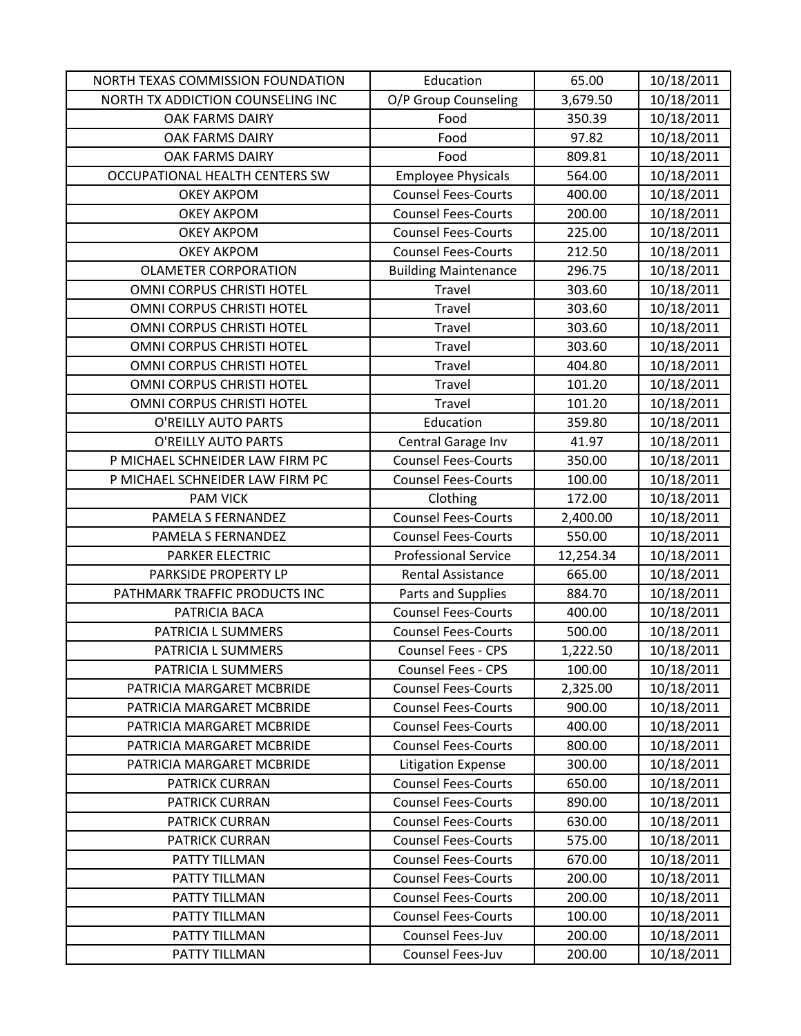| NORTH TEXAS COMMISSION FOUNDATION | Education                   | 65.00     | 10/18/2011 |
|-----------------------------------|-----------------------------|-----------|------------|
| NORTH TX ADDICTION COUNSELING INC | O/P Group Counseling        | 3,679.50  | 10/18/2011 |
| <b>OAK FARMS DAIRY</b>            | Food                        | 350.39    | 10/18/2011 |
| OAK FARMS DAIRY                   | Food                        | 97.82     | 10/18/2011 |
| OAK FARMS DAIRY                   | Food                        | 809.81    | 10/18/2011 |
| OCCUPATIONAL HEALTH CENTERS SW    | <b>Employee Physicals</b>   | 564.00    | 10/18/2011 |
| <b>OKEY AKPOM</b>                 | <b>Counsel Fees-Courts</b>  | 400.00    | 10/18/2011 |
| <b>OKEY AKPOM</b>                 | <b>Counsel Fees-Courts</b>  | 200.00    | 10/18/2011 |
| <b>OKEY AKPOM</b>                 | <b>Counsel Fees-Courts</b>  | 225.00    | 10/18/2011 |
| <b>OKEY AKPOM</b>                 | <b>Counsel Fees-Courts</b>  | 212.50    | 10/18/2011 |
| <b>OLAMETER CORPORATION</b>       | <b>Building Maintenance</b> | 296.75    | 10/18/2011 |
| OMNI CORPUS CHRISTI HOTEL         | Travel                      | 303.60    | 10/18/2011 |
| OMNI CORPUS CHRISTI HOTEL         | Travel                      | 303.60    | 10/18/2011 |
| OMNI CORPUS CHRISTI HOTEL         | Travel                      | 303.60    | 10/18/2011 |
| OMNI CORPUS CHRISTI HOTEL         | Travel                      | 303.60    | 10/18/2011 |
| OMNI CORPUS CHRISTI HOTEL         | Travel                      | 404.80    | 10/18/2011 |
| OMNI CORPUS CHRISTI HOTEL         | Travel                      | 101.20    | 10/18/2011 |
| OMNI CORPUS CHRISTI HOTEL         | Travel                      | 101.20    | 10/18/2011 |
| O'REILLY AUTO PARTS               | Education                   | 359.80    | 10/18/2011 |
| O'REILLY AUTO PARTS               | Central Garage Inv          | 41.97     | 10/18/2011 |
| P MICHAEL SCHNEIDER LAW FIRM PC   | <b>Counsel Fees-Courts</b>  | 350.00    | 10/18/2011 |
| P MICHAEL SCHNEIDER LAW FIRM PC   | <b>Counsel Fees-Courts</b>  | 100.00    | 10/18/2011 |
| <b>PAM VICK</b>                   | Clothing                    | 172.00    | 10/18/2011 |
| PAMELA S FERNANDEZ                | <b>Counsel Fees-Courts</b>  | 2,400.00  | 10/18/2011 |
| PAMELA S FERNANDEZ                | <b>Counsel Fees-Courts</b>  | 550.00    | 10/18/2011 |
| <b>PARKER ELECTRIC</b>            | <b>Professional Service</b> | 12,254.34 | 10/18/2011 |
| PARKSIDE PROPERTY LP              | <b>Rental Assistance</b>    | 665.00    | 10/18/2011 |
| PATHMARK TRAFFIC PRODUCTS INC     | Parts and Supplies          | 884.70    | 10/18/2011 |
| PATRICIA BACA                     | <b>Counsel Fees-Courts</b>  | 400.00    | 10/18/2011 |
| PATRICIA L SUMMERS                | <b>Counsel Fees-Courts</b>  | 500.00    | 10/18/2011 |
| PATRICIA L SUMMERS                | <b>Counsel Fees - CPS</b>   | 1,222.50  | 10/18/2011 |
| PATRICIA L SUMMERS                | <b>Counsel Fees - CPS</b>   | 100.00    | 10/18/2011 |
| PATRICIA MARGARET MCBRIDE         | <b>Counsel Fees-Courts</b>  | 2,325.00  | 10/18/2011 |
| PATRICIA MARGARET MCBRIDE         | <b>Counsel Fees-Courts</b>  | 900.00    | 10/18/2011 |
| PATRICIA MARGARET MCBRIDE         | <b>Counsel Fees-Courts</b>  | 400.00    | 10/18/2011 |
| PATRICIA MARGARET MCBRIDE         | <b>Counsel Fees-Courts</b>  | 800.00    | 10/18/2011 |
| PATRICIA MARGARET MCBRIDE         | <b>Litigation Expense</b>   | 300.00    | 10/18/2011 |
| PATRICK CURRAN                    | <b>Counsel Fees-Courts</b>  | 650.00    | 10/18/2011 |
| <b>PATRICK CURRAN</b>             | <b>Counsel Fees-Courts</b>  | 890.00    | 10/18/2011 |
| <b>PATRICK CURRAN</b>             | <b>Counsel Fees-Courts</b>  | 630.00    | 10/18/2011 |
| <b>PATRICK CURRAN</b>             | <b>Counsel Fees-Courts</b>  | 575.00    | 10/18/2011 |
| PATTY TILLMAN                     | <b>Counsel Fees-Courts</b>  | 670.00    | 10/18/2011 |
| PATTY TILLMAN                     | <b>Counsel Fees-Courts</b>  | 200.00    | 10/18/2011 |
| PATTY TILLMAN                     | <b>Counsel Fees-Courts</b>  | 200.00    | 10/18/2011 |
| PATTY TILLMAN                     | <b>Counsel Fees-Courts</b>  | 100.00    | 10/18/2011 |
| PATTY TILLMAN                     | Counsel Fees-Juv            | 200.00    | 10/18/2011 |
| PATTY TILLMAN                     | Counsel Fees-Juv            | 200.00    | 10/18/2011 |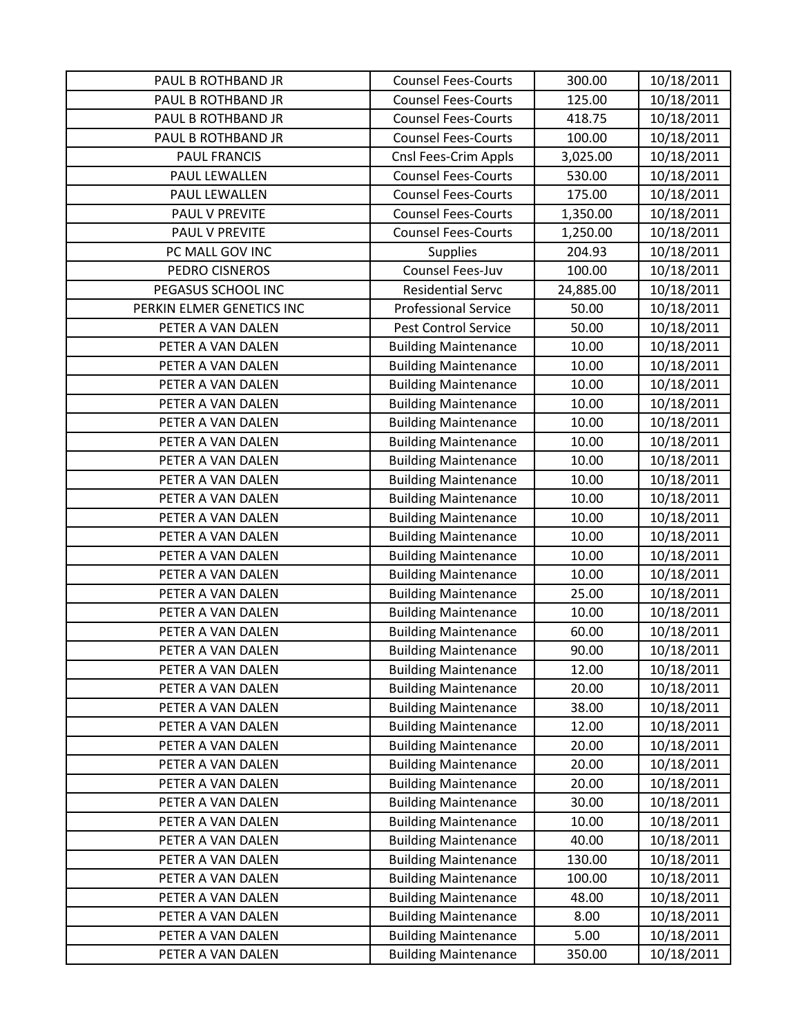| PAUL B ROTHBAND JR                     | <b>Counsel Fees-Courts</b>                                 | 300.00         | 10/18/2011               |
|----------------------------------------|------------------------------------------------------------|----------------|--------------------------|
| PAUL B ROTHBAND JR                     | <b>Counsel Fees-Courts</b>                                 | 125.00         | 10/18/2011               |
| PAUL B ROTHBAND JR                     | <b>Counsel Fees-Courts</b>                                 | 418.75         | 10/18/2011               |
| PAUL B ROTHBAND JR                     | <b>Counsel Fees-Courts</b>                                 | 100.00         | 10/18/2011               |
| <b>PAUL FRANCIS</b>                    | Cnsl Fees-Crim Appls                                       | 3,025.00       | 10/18/2011               |
| PAUL LEWALLEN                          | <b>Counsel Fees-Courts</b>                                 | 530.00         | 10/18/2011               |
| PAUL LEWALLEN                          | <b>Counsel Fees-Courts</b>                                 | 175.00         | 10/18/2011               |
| PAUL V PREVITE                         | <b>Counsel Fees-Courts</b>                                 | 1,350.00       | 10/18/2011               |
| PAUL V PREVITE                         | <b>Counsel Fees-Courts</b>                                 | 1,250.00       | 10/18/2011               |
| PC MALL GOV INC                        | <b>Supplies</b>                                            | 204.93         | 10/18/2011               |
| PEDRO CISNEROS                         | Counsel Fees-Juv                                           | 100.00         | 10/18/2011               |
| PEGASUS SCHOOL INC                     | <b>Residential Servc</b>                                   | 24,885.00      | 10/18/2011               |
| PERKIN ELMER GENETICS INC              | <b>Professional Service</b>                                | 50.00          | 10/18/2011               |
| PETER A VAN DALEN                      | <b>Pest Control Service</b>                                | 50.00          | 10/18/2011               |
| PETER A VAN DALEN                      | <b>Building Maintenance</b>                                | 10.00          | 10/18/2011               |
| PETER A VAN DALEN                      | <b>Building Maintenance</b>                                | 10.00          | 10/18/2011               |
| PETER A VAN DALEN                      | <b>Building Maintenance</b>                                | 10.00          | 10/18/2011               |
| PETER A VAN DALEN                      | <b>Building Maintenance</b>                                | 10.00          | 10/18/2011               |
| PETER A VAN DALEN                      | <b>Building Maintenance</b>                                | 10.00          | 10/18/2011               |
| PETER A VAN DALEN                      | <b>Building Maintenance</b>                                | 10.00          | 10/18/2011               |
| PETER A VAN DALEN                      | <b>Building Maintenance</b>                                | 10.00          | 10/18/2011               |
| PETER A VAN DALEN                      | <b>Building Maintenance</b>                                | 10.00          | 10/18/2011               |
| PETER A VAN DALEN                      | <b>Building Maintenance</b>                                | 10.00          | 10/18/2011               |
| PETER A VAN DALEN                      | <b>Building Maintenance</b>                                | 10.00          | 10/18/2011               |
| PETER A VAN DALEN                      | <b>Building Maintenance</b>                                | 10.00          | 10/18/2011               |
| PETER A VAN DALEN                      | <b>Building Maintenance</b>                                | 10.00          | 10/18/2011               |
| PETER A VAN DALEN                      | <b>Building Maintenance</b>                                | 10.00          | 10/18/2011               |
| PETER A VAN DALEN                      | <b>Building Maintenance</b>                                | 25.00          | 10/18/2011               |
| PETER A VAN DALEN                      | <b>Building Maintenance</b>                                | 10.00          | 10/18/2011               |
| PETER A VAN DALEN                      | <b>Building Maintenance</b>                                | 60.00          | 10/18/2011               |
| PETER A VAN DALEN                      | <b>Building Maintenance</b>                                | 90.00          | 10/18/2011               |
| PETER A VAN DALEN                      | <b>Building Maintenance</b>                                | 12.00          | 10/18/2011               |
| PETER A VAN DALEN<br>PETER A VAN DALEN | <b>Building Maintenance</b>                                | 20.00          | 10/18/2011               |
| PETER A VAN DALEN                      | <b>Building Maintenance</b><br><b>Building Maintenance</b> | 38.00<br>12.00 | 10/18/2011<br>10/18/2011 |
| PETER A VAN DALEN                      | <b>Building Maintenance</b>                                | 20.00          | 10/18/2011               |
| PETER A VAN DALEN                      | <b>Building Maintenance</b>                                | 20.00          | 10/18/2011               |
| PETER A VAN DALEN                      | <b>Building Maintenance</b>                                | 20.00          | 10/18/2011               |
| PETER A VAN DALEN                      | <b>Building Maintenance</b>                                | 30.00          | 10/18/2011               |
| PETER A VAN DALEN                      | <b>Building Maintenance</b>                                | 10.00          | 10/18/2011               |
| PETER A VAN DALEN                      | <b>Building Maintenance</b>                                | 40.00          | 10/18/2011               |
| PETER A VAN DALEN                      | <b>Building Maintenance</b>                                | 130.00         | 10/18/2011               |
| PETER A VAN DALEN                      | <b>Building Maintenance</b>                                | 100.00         | 10/18/2011               |
| PETER A VAN DALEN                      | <b>Building Maintenance</b>                                | 48.00          | 10/18/2011               |
| PETER A VAN DALEN                      | <b>Building Maintenance</b>                                | 8.00           | 10/18/2011               |
| PETER A VAN DALEN                      | <b>Building Maintenance</b>                                | 5.00           | 10/18/2011               |
| PETER A VAN DALEN                      | <b>Building Maintenance</b>                                | 350.00         | 10/18/2011               |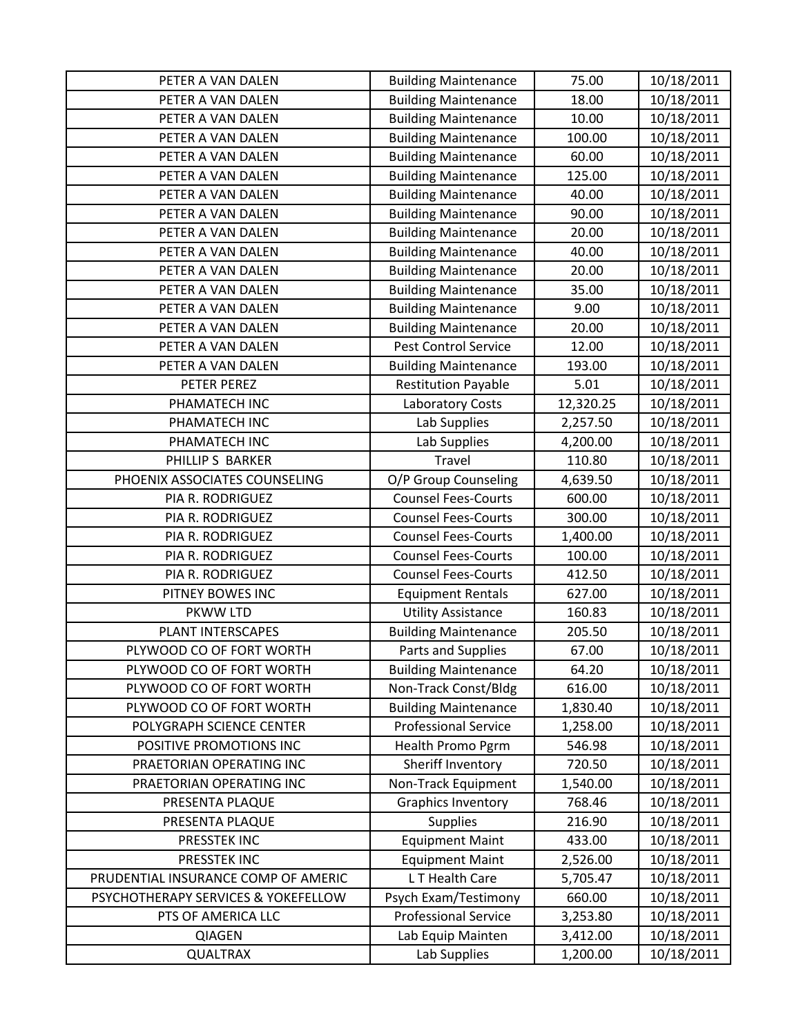| PETER A VAN DALEN                   | <b>Building Maintenance</b> | 75.00     | 10/18/2011 |
|-------------------------------------|-----------------------------|-----------|------------|
| PETER A VAN DALEN                   | <b>Building Maintenance</b> | 18.00     | 10/18/2011 |
| PETER A VAN DALEN                   | <b>Building Maintenance</b> | 10.00     | 10/18/2011 |
| PETER A VAN DALEN                   | <b>Building Maintenance</b> | 100.00    | 10/18/2011 |
| PETER A VAN DALEN                   | <b>Building Maintenance</b> | 60.00     | 10/18/2011 |
| PETER A VAN DALEN                   | <b>Building Maintenance</b> | 125.00    | 10/18/2011 |
| PETER A VAN DALEN                   | <b>Building Maintenance</b> | 40.00     | 10/18/2011 |
| PETER A VAN DALEN                   | <b>Building Maintenance</b> | 90.00     | 10/18/2011 |
| PETER A VAN DALEN                   | <b>Building Maintenance</b> | 20.00     | 10/18/2011 |
| PETER A VAN DALEN                   | <b>Building Maintenance</b> | 40.00     | 10/18/2011 |
| PETER A VAN DALEN                   | <b>Building Maintenance</b> | 20.00     | 10/18/2011 |
| PETER A VAN DALEN                   | <b>Building Maintenance</b> | 35.00     | 10/18/2011 |
| PETER A VAN DALEN                   | <b>Building Maintenance</b> | 9.00      | 10/18/2011 |
| PETER A VAN DALEN                   | <b>Building Maintenance</b> | 20.00     | 10/18/2011 |
| PETER A VAN DALEN                   | Pest Control Service        | 12.00     | 10/18/2011 |
| PETER A VAN DALEN                   | <b>Building Maintenance</b> | 193.00    | 10/18/2011 |
| PETER PEREZ                         | <b>Restitution Payable</b>  | 5.01      | 10/18/2011 |
| PHAMATECH INC                       | Laboratory Costs            | 12,320.25 | 10/18/2011 |
| PHAMATECH INC                       | Lab Supplies                | 2,257.50  | 10/18/2011 |
| PHAMATECH INC                       | Lab Supplies                | 4,200.00  | 10/18/2011 |
| PHILLIP S BARKER                    | <b>Travel</b>               | 110.80    | 10/18/2011 |
| PHOENIX ASSOCIATES COUNSELING       | O/P Group Counseling        | 4,639.50  | 10/18/2011 |
| PIA R. RODRIGUEZ                    | <b>Counsel Fees-Courts</b>  | 600.00    | 10/18/2011 |
| PIA R. RODRIGUEZ                    | <b>Counsel Fees-Courts</b>  | 300.00    | 10/18/2011 |
| PIA R. RODRIGUEZ                    | <b>Counsel Fees-Courts</b>  | 1,400.00  | 10/18/2011 |
| PIA R. RODRIGUEZ                    | <b>Counsel Fees-Courts</b>  | 100.00    | 10/18/2011 |
| PIA R. RODRIGUEZ                    | <b>Counsel Fees-Courts</b>  | 412.50    | 10/18/2011 |
| PITNEY BOWES INC                    | <b>Equipment Rentals</b>    | 627.00    | 10/18/2011 |
| PKWW LTD                            | <b>Utility Assistance</b>   | 160.83    | 10/18/2011 |
| <b>PLANT INTERSCAPES</b>            | <b>Building Maintenance</b> | 205.50    | 10/18/2011 |
| PLYWOOD CO OF FORT WORTH            | Parts and Supplies          | 67.00     | 10/18/2011 |
| PLYWOOD CO OF FORT WORTH            | <b>Building Maintenance</b> | 64.20     | 10/18/2011 |
| PLYWOOD CO OF FORT WORTH            | Non-Track Const/Bldg        | 616.00    | 10/18/2011 |
| PLYWOOD CO OF FORT WORTH            | <b>Building Maintenance</b> | 1,830.40  | 10/18/2011 |
| POLYGRAPH SCIENCE CENTER            | <b>Professional Service</b> | 1,258.00  | 10/18/2011 |
| POSITIVE PROMOTIONS INC             | Health Promo Pgrm           | 546.98    | 10/18/2011 |
| PRAETORIAN OPERATING INC            | Sheriff Inventory           | 720.50    | 10/18/2011 |
| PRAETORIAN OPERATING INC            | Non-Track Equipment         | 1,540.00  | 10/18/2011 |
| PRESENTA PLAQUE                     | <b>Graphics Inventory</b>   | 768.46    | 10/18/2011 |
| PRESENTA PLAQUE                     | <b>Supplies</b>             | 216.90    | 10/18/2011 |
| PRESSTEK INC                        | <b>Equipment Maint</b>      | 433.00    | 10/18/2011 |
| PRESSTEK INC                        | <b>Equipment Maint</b>      | 2,526.00  | 10/18/2011 |
| PRUDENTIAL INSURANCE COMP OF AMERIC | L T Health Care             | 5,705.47  | 10/18/2011 |
| PSYCHOTHERAPY SERVICES & YOKEFELLOW | Psych Exam/Testimony        | 660.00    | 10/18/2011 |
| PTS OF AMERICA LLC                  | <b>Professional Service</b> | 3,253.80  | 10/18/2011 |
| <b>QIAGEN</b>                       | Lab Equip Mainten           | 3,412.00  | 10/18/2011 |
| <b>QUALTRAX</b>                     | Lab Supplies                | 1,200.00  | 10/18/2011 |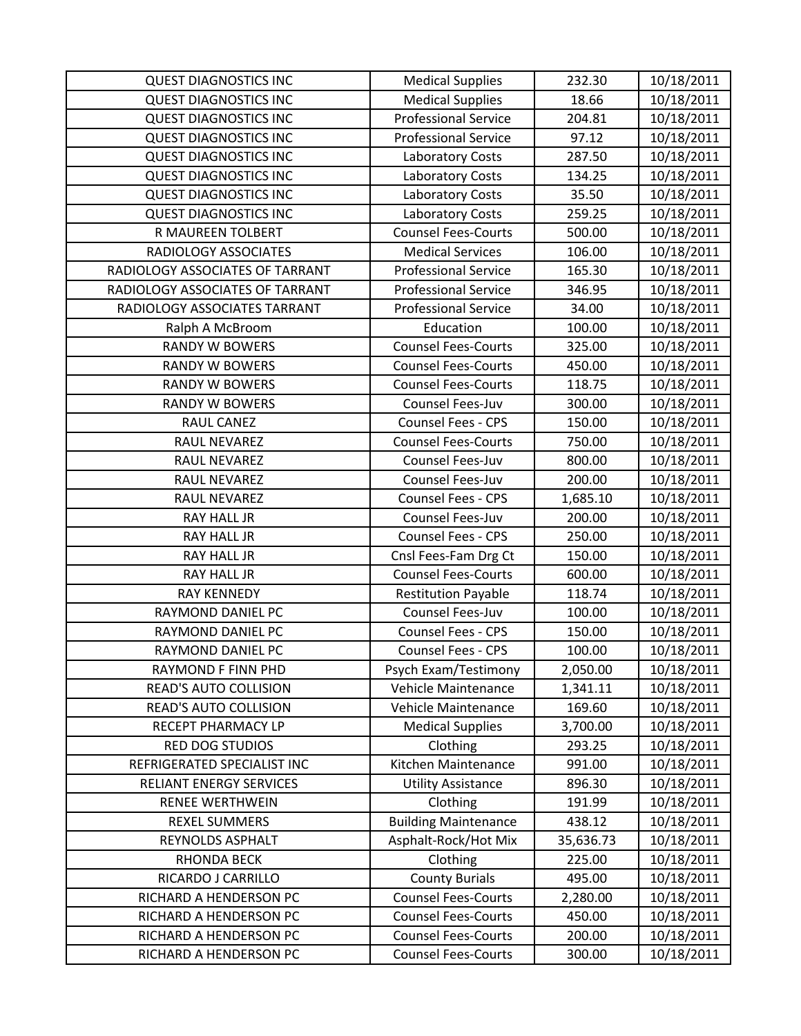| <b>QUEST DIAGNOSTICS INC</b>    | <b>Medical Supplies</b>     | 232.30    | 10/18/2011 |
|---------------------------------|-----------------------------|-----------|------------|
| <b>QUEST DIAGNOSTICS INC</b>    | <b>Medical Supplies</b>     | 18.66     | 10/18/2011 |
| <b>QUEST DIAGNOSTICS INC</b>    | <b>Professional Service</b> | 204.81    | 10/18/2011 |
| <b>QUEST DIAGNOSTICS INC</b>    | <b>Professional Service</b> | 97.12     | 10/18/2011 |
| <b>QUEST DIAGNOSTICS INC</b>    | Laboratory Costs            | 287.50    | 10/18/2011 |
| <b>QUEST DIAGNOSTICS INC</b>    | <b>Laboratory Costs</b>     | 134.25    | 10/18/2011 |
| <b>QUEST DIAGNOSTICS INC</b>    | <b>Laboratory Costs</b>     | 35.50     | 10/18/2011 |
| <b>QUEST DIAGNOSTICS INC</b>    | <b>Laboratory Costs</b>     | 259.25    | 10/18/2011 |
| R MAUREEN TOLBERT               | <b>Counsel Fees-Courts</b>  | 500.00    | 10/18/2011 |
| RADIOLOGY ASSOCIATES            | <b>Medical Services</b>     | 106.00    | 10/18/2011 |
| RADIOLOGY ASSOCIATES OF TARRANT | <b>Professional Service</b> | 165.30    | 10/18/2011 |
| RADIOLOGY ASSOCIATES OF TARRANT | <b>Professional Service</b> | 346.95    | 10/18/2011 |
| RADIOLOGY ASSOCIATES TARRANT    | <b>Professional Service</b> | 34.00     | 10/18/2011 |
| Ralph A McBroom                 | Education                   | 100.00    | 10/18/2011 |
| <b>RANDY W BOWERS</b>           | <b>Counsel Fees-Courts</b>  | 325.00    | 10/18/2011 |
| <b>RANDY W BOWERS</b>           | <b>Counsel Fees-Courts</b>  | 450.00    | 10/18/2011 |
| <b>RANDY W BOWERS</b>           | <b>Counsel Fees-Courts</b>  | 118.75    | 10/18/2011 |
| <b>RANDY W BOWERS</b>           | Counsel Fees-Juv            | 300.00    | 10/18/2011 |
| <b>RAUL CANEZ</b>               | <b>Counsel Fees - CPS</b>   | 150.00    | 10/18/2011 |
| RAUL NEVAREZ                    | <b>Counsel Fees-Courts</b>  | 750.00    | 10/18/2011 |
| RAUL NEVAREZ                    | Counsel Fees-Juv            | 800.00    | 10/18/2011 |
| RAUL NEVAREZ                    | Counsel Fees-Juv            | 200.00    | 10/18/2011 |
| RAUL NEVAREZ                    | Counsel Fees - CPS          | 1,685.10  | 10/18/2011 |
| <b>RAY HALL JR</b>              | Counsel Fees-Juv            | 200.00    | 10/18/2011 |
| <b>RAY HALL JR</b>              | Counsel Fees - CPS          | 250.00    | 10/18/2011 |
| RAY HALL JR                     | Cnsl Fees-Fam Drg Ct        | 150.00    | 10/18/2011 |
| <b>RAY HALL JR</b>              | <b>Counsel Fees-Courts</b>  | 600.00    | 10/18/2011 |
| <b>RAY KENNEDY</b>              | <b>Restitution Payable</b>  | 118.74    | 10/18/2011 |
| RAYMOND DANIEL PC               | Counsel Fees-Juv            | 100.00    | 10/18/2011 |
| RAYMOND DANIEL PC               | Counsel Fees - CPS          | 150.00    | 10/18/2011 |
| RAYMOND DANIEL PC               | Counsel Fees - CPS          | 100.00    | 10/18/2011 |
| RAYMOND F FINN PHD              | Psych Exam/Testimony        | 2,050.00  | 10/18/2011 |
| READ'S AUTO COLLISION           | Vehicle Maintenance         | 1,341.11  | 10/18/2011 |
| READ'S AUTO COLLISION           | Vehicle Maintenance         | 169.60    | 10/18/2011 |
| RECEPT PHARMACY LP              | <b>Medical Supplies</b>     | 3,700.00  | 10/18/2011 |
| <b>RED DOG STUDIOS</b>          | Clothing                    | 293.25    | 10/18/2011 |
| REFRIGERATED SPECIALIST INC     | Kitchen Maintenance         | 991.00    | 10/18/2011 |
| <b>RELIANT ENERGY SERVICES</b>  | <b>Utility Assistance</b>   | 896.30    | 10/18/2011 |
| <b>RENEE WERTHWEIN</b>          | Clothing                    | 191.99    | 10/18/2011 |
| <b>REXEL SUMMERS</b>            | <b>Building Maintenance</b> | 438.12    | 10/18/2011 |
| REYNOLDS ASPHALT                | Asphalt-Rock/Hot Mix        | 35,636.73 | 10/18/2011 |
| <b>RHONDA BECK</b>              | Clothing                    | 225.00    | 10/18/2011 |
| RICARDO J CARRILLO              | <b>County Burials</b>       | 495.00    | 10/18/2011 |
| RICHARD A HENDERSON PC          | <b>Counsel Fees-Courts</b>  | 2,280.00  | 10/18/2011 |
| RICHARD A HENDERSON PC          | <b>Counsel Fees-Courts</b>  | 450.00    | 10/18/2011 |
| RICHARD A HENDERSON PC          | <b>Counsel Fees-Courts</b>  | 200.00    | 10/18/2011 |
| RICHARD A HENDERSON PC          | <b>Counsel Fees-Courts</b>  | 300.00    | 10/18/2011 |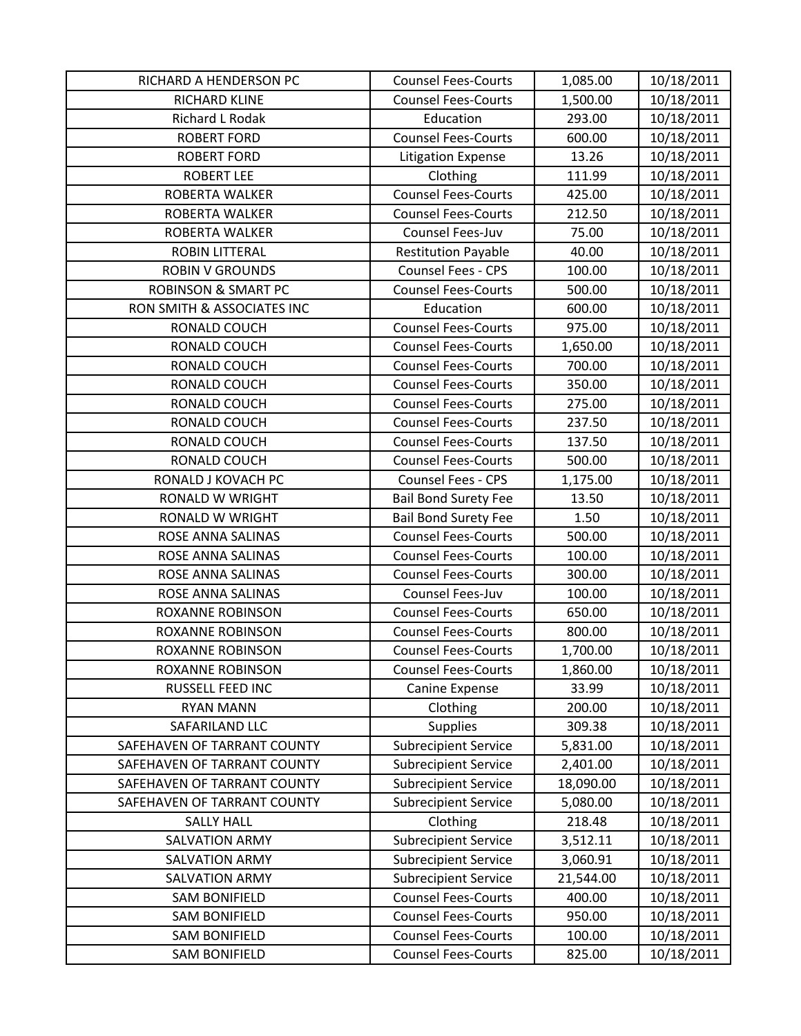| RICHARD A HENDERSON PC         | <b>Counsel Fees-Courts</b>  | 1,085.00  | 10/18/2011 |
|--------------------------------|-----------------------------|-----------|------------|
| RICHARD KLINE                  | <b>Counsel Fees-Courts</b>  | 1,500.00  | 10/18/2011 |
| Richard L Rodak                | Education                   | 293.00    | 10/18/2011 |
| <b>ROBERT FORD</b>             | <b>Counsel Fees-Courts</b>  | 600.00    | 10/18/2011 |
| <b>ROBERT FORD</b>             | <b>Litigation Expense</b>   | 13.26     | 10/18/2011 |
| <b>ROBERT LEE</b>              | Clothing                    | 111.99    | 10/18/2011 |
| ROBERTA WALKER                 | <b>Counsel Fees-Courts</b>  | 425.00    | 10/18/2011 |
| <b>ROBERTA WALKER</b>          | <b>Counsel Fees-Courts</b>  | 212.50    | 10/18/2011 |
| ROBERTA WALKER                 | Counsel Fees-Juv            | 75.00     | 10/18/2011 |
| ROBIN LITTERAL                 | <b>Restitution Payable</b>  | 40.00     | 10/18/2011 |
| <b>ROBIN V GROUNDS</b>         | Counsel Fees - CPS          | 100.00    | 10/18/2011 |
| <b>ROBINSON &amp; SMART PC</b> | <b>Counsel Fees-Courts</b>  | 500.00    | 10/18/2011 |
| RON SMITH & ASSOCIATES INC     | Education                   | 600.00    | 10/18/2011 |
| RONALD COUCH                   | <b>Counsel Fees-Courts</b>  | 975.00    | 10/18/2011 |
| RONALD COUCH                   | <b>Counsel Fees-Courts</b>  | 1,650.00  | 10/18/2011 |
| RONALD COUCH                   | <b>Counsel Fees-Courts</b>  | 700.00    | 10/18/2011 |
| RONALD COUCH                   | <b>Counsel Fees-Courts</b>  | 350.00    | 10/18/2011 |
| RONALD COUCH                   | <b>Counsel Fees-Courts</b>  | 275.00    | 10/18/2011 |
| RONALD COUCH                   | <b>Counsel Fees-Courts</b>  | 237.50    | 10/18/2011 |
| RONALD COUCH                   | <b>Counsel Fees-Courts</b>  | 137.50    | 10/18/2011 |
| RONALD COUCH                   | <b>Counsel Fees-Courts</b>  | 500.00    | 10/18/2011 |
| RONALD J KOVACH PC             | <b>Counsel Fees - CPS</b>   | 1,175.00  | 10/18/2011 |
| <b>RONALD W WRIGHT</b>         | <b>Bail Bond Surety Fee</b> | 13.50     | 10/18/2011 |
| RONALD W WRIGHT                | <b>Bail Bond Surety Fee</b> | 1.50      | 10/18/2011 |
| ROSE ANNA SALINAS              | <b>Counsel Fees-Courts</b>  | 500.00    | 10/18/2011 |
| ROSE ANNA SALINAS              | <b>Counsel Fees-Courts</b>  | 100.00    | 10/18/2011 |
| ROSE ANNA SALINAS              | <b>Counsel Fees-Courts</b>  | 300.00    | 10/18/2011 |
| ROSE ANNA SALINAS              | Counsel Fees-Juv            | 100.00    | 10/18/2011 |
| <b>ROXANNE ROBINSON</b>        | <b>Counsel Fees-Courts</b>  | 650.00    | 10/18/2011 |
| <b>ROXANNE ROBINSON</b>        | <b>Counsel Fees-Courts</b>  | 800.00    | 10/18/2011 |
| <b>ROXANNE ROBINSON</b>        | <b>Counsel Fees-Courts</b>  | 1,700.00  | 10/18/2011 |
| <b>ROXANNE ROBINSON</b>        | <b>Counsel Fees-Courts</b>  | 1,860.00  | 10/18/2011 |
| RUSSELL FEED INC               | Canine Expense              | 33.99     | 10/18/2011 |
| <b>RYAN MANN</b>               | Clothing                    | 200.00    | 10/18/2011 |
| SAFARILAND LLC                 | <b>Supplies</b>             | 309.38    | 10/18/2011 |
| SAFEHAVEN OF TARRANT COUNTY    | <b>Subrecipient Service</b> | 5,831.00  | 10/18/2011 |
| SAFEHAVEN OF TARRANT COUNTY    | <b>Subrecipient Service</b> | 2,401.00  | 10/18/2011 |
| SAFEHAVEN OF TARRANT COUNTY    | <b>Subrecipient Service</b> | 18,090.00 | 10/18/2011 |
| SAFEHAVEN OF TARRANT COUNTY    | <b>Subrecipient Service</b> | 5,080.00  | 10/18/2011 |
| <b>SALLY HALL</b>              | Clothing                    | 218.48    | 10/18/2011 |
| <b>SALVATION ARMY</b>          | <b>Subrecipient Service</b> | 3,512.11  | 10/18/2011 |
| SALVATION ARMY                 | <b>Subrecipient Service</b> | 3,060.91  | 10/18/2011 |
| <b>SALVATION ARMY</b>          | <b>Subrecipient Service</b> | 21,544.00 | 10/18/2011 |
| <b>SAM BONIFIELD</b>           | <b>Counsel Fees-Courts</b>  | 400.00    | 10/18/2011 |
| <b>SAM BONIFIELD</b>           | <b>Counsel Fees-Courts</b>  | 950.00    | 10/18/2011 |
| <b>SAM BONIFIELD</b>           | <b>Counsel Fees-Courts</b>  | 100.00    | 10/18/2011 |
| <b>SAM BONIFIELD</b>           | <b>Counsel Fees-Courts</b>  | 825.00    | 10/18/2011 |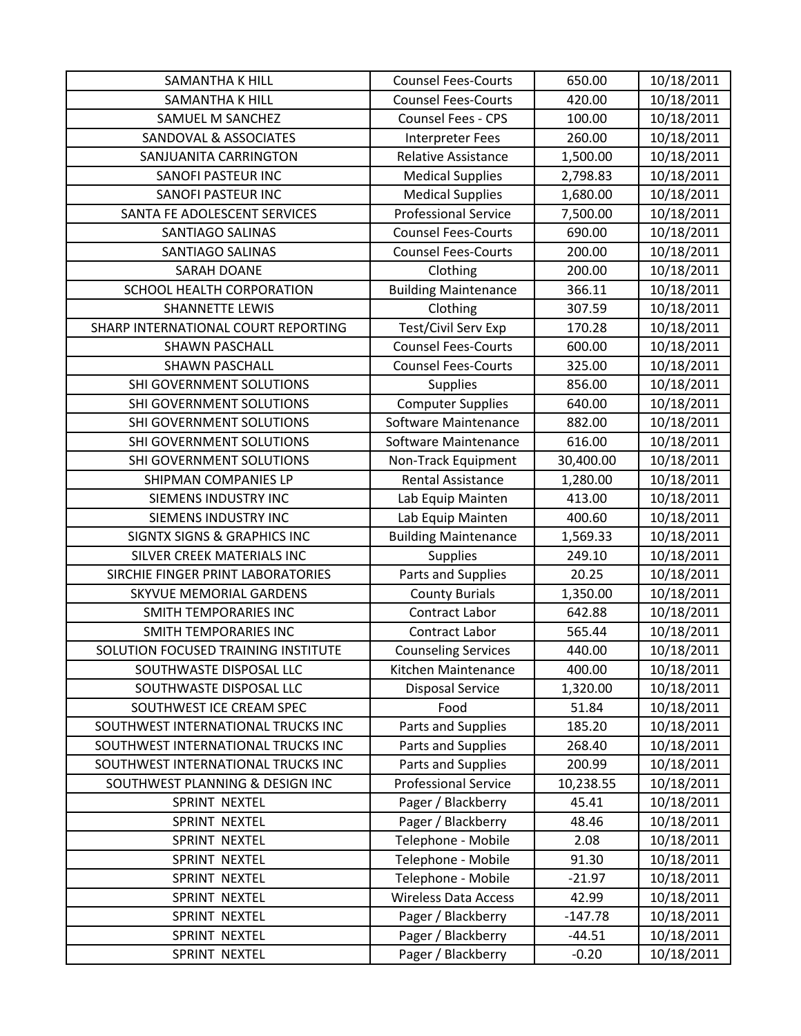| <b>SAMANTHA K HILL</b>                 | <b>Counsel Fees-Courts</b>  | 650.00    | 10/18/2011 |
|----------------------------------------|-----------------------------|-----------|------------|
| <b>SAMANTHA K HILL</b>                 | <b>Counsel Fees-Courts</b>  | 420.00    | 10/18/2011 |
| SAMUEL M SANCHEZ                       | <b>Counsel Fees - CPS</b>   | 100.00    | 10/18/2011 |
| SANDOVAL & ASSOCIATES                  | <b>Interpreter Fees</b>     | 260.00    | 10/18/2011 |
| SANJUANITA CARRINGTON                  | <b>Relative Assistance</b>  | 1,500.00  | 10/18/2011 |
| SANOFI PASTEUR INC                     | <b>Medical Supplies</b>     | 2,798.83  | 10/18/2011 |
| <b>SANOFI PASTEUR INC</b>              | <b>Medical Supplies</b>     | 1,680.00  | 10/18/2011 |
| SANTA FE ADOLESCENT SERVICES           | <b>Professional Service</b> | 7,500.00  | 10/18/2011 |
| SANTIAGO SALINAS                       | <b>Counsel Fees-Courts</b>  | 690.00    | 10/18/2011 |
| <b>SANTIAGO SALINAS</b>                | <b>Counsel Fees-Courts</b>  | 200.00    | 10/18/2011 |
| <b>SARAH DOANE</b>                     | Clothing                    | 200.00    | 10/18/2011 |
| SCHOOL HEALTH CORPORATION              | <b>Building Maintenance</b> | 366.11    | 10/18/2011 |
| <b>SHANNETTE LEWIS</b>                 | Clothing                    | 307.59    | 10/18/2011 |
| SHARP INTERNATIONAL COURT REPORTING    | Test/Civil Serv Exp         | 170.28    | 10/18/2011 |
| <b>SHAWN PASCHALL</b>                  | <b>Counsel Fees-Courts</b>  | 600.00    | 10/18/2011 |
| <b>SHAWN PASCHALL</b>                  | <b>Counsel Fees-Courts</b>  | 325.00    | 10/18/2011 |
| SHI GOVERNMENT SOLUTIONS               | <b>Supplies</b>             | 856.00    | 10/18/2011 |
| SHI GOVERNMENT SOLUTIONS               | <b>Computer Supplies</b>    | 640.00    | 10/18/2011 |
| SHI GOVERNMENT SOLUTIONS               | Software Maintenance        | 882.00    | 10/18/2011 |
| SHI GOVERNMENT SOLUTIONS               | Software Maintenance        | 616.00    | 10/18/2011 |
| SHI GOVERNMENT SOLUTIONS               | Non-Track Equipment         | 30,400.00 | 10/18/2011 |
| SHIPMAN COMPANIES LP                   | <b>Rental Assistance</b>    | 1,280.00  | 10/18/2011 |
| SIEMENS INDUSTRY INC                   | Lab Equip Mainten           | 413.00    | 10/18/2011 |
| SIEMENS INDUSTRY INC                   | Lab Equip Mainten           | 400.60    | 10/18/2011 |
| <b>SIGNTX SIGNS &amp; GRAPHICS INC</b> | <b>Building Maintenance</b> | 1,569.33  | 10/18/2011 |
| SILVER CREEK MATERIALS INC             | Supplies                    | 249.10    | 10/18/2011 |
| SIRCHIE FINGER PRINT LABORATORIES      | Parts and Supplies          | 20.25     | 10/18/2011 |
| SKYVUE MEMORIAL GARDENS                | <b>County Burials</b>       | 1,350.00  | 10/18/2011 |
| <b>SMITH TEMPORARIES INC</b>           | <b>Contract Labor</b>       | 642.88    | 10/18/2011 |
| <b>SMITH TEMPORARIES INC</b>           | Contract Labor              | 565.44    | 10/18/2011 |
| SOLUTION FOCUSED TRAINING INSTITUTE    | <b>Counseling Services</b>  | 440.00    | 10/18/2011 |
| SOUTHWASTE DISPOSAL LLC                | Kitchen Maintenance         | 400.00    | 10/18/2011 |
| SOUTHWASTE DISPOSAL LLC                | <b>Disposal Service</b>     | 1,320.00  | 10/18/2011 |
| SOUTHWEST ICE CREAM SPEC               | Food                        | 51.84     | 10/18/2011 |
| SOUTHWEST INTERNATIONAL TRUCKS INC     | Parts and Supplies          | 185.20    | 10/18/2011 |
| SOUTHWEST INTERNATIONAL TRUCKS INC     | Parts and Supplies          | 268.40    | 10/18/2011 |
| SOUTHWEST INTERNATIONAL TRUCKS INC     | Parts and Supplies          | 200.99    | 10/18/2011 |
| SOUTHWEST PLANNING & DESIGN INC        | <b>Professional Service</b> | 10,238.55 | 10/18/2011 |
| SPRINT NEXTEL                          | Pager / Blackberry          | 45.41     | 10/18/2011 |
| SPRINT NEXTEL                          | Pager / Blackberry          | 48.46     | 10/18/2011 |
| SPRINT NEXTEL                          | Telephone - Mobile          | 2.08      | 10/18/2011 |
| SPRINT NEXTEL                          | Telephone - Mobile          | 91.30     | 10/18/2011 |
| SPRINT NEXTEL                          | Telephone - Mobile          | $-21.97$  | 10/18/2011 |
| SPRINT NEXTEL                          | <b>Wireless Data Access</b> | 42.99     | 10/18/2011 |
| SPRINT NEXTEL                          | Pager / Blackberry          | $-147.78$ | 10/18/2011 |
| SPRINT NEXTEL                          | Pager / Blackberry          | $-44.51$  | 10/18/2011 |
| SPRINT NEXTEL                          | Pager / Blackberry          | $-0.20$   | 10/18/2011 |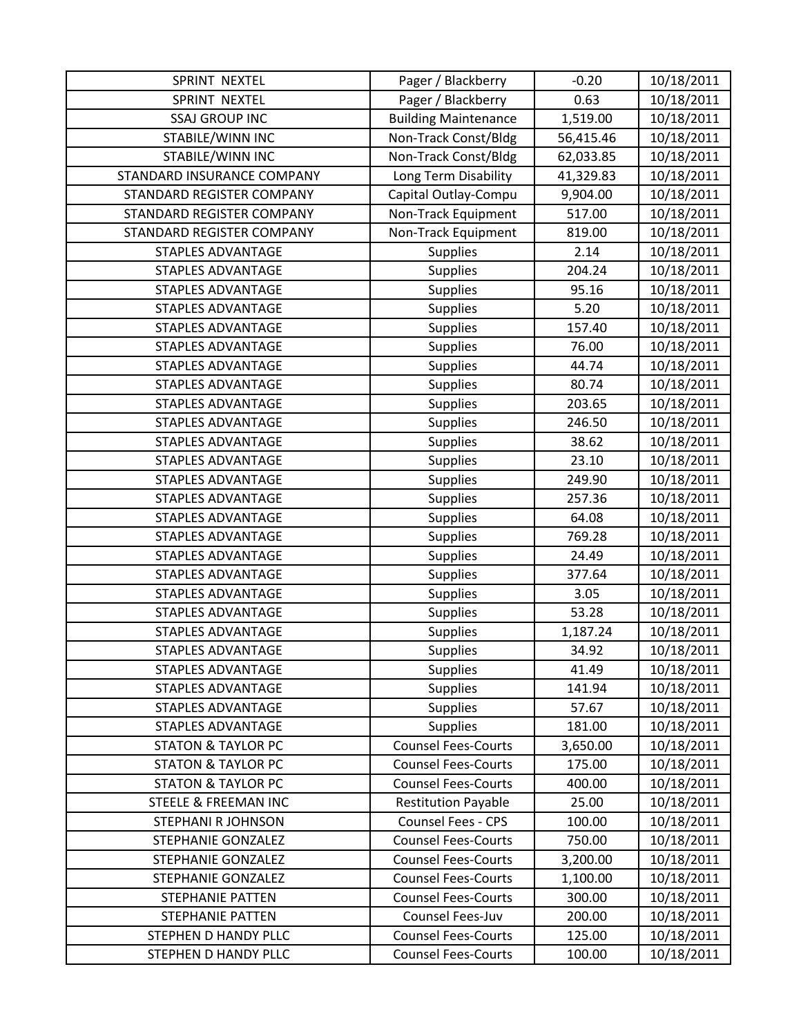| SPRINT NEXTEL                   | Pager / Blackberry          | $-0.20$   | 10/18/2011 |
|---------------------------------|-----------------------------|-----------|------------|
| SPRINT NEXTEL                   | Pager / Blackberry          | 0.63      | 10/18/2011 |
| <b>SSAJ GROUP INC</b>           | <b>Building Maintenance</b> | 1,519.00  | 10/18/2011 |
| STABILE/WINN INC                | Non-Track Const/Bldg        | 56,415.46 | 10/18/2011 |
| STABILE/WINN INC                | Non-Track Const/Bldg        | 62,033.85 | 10/18/2011 |
| STANDARD INSURANCE COMPANY      | Long Term Disability        | 41,329.83 | 10/18/2011 |
| STANDARD REGISTER COMPANY       | Capital Outlay-Compu        | 9,904.00  | 10/18/2011 |
| STANDARD REGISTER COMPANY       | Non-Track Equipment         | 517.00    | 10/18/2011 |
| STANDARD REGISTER COMPANY       | Non-Track Equipment         | 819.00    | 10/18/2011 |
| <b>STAPLES ADVANTAGE</b>        | <b>Supplies</b>             | 2.14      | 10/18/2011 |
| <b>STAPLES ADVANTAGE</b>        | <b>Supplies</b>             | 204.24    | 10/18/2011 |
| <b>STAPLES ADVANTAGE</b>        | Supplies                    | 95.16     | 10/18/2011 |
| <b>STAPLES ADVANTAGE</b>        | Supplies                    | 5.20      | 10/18/2011 |
| <b>STAPLES ADVANTAGE</b>        | Supplies                    | 157.40    | 10/18/2011 |
| <b>STAPLES ADVANTAGE</b>        | <b>Supplies</b>             | 76.00     | 10/18/2011 |
| <b>STAPLES ADVANTAGE</b>        | <b>Supplies</b>             | 44.74     | 10/18/2011 |
| <b>STAPLES ADVANTAGE</b>        | <b>Supplies</b>             | 80.74     | 10/18/2011 |
| <b>STAPLES ADVANTAGE</b>        | Supplies                    | 203.65    | 10/18/2011 |
| <b>STAPLES ADVANTAGE</b>        | <b>Supplies</b>             | 246.50    | 10/18/2011 |
| <b>STAPLES ADVANTAGE</b>        | <b>Supplies</b>             | 38.62     | 10/18/2011 |
| <b>STAPLES ADVANTAGE</b>        | <b>Supplies</b>             | 23.10     | 10/18/2011 |
| STAPLES ADVANTAGE               | <b>Supplies</b>             | 249.90    | 10/18/2011 |
| <b>STAPLES ADVANTAGE</b>        | <b>Supplies</b>             | 257.36    | 10/18/2011 |
| <b>STAPLES ADVANTAGE</b>        | <b>Supplies</b>             | 64.08     | 10/18/2011 |
| <b>STAPLES ADVANTAGE</b>        | <b>Supplies</b>             | 769.28    | 10/18/2011 |
| <b>STAPLES ADVANTAGE</b>        | Supplies                    | 24.49     | 10/18/2011 |
| <b>STAPLES ADVANTAGE</b>        | <b>Supplies</b>             | 377.64    | 10/18/2011 |
| <b>STAPLES ADVANTAGE</b>        | Supplies                    | 3.05      | 10/18/2011 |
| <b>STAPLES ADVANTAGE</b>        | <b>Supplies</b>             | 53.28     | 10/18/2011 |
| <b>STAPLES ADVANTAGE</b>        | Supplies                    | 1,187.24  | 10/18/2011 |
| <b>STAPLES ADVANTAGE</b>        | <b>Supplies</b>             | 34.92     | 10/18/2011 |
| <b>STAPLES ADVANTAGE</b>        | <b>Supplies</b>             | 41.49     | 10/18/2011 |
| <b>STAPLES ADVANTAGE</b>        | <b>Supplies</b>             | 141.94    | 10/18/2011 |
| <b>STAPLES ADVANTAGE</b>        | <b>Supplies</b>             | 57.67     | 10/18/2011 |
| <b>STAPLES ADVANTAGE</b>        | <b>Supplies</b>             | 181.00    | 10/18/2011 |
| <b>STATON &amp; TAYLOR PC</b>   | <b>Counsel Fees-Courts</b>  | 3,650.00  | 10/18/2011 |
| <b>STATON &amp; TAYLOR PC</b>   | <b>Counsel Fees-Courts</b>  | 175.00    | 10/18/2011 |
| <b>STATON &amp; TAYLOR PC</b>   | <b>Counsel Fees-Courts</b>  | 400.00    | 10/18/2011 |
| <b>STEELE &amp; FREEMAN INC</b> | <b>Restitution Payable</b>  | 25.00     | 10/18/2011 |
| STEPHANI R JOHNSON              | Counsel Fees - CPS          | 100.00    | 10/18/2011 |
| <b>STEPHANIE GONZALEZ</b>       | <b>Counsel Fees-Courts</b>  | 750.00    | 10/18/2011 |
| <b>STEPHANIE GONZALEZ</b>       | <b>Counsel Fees-Courts</b>  | 3,200.00  | 10/18/2011 |
| <b>STEPHANIE GONZALEZ</b>       | <b>Counsel Fees-Courts</b>  | 1,100.00  | 10/18/2011 |
| <b>STEPHANIE PATTEN</b>         | <b>Counsel Fees-Courts</b>  | 300.00    | 10/18/2011 |
| <b>STEPHANIE PATTEN</b>         | Counsel Fees-Juv            | 200.00    | 10/18/2011 |
| STEPHEN D HANDY PLLC            | <b>Counsel Fees-Courts</b>  | 125.00    | 10/18/2011 |
| STEPHEN D HANDY PLLC            | <b>Counsel Fees-Courts</b>  | 100.00    | 10/18/2011 |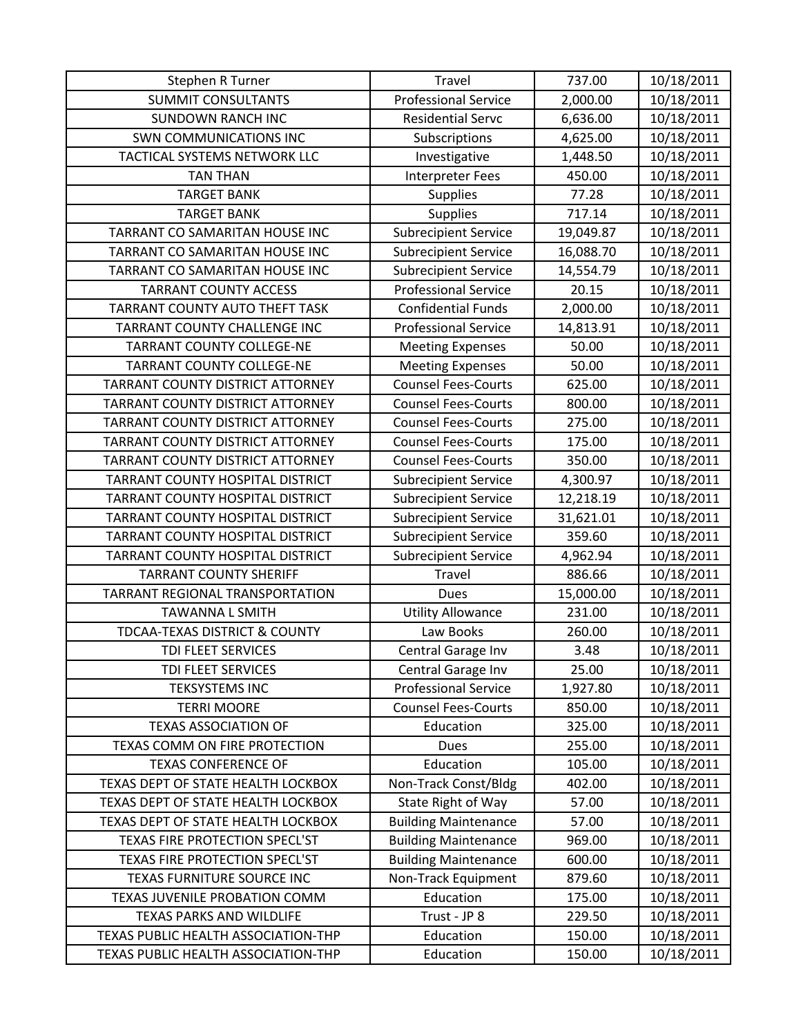| Stephen R Turner                    | Travel                      | 737.00    | 10/18/2011 |
|-------------------------------------|-----------------------------|-----------|------------|
| <b>SUMMIT CONSULTANTS</b>           | <b>Professional Service</b> | 2,000.00  | 10/18/2011 |
| <b>SUNDOWN RANCH INC</b>            | <b>Residential Servc</b>    | 6,636.00  | 10/18/2011 |
| <b>SWN COMMUNICATIONS INC</b>       | Subscriptions               | 4,625.00  | 10/18/2011 |
| TACTICAL SYSTEMS NETWORK LLC        | Investigative               | 1,448.50  | 10/18/2011 |
| <b>TAN THAN</b>                     | <b>Interpreter Fees</b>     | 450.00    | 10/18/2011 |
| <b>TARGET BANK</b>                  | <b>Supplies</b>             | 77.28     | 10/18/2011 |
| <b>TARGET BANK</b>                  | <b>Supplies</b>             | 717.14    | 10/18/2011 |
| TARRANT CO SAMARITAN HOUSE INC      | <b>Subrecipient Service</b> | 19,049.87 | 10/18/2011 |
| TARRANT CO SAMARITAN HOUSE INC      | <b>Subrecipient Service</b> | 16,088.70 | 10/18/2011 |
| TARRANT CO SAMARITAN HOUSE INC      | <b>Subrecipient Service</b> | 14,554.79 | 10/18/2011 |
| <b>TARRANT COUNTY ACCESS</b>        | <b>Professional Service</b> | 20.15     | 10/18/2011 |
| TARRANT COUNTY AUTO THEFT TASK      | <b>Confidential Funds</b>   | 2,000.00  | 10/18/2011 |
| <b>TARRANT COUNTY CHALLENGE INC</b> | <b>Professional Service</b> | 14,813.91 | 10/18/2011 |
| <b>TARRANT COUNTY COLLEGE-NE</b>    | <b>Meeting Expenses</b>     | 50.00     | 10/18/2011 |
| <b>TARRANT COUNTY COLLEGE-NE</b>    | <b>Meeting Expenses</b>     | 50.00     | 10/18/2011 |
| TARRANT COUNTY DISTRICT ATTORNEY    | <b>Counsel Fees-Courts</b>  | 625.00    | 10/18/2011 |
| TARRANT COUNTY DISTRICT ATTORNEY    | <b>Counsel Fees-Courts</b>  | 800.00    | 10/18/2011 |
| TARRANT COUNTY DISTRICT ATTORNEY    | <b>Counsel Fees-Courts</b>  | 275.00    | 10/18/2011 |
| TARRANT COUNTY DISTRICT ATTORNEY    | <b>Counsel Fees-Courts</b>  | 175.00    | 10/18/2011 |
| TARRANT COUNTY DISTRICT ATTORNEY    | <b>Counsel Fees-Courts</b>  | 350.00    | 10/18/2011 |
| TARRANT COUNTY HOSPITAL DISTRICT    | <b>Subrecipient Service</b> | 4,300.97  | 10/18/2011 |
| TARRANT COUNTY HOSPITAL DISTRICT    | <b>Subrecipient Service</b> | 12,218.19 | 10/18/2011 |
| TARRANT COUNTY HOSPITAL DISTRICT    | <b>Subrecipient Service</b> | 31,621.01 | 10/18/2011 |
| TARRANT COUNTY HOSPITAL DISTRICT    | <b>Subrecipient Service</b> | 359.60    | 10/18/2011 |
| TARRANT COUNTY HOSPITAL DISTRICT    | <b>Subrecipient Service</b> | 4,962.94  | 10/18/2011 |
| <b>TARRANT COUNTY SHERIFF</b>       | Travel                      | 886.66    | 10/18/2011 |
| TARRANT REGIONAL TRANSPORTATION     | Dues                        | 15,000.00 | 10/18/2011 |
| <b>TAWANNA L SMITH</b>              | <b>Utility Allowance</b>    | 231.00    | 10/18/2011 |
| TDCAA-TEXAS DISTRICT & COUNTY       | Law Books                   | 260.00    | 10/18/2011 |
| TDI FLEET SERVICES                  | Central Garage Inv          | 3.48      | 10/18/2011 |
| TDI FLEET SERVICES                  | Central Garage Inv          | 25.00     | 10/18/2011 |
| <b>TEKSYSTEMS INC</b>               | <b>Professional Service</b> | 1,927.80  | 10/18/2011 |
| <b>TERRI MOORE</b>                  | <b>Counsel Fees-Courts</b>  | 850.00    | 10/18/2011 |
| <b>TEXAS ASSOCIATION OF</b>         | Education                   | 325.00    | 10/18/2011 |
| TEXAS COMM ON FIRE PROTECTION       | Dues                        | 255.00    | 10/18/2011 |
| <b>TEXAS CONFERENCE OF</b>          | Education                   | 105.00    | 10/18/2011 |
| TEXAS DEPT OF STATE HEALTH LOCKBOX  | Non-Track Const/Bldg        | 402.00    | 10/18/2011 |
| TEXAS DEPT OF STATE HEALTH LOCKBOX  | State Right of Way          | 57.00     | 10/18/2011 |
| TEXAS DEPT OF STATE HEALTH LOCKBOX  | <b>Building Maintenance</b> | 57.00     | 10/18/2011 |
| TEXAS FIRE PROTECTION SPECL'ST      | <b>Building Maintenance</b> | 969.00    | 10/18/2011 |
| TEXAS FIRE PROTECTION SPECL'ST      | <b>Building Maintenance</b> | 600.00    | 10/18/2011 |
| TEXAS FURNITURE SOURCE INC          | Non-Track Equipment         | 879.60    | 10/18/2011 |
| TEXAS JUVENILE PROBATION COMM       | Education                   | 175.00    | 10/18/2011 |
| <b>TEXAS PARKS AND WILDLIFE</b>     | Trust - JP 8                | 229.50    | 10/18/2011 |
| TEXAS PUBLIC HEALTH ASSOCIATION-THP | Education                   | 150.00    | 10/18/2011 |
| TEXAS PUBLIC HEALTH ASSOCIATION-THP | Education                   | 150.00    | 10/18/2011 |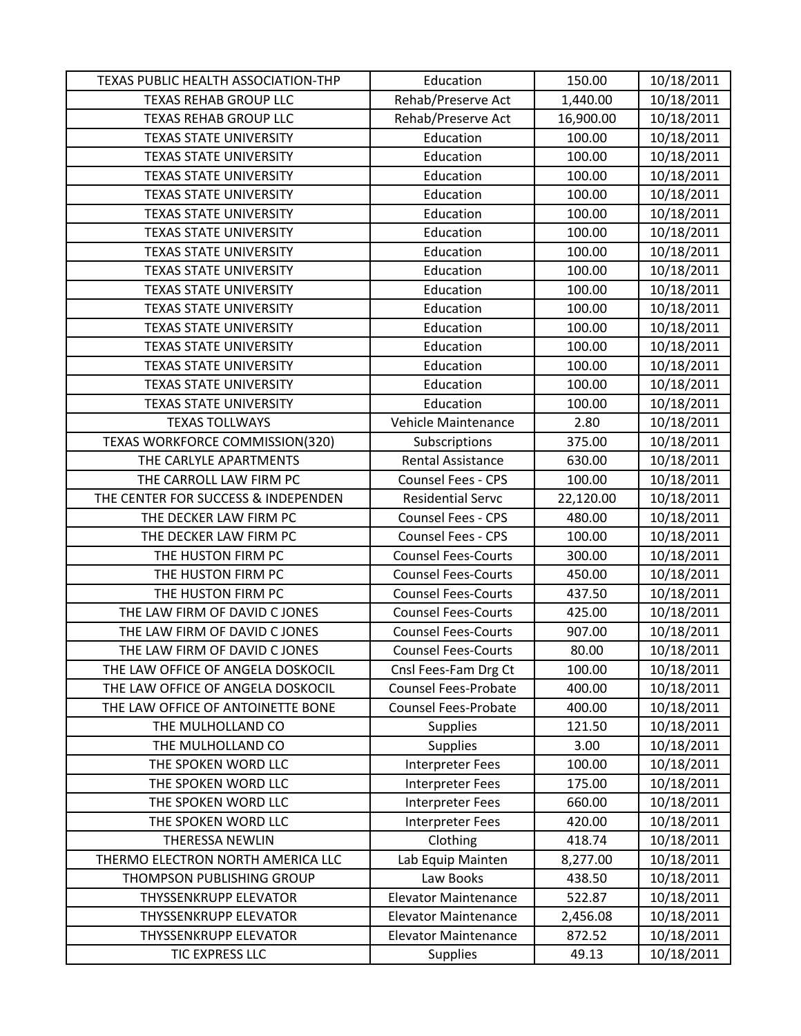| TEXAS PUBLIC HEALTH ASSOCIATION-THP | Education                   | 150.00    | 10/18/2011 |
|-------------------------------------|-----------------------------|-----------|------------|
| <b>TEXAS REHAB GROUP LLC</b>        | Rehab/Preserve Act          | 1,440.00  | 10/18/2011 |
| <b>TEXAS REHAB GROUP LLC</b>        | Rehab/Preserve Act          | 16,900.00 | 10/18/2011 |
| <b>TEXAS STATE UNIVERSITY</b>       | Education                   | 100.00    | 10/18/2011 |
| <b>TEXAS STATE UNIVERSITY</b>       | Education                   | 100.00    | 10/18/2011 |
| <b>TEXAS STATE UNIVERSITY</b>       | Education                   | 100.00    | 10/18/2011 |
| <b>TEXAS STATE UNIVERSITY</b>       | Education                   | 100.00    | 10/18/2011 |
| <b>TEXAS STATE UNIVERSITY</b>       | Education                   | 100.00    | 10/18/2011 |
| <b>TEXAS STATE UNIVERSITY</b>       | Education                   | 100.00    | 10/18/2011 |
| <b>TEXAS STATE UNIVERSITY</b>       | Education                   | 100.00    | 10/18/2011 |
| <b>TEXAS STATE UNIVERSITY</b>       | Education                   | 100.00    | 10/18/2011 |
| <b>TEXAS STATE UNIVERSITY</b>       | Education                   | 100.00    | 10/18/2011 |
| <b>TEXAS STATE UNIVERSITY</b>       | Education                   | 100.00    | 10/18/2011 |
| <b>TEXAS STATE UNIVERSITY</b>       | Education                   | 100.00    | 10/18/2011 |
| <b>TEXAS STATE UNIVERSITY</b>       | Education                   | 100.00    | 10/18/2011 |
| <b>TEXAS STATE UNIVERSITY</b>       | Education                   | 100.00    | 10/18/2011 |
| <b>TEXAS STATE UNIVERSITY</b>       | Education                   | 100.00    | 10/18/2011 |
| <b>TEXAS STATE UNIVERSITY</b>       | Education                   | 100.00    | 10/18/2011 |
| <b>TEXAS TOLLWAYS</b>               | Vehicle Maintenance         | 2.80      | 10/18/2011 |
| TEXAS WORKFORCE COMMISSION(320)     | Subscriptions               | 375.00    | 10/18/2011 |
| THE CARLYLE APARTMENTS              | <b>Rental Assistance</b>    | 630.00    | 10/18/2011 |
| THE CARROLL LAW FIRM PC             | <b>Counsel Fees - CPS</b>   | 100.00    | 10/18/2011 |
| THE CENTER FOR SUCCESS & INDEPENDEN | <b>Residential Servc</b>    | 22,120.00 | 10/18/2011 |
| THE DECKER LAW FIRM PC              | <b>Counsel Fees - CPS</b>   | 480.00    | 10/18/2011 |
| THE DECKER LAW FIRM PC              | <b>Counsel Fees - CPS</b>   | 100.00    | 10/18/2011 |
| THE HUSTON FIRM PC                  | <b>Counsel Fees-Courts</b>  | 300.00    | 10/18/2011 |
| THE HUSTON FIRM PC                  | <b>Counsel Fees-Courts</b>  | 450.00    | 10/18/2011 |
| THE HUSTON FIRM PC                  | <b>Counsel Fees-Courts</b>  | 437.50    | 10/18/2011 |
| THE LAW FIRM OF DAVID C JONES       | <b>Counsel Fees-Courts</b>  | 425.00    | 10/18/2011 |
| THE LAW FIRM OF DAVID C JONES       | <b>Counsel Fees-Courts</b>  | 907.00    | 10/18/2011 |
| THE LAW FIRM OF DAVID C JONES       | <b>Counsel Fees-Courts</b>  | 80.00     | 10/18/2011 |
| THE LAW OFFICE OF ANGELA DOSKOCIL   | Cnsl Fees-Fam Drg Ct        | 100.00    | 10/18/2011 |
| THE LAW OFFICE OF ANGELA DOSKOCIL   | Counsel Fees-Probate        | 400.00    | 10/18/2011 |
| THE LAW OFFICE OF ANTOINETTE BONE   | <b>Counsel Fees-Probate</b> | 400.00    | 10/18/2011 |
| THE MULHOLLAND CO                   | <b>Supplies</b>             | 121.50    | 10/18/2011 |
| THE MULHOLLAND CO                   | <b>Supplies</b>             | 3.00      | 10/18/2011 |
| THE SPOKEN WORD LLC                 | Interpreter Fees            | 100.00    | 10/18/2011 |
| THE SPOKEN WORD LLC                 | Interpreter Fees            | 175.00    | 10/18/2011 |
| THE SPOKEN WORD LLC                 | Interpreter Fees            | 660.00    | 10/18/2011 |
| THE SPOKEN WORD LLC                 | Interpreter Fees            | 420.00    | 10/18/2011 |
| <b>THERESSA NEWLIN</b>              | Clothing                    | 418.74    | 10/18/2011 |
| THERMO ELECTRON NORTH AMERICA LLC   | Lab Equip Mainten           | 8,277.00  | 10/18/2011 |
| THOMPSON PUBLISHING GROUP           | Law Books                   | 438.50    | 10/18/2011 |
| <b>THYSSENKRUPP ELEVATOR</b>        | <b>Elevator Maintenance</b> | 522.87    | 10/18/2011 |
| <b>THYSSENKRUPP ELEVATOR</b>        | <b>Elevator Maintenance</b> | 2,456.08  | 10/18/2011 |
| <b>THYSSENKRUPP ELEVATOR</b>        | <b>Elevator Maintenance</b> | 872.52    | 10/18/2011 |
| TIC EXPRESS LLC                     | <b>Supplies</b>             | 49.13     | 10/18/2011 |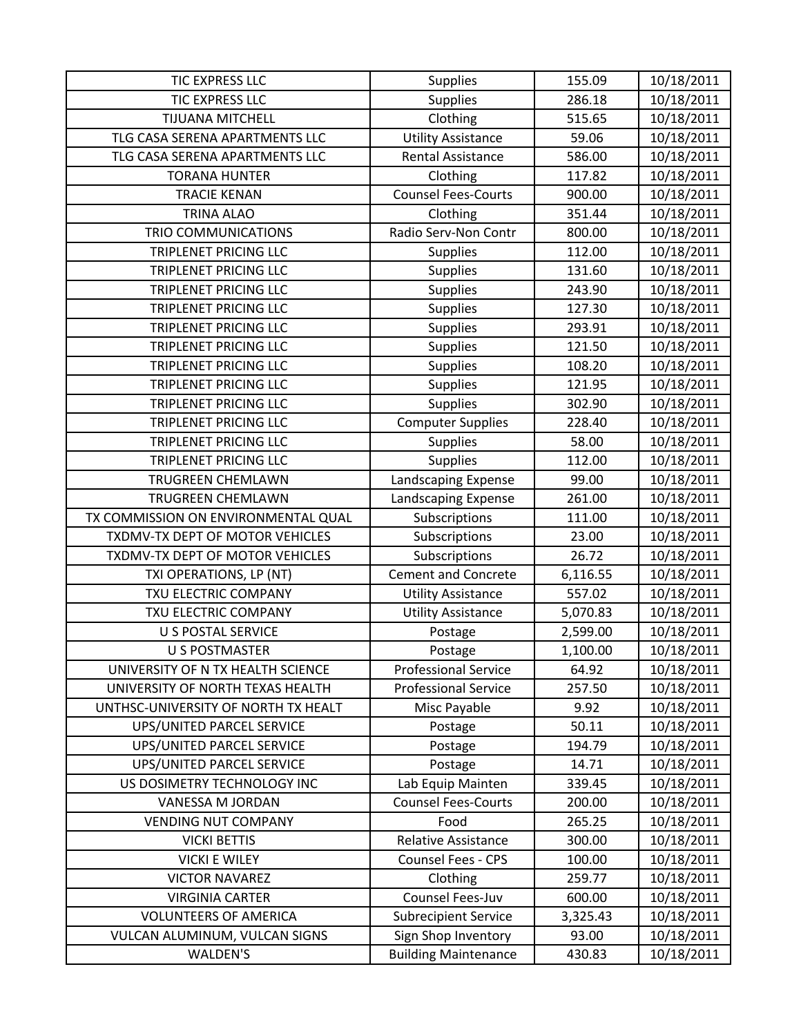| <b>TIC EXPRESS LLC</b>              | <b>Supplies</b>             | 155.09   | 10/18/2011 |
|-------------------------------------|-----------------------------|----------|------------|
| TIC EXPRESS LLC                     | Supplies                    | 286.18   | 10/18/2011 |
| <b>TIJUANA MITCHELL</b>             | Clothing                    | 515.65   | 10/18/2011 |
| TLG CASA SERENA APARTMENTS LLC      | <b>Utility Assistance</b>   | 59.06    | 10/18/2011 |
| TLG CASA SERENA APARTMENTS LLC      | <b>Rental Assistance</b>    | 586.00   | 10/18/2011 |
| <b>TORANA HUNTER</b>                | Clothing                    | 117.82   | 10/18/2011 |
| <b>TRACIE KENAN</b>                 | <b>Counsel Fees-Courts</b>  | 900.00   | 10/18/2011 |
| <b>TRINA ALAO</b>                   | Clothing                    | 351.44   | 10/18/2011 |
| <b>TRIO COMMUNICATIONS</b>          | Radio Serv-Non Contr        | 800.00   | 10/18/2011 |
| <b>TRIPLENET PRICING LLC</b>        | <b>Supplies</b>             | 112.00   | 10/18/2011 |
| TRIPLENET PRICING LLC               | <b>Supplies</b>             | 131.60   | 10/18/2011 |
| TRIPLENET PRICING LLC               | <b>Supplies</b>             | 243.90   | 10/18/2011 |
| TRIPLENET PRICING LLC               | <b>Supplies</b>             | 127.30   | 10/18/2011 |
| TRIPLENET PRICING LLC               | Supplies                    | 293.91   | 10/18/2011 |
| TRIPLENET PRICING LLC               | <b>Supplies</b>             | 121.50   | 10/18/2011 |
| TRIPLENET PRICING LLC               | <b>Supplies</b>             | 108.20   | 10/18/2011 |
| <b>TRIPLENET PRICING LLC</b>        | <b>Supplies</b>             | 121.95   | 10/18/2011 |
| <b>TRIPLENET PRICING LLC</b>        | Supplies                    | 302.90   | 10/18/2011 |
| <b>TRIPLENET PRICING LLC</b>        | <b>Computer Supplies</b>    | 228.40   | 10/18/2011 |
| <b>TRIPLENET PRICING LLC</b>        | <b>Supplies</b>             | 58.00    | 10/18/2011 |
| TRIPLENET PRICING LLC               | <b>Supplies</b>             | 112.00   | 10/18/2011 |
| TRUGREEN CHEMLAWN                   | Landscaping Expense         | 99.00    | 10/18/2011 |
| TRUGREEN CHEMLAWN                   | Landscaping Expense         | 261.00   | 10/18/2011 |
| TX COMMISSION ON ENVIRONMENTAL QUAL | Subscriptions               | 111.00   | 10/18/2011 |
| TXDMV-TX DEPT OF MOTOR VEHICLES     | Subscriptions               | 23.00    | 10/18/2011 |
| TXDMV-TX DEPT OF MOTOR VEHICLES     | Subscriptions               | 26.72    | 10/18/2011 |
| TXI OPERATIONS, LP (NT)             | <b>Cement and Concrete</b>  | 6,116.55 | 10/18/2011 |
| TXU ELECTRIC COMPANY                | <b>Utility Assistance</b>   | 557.02   | 10/18/2011 |
| TXU ELECTRIC COMPANY                | <b>Utility Assistance</b>   | 5,070.83 | 10/18/2011 |
| <b>U S POSTAL SERVICE</b>           | Postage                     | 2,599.00 | 10/18/2011 |
| <b>U S POSTMASTER</b>               | Postage                     | 1,100.00 | 10/18/2011 |
| UNIVERSITY OF N TX HEALTH SCIENCE   | <b>Professional Service</b> | 64.92    | 10/18/2011 |
| UNIVERSITY OF NORTH TEXAS HEALTH    | <b>Professional Service</b> | 257.50   | 10/18/2011 |
| UNTHSC-UNIVERSITY OF NORTH TX HEALT | Misc Payable                | 9.92     | 10/18/2011 |
| UPS/UNITED PARCEL SERVICE           | Postage                     | 50.11    | 10/18/2011 |
| UPS/UNITED PARCEL SERVICE           | Postage                     | 194.79   | 10/18/2011 |
| <b>UPS/UNITED PARCEL SERVICE</b>    | Postage                     | 14.71    | 10/18/2011 |
| US DOSIMETRY TECHNOLOGY INC         | Lab Equip Mainten           | 339.45   | 10/18/2011 |
| VANESSA M JORDAN                    | <b>Counsel Fees-Courts</b>  | 200.00   | 10/18/2011 |
| <b>VENDING NUT COMPANY</b>          | Food                        | 265.25   | 10/18/2011 |
| <b>VICKI BETTIS</b>                 | <b>Relative Assistance</b>  | 300.00   | 10/18/2011 |
| <b>VICKI E WILEY</b>                | <b>Counsel Fees - CPS</b>   | 100.00   | 10/18/2011 |
| <b>VICTOR NAVAREZ</b>               | Clothing                    | 259.77   | 10/18/2011 |
| <b>VIRGINIA CARTER</b>              | Counsel Fees-Juv            | 600.00   | 10/18/2011 |
| <b>VOLUNTEERS OF AMERICA</b>        | <b>Subrecipient Service</b> | 3,325.43 | 10/18/2011 |
| VULCAN ALUMINUM, VULCAN SIGNS       | Sign Shop Inventory         | 93.00    | 10/18/2011 |
| WALDEN'S                            | <b>Building Maintenance</b> | 430.83   | 10/18/2011 |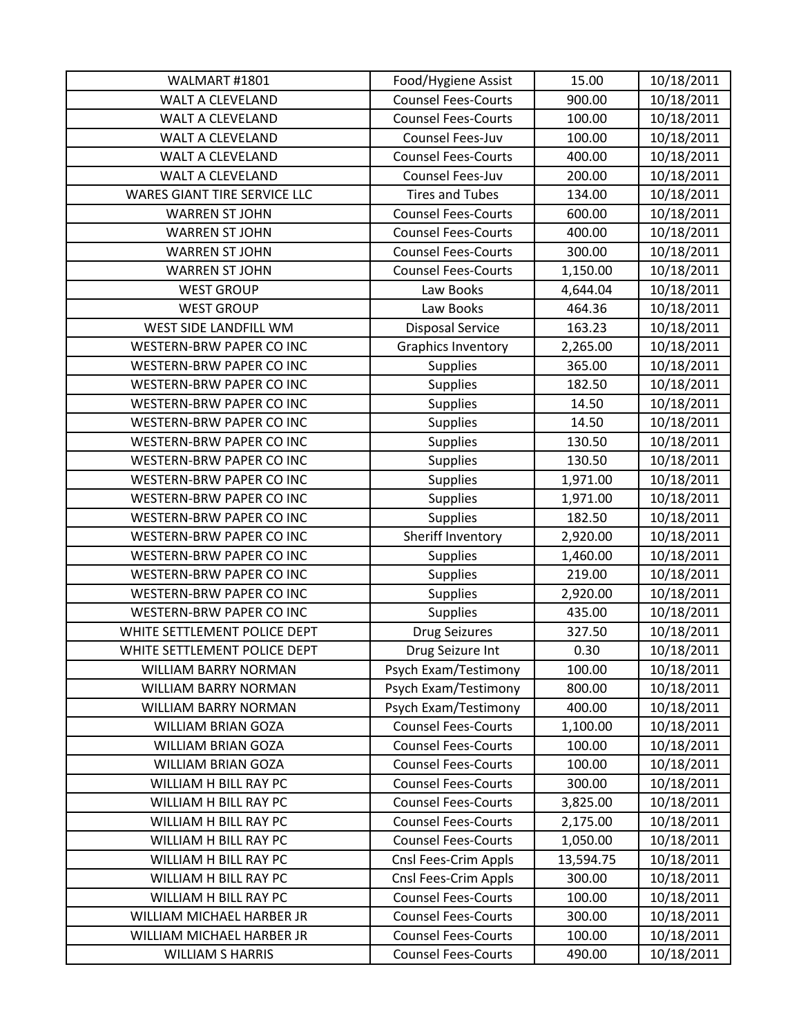| WALMART #1801                       | Food/Hygiene Assist        | 15.00     | 10/18/2011 |
|-------------------------------------|----------------------------|-----------|------------|
| <b>WALT A CLEVELAND</b>             | <b>Counsel Fees-Courts</b> | 900.00    | 10/18/2011 |
| WALT A CLEVELAND                    | <b>Counsel Fees-Courts</b> | 100.00    | 10/18/2011 |
| <b>WALT A CLEVELAND</b>             | Counsel Fees-Juv           | 100.00    | 10/18/2011 |
| WALT A CLEVELAND                    | <b>Counsel Fees-Courts</b> | 400.00    | 10/18/2011 |
| <b>WALT A CLEVELAND</b>             | Counsel Fees-Juv           | 200.00    | 10/18/2011 |
| <b>WARES GIANT TIRE SERVICE LLC</b> | <b>Tires and Tubes</b>     | 134.00    | 10/18/2011 |
| <b>WARREN ST JOHN</b>               | <b>Counsel Fees-Courts</b> | 600.00    | 10/18/2011 |
| <b>WARREN ST JOHN</b>               | <b>Counsel Fees-Courts</b> | 400.00    | 10/18/2011 |
| <b>WARREN ST JOHN</b>               | <b>Counsel Fees-Courts</b> | 300.00    | 10/18/2011 |
| <b>WARREN ST JOHN</b>               | <b>Counsel Fees-Courts</b> | 1,150.00  | 10/18/2011 |
| <b>WEST GROUP</b>                   | Law Books                  | 4,644.04  | 10/18/2011 |
| <b>WEST GROUP</b>                   | Law Books                  | 464.36    | 10/18/2011 |
| WEST SIDE LANDFILL WM               | <b>Disposal Service</b>    | 163.23    | 10/18/2011 |
| <b>WESTERN-BRW PAPER CO INC</b>     | <b>Graphics Inventory</b>  | 2,265.00  | 10/18/2011 |
| <b>WESTERN-BRW PAPER CO INC</b>     | <b>Supplies</b>            | 365.00    | 10/18/2011 |
| WESTERN-BRW PAPER CO INC            | <b>Supplies</b>            | 182.50    | 10/18/2011 |
| <b>WESTERN-BRW PAPER CO INC</b>     | <b>Supplies</b>            | 14.50     | 10/18/2011 |
| <b>WESTERN-BRW PAPER CO INC</b>     | Supplies                   | 14.50     | 10/18/2011 |
| WESTERN-BRW PAPER CO INC            | <b>Supplies</b>            | 130.50    | 10/18/2011 |
| <b>WESTERN-BRW PAPER CO INC</b>     | <b>Supplies</b>            | 130.50    | 10/18/2011 |
| WESTERN-BRW PAPER CO INC            | <b>Supplies</b>            | 1,971.00  | 10/18/2011 |
| <b>WESTERN-BRW PAPER CO INC</b>     | Supplies                   | 1,971.00  | 10/18/2011 |
| <b>WESTERN-BRW PAPER CO INC</b>     | <b>Supplies</b>            | 182.50    | 10/18/2011 |
| <b>WESTERN-BRW PAPER CO INC</b>     | Sheriff Inventory          | 2,920.00  | 10/18/2011 |
| WESTERN-BRW PAPER CO INC            | <b>Supplies</b>            | 1,460.00  | 10/18/2011 |
| WESTERN-BRW PAPER CO INC            | <b>Supplies</b>            | 219.00    | 10/18/2011 |
| WESTERN-BRW PAPER CO INC            | <b>Supplies</b>            | 2,920.00  | 10/18/2011 |
| WESTERN-BRW PAPER CO INC            | <b>Supplies</b>            | 435.00    | 10/18/2011 |
| WHITE SETTLEMENT POLICE DEPT        | <b>Drug Seizures</b>       | 327.50    | 10/18/2011 |
| WHITE SETTLEMENT POLICE DEPT        | Drug Seizure Int           | 0.30      | 10/18/2011 |
| <b>WILLIAM BARRY NORMAN</b>         | Psych Exam/Testimony       | 100.00    | 10/18/2011 |
| <b>WILLIAM BARRY NORMAN</b>         | Psych Exam/Testimony       | 800.00    | 10/18/2011 |
| <b>WILLIAM BARRY NORMAN</b>         | Psych Exam/Testimony       | 400.00    | 10/18/2011 |
| <b>WILLIAM BRIAN GOZA</b>           | <b>Counsel Fees-Courts</b> | 1,100.00  | 10/18/2011 |
| <b>WILLIAM BRIAN GOZA</b>           | <b>Counsel Fees-Courts</b> | 100.00    | 10/18/2011 |
| <b>WILLIAM BRIAN GOZA</b>           | <b>Counsel Fees-Courts</b> | 100.00    | 10/18/2011 |
| WILLIAM H BILL RAY PC               | <b>Counsel Fees-Courts</b> | 300.00    | 10/18/2011 |
| WILLIAM H BILL RAY PC               | <b>Counsel Fees-Courts</b> | 3,825.00  | 10/18/2011 |
| WILLIAM H BILL RAY PC               | <b>Counsel Fees-Courts</b> | 2,175.00  | 10/18/2011 |
| WILLIAM H BILL RAY PC               | <b>Counsel Fees-Courts</b> | 1,050.00  | 10/18/2011 |
| WILLIAM H BILL RAY PC               | Cnsl Fees-Crim Appls       | 13,594.75 | 10/18/2011 |
| WILLIAM H BILL RAY PC               | Cnsl Fees-Crim Appls       | 300.00    | 10/18/2011 |
| WILLIAM H BILL RAY PC               | <b>Counsel Fees-Courts</b> | 100.00    | 10/18/2011 |
| WILLIAM MICHAEL HARBER JR           | <b>Counsel Fees-Courts</b> | 300.00    | 10/18/2011 |
| WILLIAM MICHAEL HARBER JR           | <b>Counsel Fees-Courts</b> | 100.00    | 10/18/2011 |
| <b>WILLIAM S HARRIS</b>             | <b>Counsel Fees-Courts</b> | 490.00    | 10/18/2011 |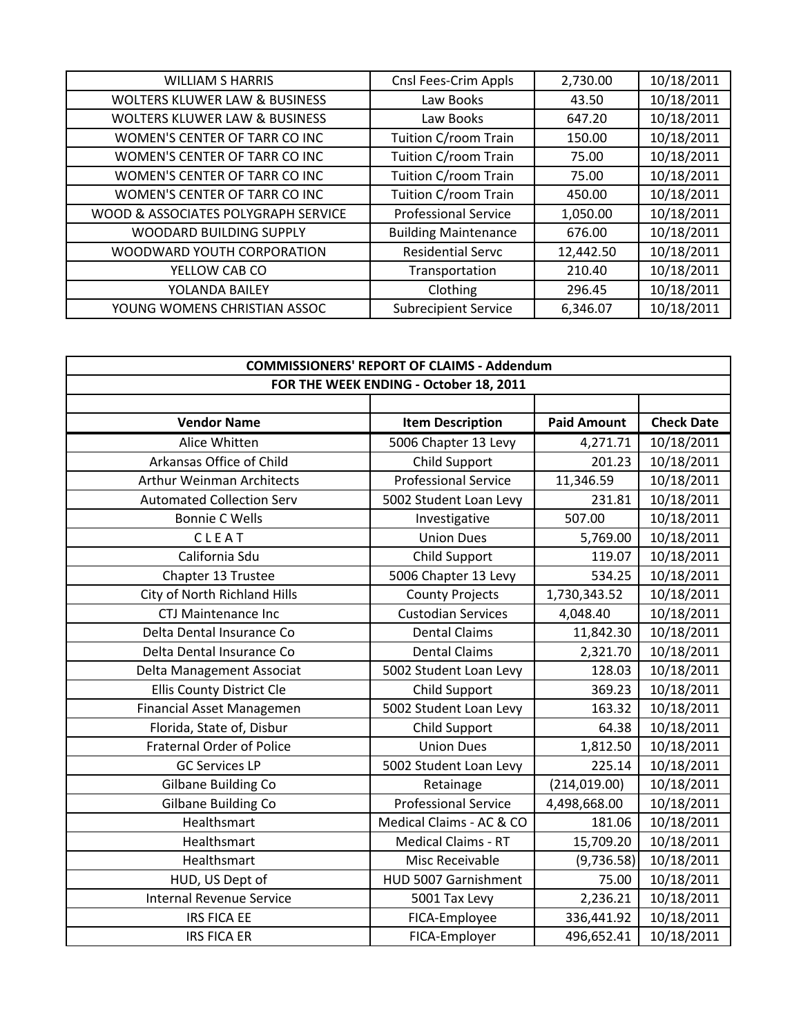| <b>WILLIAM S HARRIS</b>                  | Cnsl Fees-Crim Appls        | 2,730.00  | 10/18/2011 |
|------------------------------------------|-----------------------------|-----------|------------|
| <b>WOLTERS KLUWER LAW &amp; BUSINESS</b> | Law Books                   | 43.50     | 10/18/2011 |
| <b>WOLTERS KLUWER LAW &amp; BUSINESS</b> | Law Books                   | 647.20    | 10/18/2011 |
| WOMEN'S CENTER OF TARR CO INC            | Tuition C/room Train        | 150.00    | 10/18/2011 |
| WOMEN'S CENTER OF TARR CO INC            | Tuition C/room Train        | 75.00     | 10/18/2011 |
| WOMEN'S CENTER OF TARR CO INC            | Tuition C/room Train        | 75.00     | 10/18/2011 |
| WOMEN'S CENTER OF TARR CO INC            | Tuition C/room Train        | 450.00    | 10/18/2011 |
| WOOD & ASSOCIATES POLYGRAPH SERVICE      | <b>Professional Service</b> | 1,050.00  | 10/18/2011 |
| WOODARD BUILDING SUPPLY                  | <b>Building Maintenance</b> | 676.00    | 10/18/2011 |
| WOODWARD YOUTH CORPORATION               | <b>Residential Servc</b>    | 12,442.50 | 10/18/2011 |
| YELLOW CAB CO                            | Transportation              | 210.40    | 10/18/2011 |
| YOLANDA BAILEY                           | Clothing                    | 296.45    | 10/18/2011 |
| YOUNG WOMENS CHRISTIAN ASSOC             | <b>Subrecipient Service</b> | 6,346.07  | 10/18/2011 |

| <b>COMMISSIONERS' REPORT OF CLAIMS - Addendum</b> |                                        |                    |                   |
|---------------------------------------------------|----------------------------------------|--------------------|-------------------|
|                                                   | FOR THE WEEK ENDING - October 18, 2011 |                    |                   |
|                                                   |                                        |                    |                   |
| <b>Vendor Name</b>                                | <b>Item Description</b>                | <b>Paid Amount</b> | <b>Check Date</b> |
| Alice Whitten                                     | 5006 Chapter 13 Levy                   | 4,271.71           | 10/18/2011        |
| Arkansas Office of Child                          | Child Support                          | 201.23             | 10/18/2011        |
| <b>Arthur Weinman Architects</b>                  | <b>Professional Service</b>            | 11,346.59          | 10/18/2011        |
| <b>Automated Collection Serv</b>                  | 5002 Student Loan Levy                 | 231.81             | 10/18/2011        |
| <b>Bonnie C Wells</b>                             | Investigative                          | 507.00             | 10/18/2011        |
| CLEAT                                             | <b>Union Dues</b>                      | 5,769.00           | 10/18/2011        |
| California Sdu                                    | <b>Child Support</b>                   | 119.07             | 10/18/2011        |
| Chapter 13 Trustee                                | 5006 Chapter 13 Levy                   | 534.25             | 10/18/2011        |
| City of North Richland Hills                      | <b>County Projects</b>                 | 1,730,343.52       | 10/18/2011        |
| <b>CTJ Maintenance Inc</b>                        | <b>Custodian Services</b>              | 4,048.40           | 10/18/2011        |
| Delta Dental Insurance Co                         | <b>Dental Claims</b>                   | 11,842.30          | 10/18/2011        |
| Delta Dental Insurance Co                         | <b>Dental Claims</b>                   | 2,321.70           | 10/18/2011        |
| Delta Management Associat                         | 5002 Student Loan Levy                 | 128.03             | 10/18/2011        |
| Ellis County District Cle                         | <b>Child Support</b>                   | 369.23             | 10/18/2011        |
| Financial Asset Managemen                         | 5002 Student Loan Levy                 | 163.32             | 10/18/2011        |
| Florida, State of, Disbur                         | Child Support                          | 64.38              | 10/18/2011        |
| <b>Fraternal Order of Police</b>                  | <b>Union Dues</b>                      | 1,812.50           | 10/18/2011        |
| <b>GC Services LP</b>                             | 5002 Student Loan Levy                 | 225.14             | 10/18/2011        |
| Gilbane Building Co                               | Retainage                              | (214, 019.00)      | 10/18/2011        |
| <b>Gilbane Building Co</b>                        | <b>Professional Service</b>            | 4,498,668.00       | 10/18/2011        |
| Healthsmart                                       | Medical Claims - AC & CO               | 181.06             | 10/18/2011        |
| Healthsmart                                       | <b>Medical Claims - RT</b>             | 15,709.20          | 10/18/2011        |
| Healthsmart                                       | Misc Receivable                        | (9,736.58)         | 10/18/2011        |
| HUD, US Dept of                                   | HUD 5007 Garnishment                   | 75.00              | 10/18/2011        |
| <b>Internal Revenue Service</b>                   | 5001 Tax Levy                          | 2,236.21           | 10/18/2011        |
| <b>IRS FICA EE</b>                                | FICA-Employee                          | 336,441.92         | 10/18/2011        |
| <b>IRS FICA ER</b>                                | FICA-Employer                          | 496,652.41         | 10/18/2011        |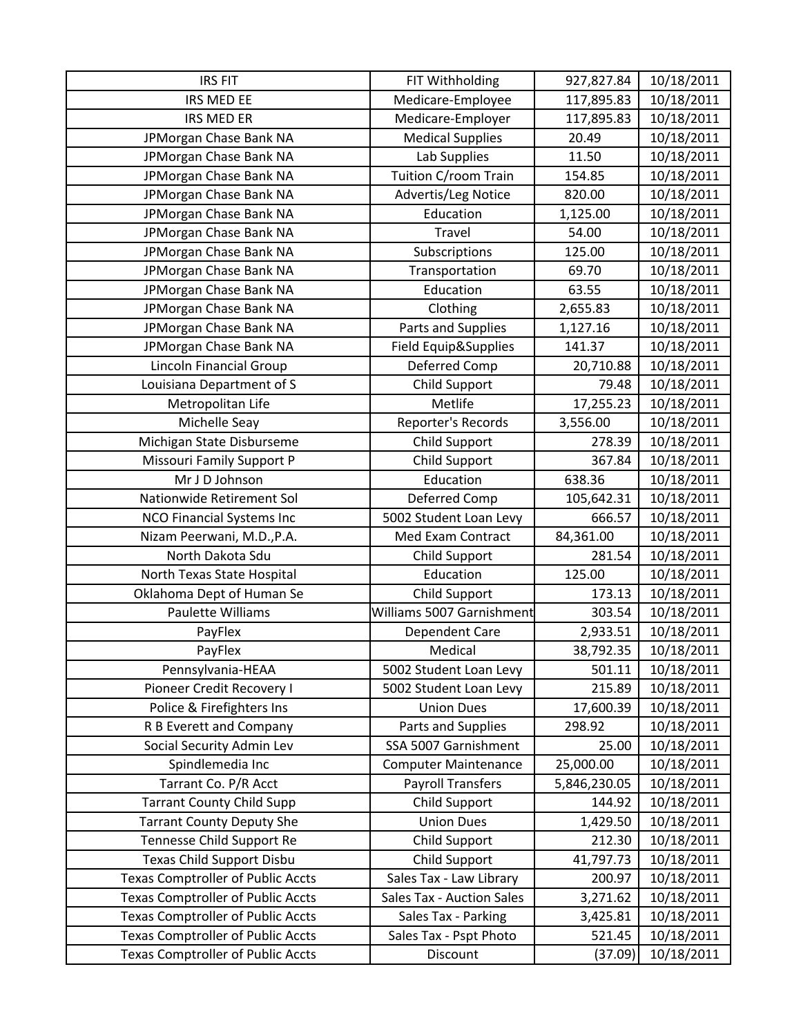| <b>IRS FIT</b>                           | FIT Withholding             | 927,827.84   | 10/18/2011 |
|------------------------------------------|-----------------------------|--------------|------------|
| IRS MED EE                               | Medicare-Employee           | 117,895.83   | 10/18/2011 |
| <b>IRS MED ER</b>                        | Medicare-Employer           | 117,895.83   | 10/18/2011 |
| JPMorgan Chase Bank NA                   | <b>Medical Supplies</b>     | 20.49        | 10/18/2011 |
| JPMorgan Chase Bank NA                   | Lab Supplies                | 11.50        | 10/18/2011 |
| JPMorgan Chase Bank NA                   | Tuition C/room Train        | 154.85       | 10/18/2011 |
| JPMorgan Chase Bank NA                   | Advertis/Leg Notice         | 820.00       | 10/18/2011 |
| JPMorgan Chase Bank NA                   | Education                   | 1,125.00     | 10/18/2011 |
| JPMorgan Chase Bank NA                   | <b>Travel</b>               | 54.00        | 10/18/2011 |
| JPMorgan Chase Bank NA                   | Subscriptions               | 125.00       | 10/18/2011 |
| JPMorgan Chase Bank NA                   | Transportation              | 69.70        | 10/18/2011 |
| JPMorgan Chase Bank NA                   | Education                   | 63.55        | 10/18/2011 |
| JPMorgan Chase Bank NA                   | Clothing                    | 2,655.83     | 10/18/2011 |
| JPMorgan Chase Bank NA                   | Parts and Supplies          | 1,127.16     | 10/18/2011 |
| JPMorgan Chase Bank NA                   | Field Equip&Supplies        | 141.37       | 10/18/2011 |
| <b>Lincoln Financial Group</b>           | Deferred Comp               | 20,710.88    | 10/18/2011 |
| Louisiana Department of S                | Child Support               | 79.48        | 10/18/2011 |
| Metropolitan Life                        | Metlife                     | 17,255.23    | 10/18/2011 |
| Michelle Seay                            | Reporter's Records          | 3,556.00     | 10/18/2011 |
| Michigan State Disburseme                | Child Support               | 278.39       | 10/18/2011 |
| Missouri Family Support P                | <b>Child Support</b>        | 367.84       | 10/18/2011 |
| Mr J D Johnson                           | Education                   | 638.36       | 10/18/2011 |
| Nationwide Retirement Sol                | Deferred Comp               | 105,642.31   | 10/18/2011 |
| <b>NCO Financial Systems Inc</b>         | 5002 Student Loan Levy      | 666.57       | 10/18/2011 |
| Nizam Peerwani, M.D., P.A.               | Med Exam Contract           | 84,361.00    | 10/18/2011 |
| North Dakota Sdu                         | Child Support               | 281.54       | 10/18/2011 |
| North Texas State Hospital               | Education                   | 125.00       | 10/18/2011 |
| Oklahoma Dept of Human Se                | Child Support               | 173.13       | 10/18/2011 |
| Paulette Williams                        | Williams 5007 Garnishment   | 303.54       | 10/18/2011 |
| PayFlex                                  | <b>Dependent Care</b>       | 2,933.51     | 10/18/2011 |
| PayFlex                                  | Medical                     | 38,792.35    | 10/18/2011 |
| Pennsylvania-HEAA                        | 5002 Student Loan Levy      | 501.11       | 10/18/2011 |
| Pioneer Credit Recovery I                | 5002 Student Loan Levy      | 215.89       | 10/18/2011 |
| Police & Firefighters Ins                | <b>Union Dues</b>           | 17,600.39    | 10/18/2011 |
| R B Everett and Company                  | Parts and Supplies          | 298.92       | 10/18/2011 |
| Social Security Admin Lev                | SSA 5007 Garnishment        | 25.00        | 10/18/2011 |
| Spindlemedia Inc                         | <b>Computer Maintenance</b> | 25,000.00    | 10/18/2011 |
| Tarrant Co. P/R Acct                     | <b>Payroll Transfers</b>    | 5,846,230.05 | 10/18/2011 |
| <b>Tarrant County Child Supp</b>         | Child Support               | 144.92       | 10/18/2011 |
| <b>Tarrant County Deputy She</b>         | <b>Union Dues</b>           | 1,429.50     | 10/18/2011 |
| Tennesse Child Support Re                | <b>Child Support</b>        | 212.30       | 10/18/2011 |
| <b>Texas Child Support Disbu</b>         | <b>Child Support</b>        | 41,797.73    | 10/18/2011 |
| <b>Texas Comptroller of Public Accts</b> | Sales Tax - Law Library     | 200.97       | 10/18/2011 |
| <b>Texas Comptroller of Public Accts</b> | Sales Tax - Auction Sales   | 3,271.62     | 10/18/2011 |
| <b>Texas Comptroller of Public Accts</b> | Sales Tax - Parking         | 3,425.81     | 10/18/2011 |
| <b>Texas Comptroller of Public Accts</b> | Sales Tax - Pspt Photo      | 521.45       | 10/18/2011 |
| <b>Texas Comptroller of Public Accts</b> | Discount                    | (37.09)      | 10/18/2011 |